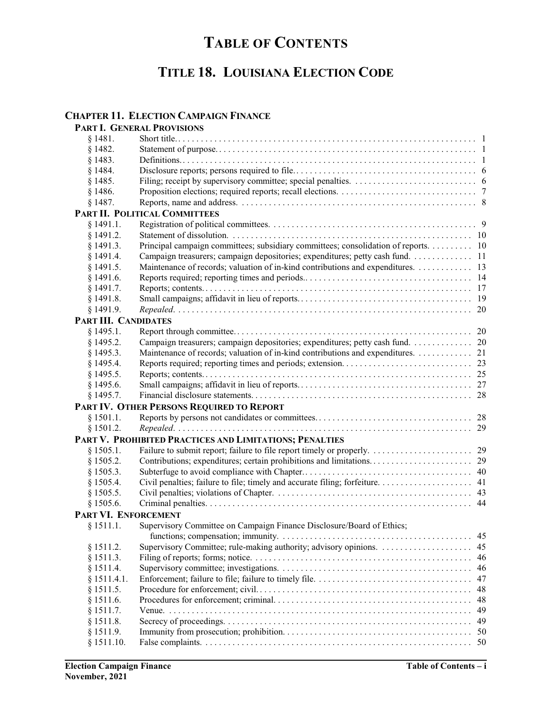# **TABLE OF CONTENTS**

# **TITLE 18. LOUISIANA ELECTION CODE**

### **CHAPTER 11. ELECTION CAMPAIGN FINANCE**

|                      | PART I. GENERAL PROVISIONS                                                         |     |
|----------------------|------------------------------------------------------------------------------------|-----|
| § 1481.              |                                                                                    |     |
| § 1482.              |                                                                                    |     |
| § 1483.              |                                                                                    |     |
| § 1484.              |                                                                                    |     |
| § 1485.              |                                                                                    |     |
| § 1486.              |                                                                                    |     |
| § 1487.              |                                                                                    |     |
|                      | PART II. POLITICAL COMMITTEES                                                      |     |
| § 1491.1.            |                                                                                    |     |
| § 1491.2.            |                                                                                    |     |
| § 1491.3.            | Principal campaign committees; subsidiary committees; consolidation of reports. 10 |     |
| § 1491.4.            | Campaign treasurers; campaign depositories; expenditures; petty cash fund. 11      |     |
| § 1491.5.            | Maintenance of records; valuation of in-kind contributions and expenditures. 13    |     |
| $§$ 1491.6.          |                                                                                    |     |
| $§$ 1491.7.          |                                                                                    |     |
| § 1491.8.            |                                                                                    |     |
| $§$ 1491.9.          |                                                                                    |     |
| PART III. CANDIDATES |                                                                                    |     |
| $§$ 1495.1.          |                                                                                    |     |
| $§$ 1495.2.          | Campaign treasurers; campaign depositories; expenditures; petty cash fund. 20      |     |
| § 1495.3.            | Maintenance of records; valuation of in-kind contributions and expenditures. 21    |     |
| § 1495.4.            |                                                                                    |     |
| § 1495.5.            |                                                                                    |     |
| $§$ 1495.6.          |                                                                                    |     |
| \$1495.7.            |                                                                                    |     |
|                      | PART IV. OTHER PERSONS REQUIRED TO REPORT                                          |     |
| § 1501.1.            |                                                                                    |     |
| § 1501.2.            |                                                                                    |     |
|                      | PART V. PROHIBITED PRACTICES AND LIMITATIONS; PENALTIES                            |     |
| § 1505.1.            |                                                                                    |     |
| § 1505.2.            |                                                                                    |     |
| § 1505.3.            |                                                                                    |     |
| § 1505.4.            |                                                                                    |     |
| § 1505.5.            |                                                                                    |     |
| § 1505.6.            |                                                                                    |     |
| PART VI. ENFORCEMENT |                                                                                    |     |
| § 1511.1.            | Supervisory Committee on Campaign Finance Disclosure/Board of Ethics;              |     |
|                      |                                                                                    |     |
| § 1511.2.            |                                                                                    |     |
| § 1511.3.            |                                                                                    |     |
| § 1511.4.            |                                                                                    |     |
| § 1511.4.1.          |                                                                                    |     |
| § 1511.5.            |                                                                                    |     |
| § 1511.6.            |                                                                                    |     |
| § 1511.7.            |                                                                                    | -49 |
| § 1511.8.            |                                                                                    |     |
| § 1511.9.            |                                                                                    |     |
| § 1511.10.           |                                                                                    |     |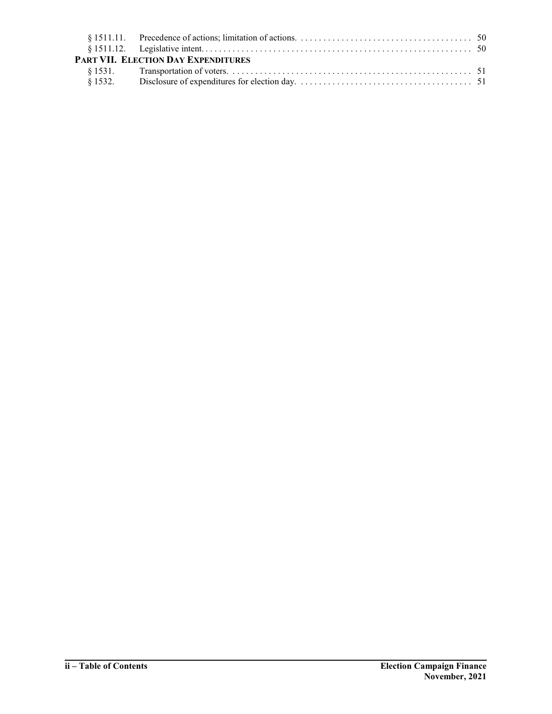| PART VII. ELECTION DAY EXPENDITURES |  |
|-------------------------------------|--|
|                                     |  |
|                                     |  |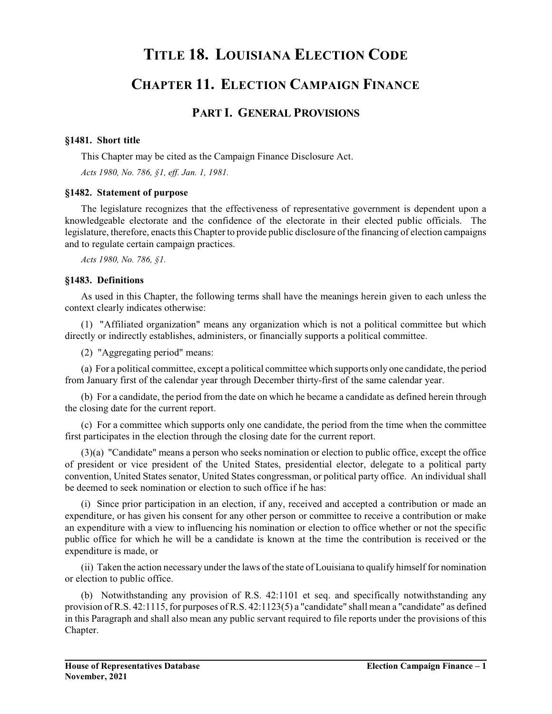# **TITLE 18. LOUISIANA ELECTION CODE**

# **CHAPTER 11. ELECTION CAMPAIGN FINANCE**

## **PART I. GENERAL PROVISIONS**

### **§1481. Short title**

This Chapter may be cited as the Campaign Finance Disclosure Act.

*Acts 1980, No. 786, §1, eff. Jan. 1, 1981.*

### **§1482. Statement of purpose**

The legislature recognizes that the effectiveness of representative government is dependent upon a knowledgeable electorate and the confidence of the electorate in their elected public officials. The legislature, therefore, enacts this Chapter to provide public disclosure of the financing of election campaigns and to regulate certain campaign practices.

*Acts 1980, No. 786, §1.*

### **§1483. Definitions**

As used in this Chapter, the following terms shall have the meanings herein given to each unless the context clearly indicates otherwise:

(1) "Affiliated organization" means any organization which is not a political committee but which directly or indirectly establishes, administers, or financially supports a political committee.

(2) "Aggregating period" means:

(a) For a political committee, except a political committee which supports only one candidate, the period from January first of the calendar year through December thirty-first of the same calendar year.

(b) For a candidate, the period from the date on which he became a candidate as defined herein through the closing date for the current report.

(c) For a committee which supports only one candidate, the period from the time when the committee first participates in the election through the closing date for the current report.

(3)(a) "Candidate" means a person who seeks nomination or election to public office, except the office of president or vice president of the United States, presidential elector, delegate to a political party convention, United States senator, United States congressman, or political party office. An individual shall be deemed to seek nomination or election to such office if he has:

(i) Since prior participation in an election, if any, received and accepted a contribution or made an expenditure, or has given his consent for any other person or committee to receive a contribution or make an expenditure with a view to influencing his nomination or election to office whether or not the specific public office for which he will be a candidate is known at the time the contribution is received or the expenditure is made, or

(ii) Taken the action necessary under the laws of the state of Louisiana to qualify himself for nomination or election to public office.

(b) Notwithstanding any provision of R.S. 42:1101 et seq. and specifically notwithstanding any provision of R.S. 42:1115, for purposes of R.S. 42:1123(5) a "candidate" shall mean a "candidate" as defined in this Paragraph and shall also mean any public servant required to file reports under the provisions of this Chapter.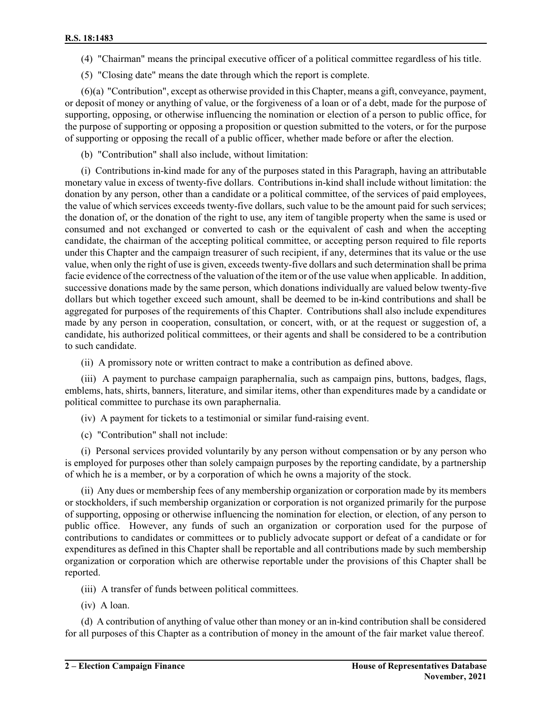- (4) "Chairman" means the principal executive officer of a political committee regardless of his title.
- (5) "Closing date" means the date through which the report is complete.

(6)(a) "Contribution", except as otherwise provided in this Chapter, means a gift, conveyance, payment, or deposit of money or anything of value, or the forgiveness of a loan or of a debt, made for the purpose of supporting, opposing, or otherwise influencing the nomination or election of a person to public office, for the purpose of supporting or opposing a proposition or question submitted to the voters, or for the purpose of supporting or opposing the recall of a public officer, whether made before or after the election.

(b) "Contribution" shall also include, without limitation:

(i) Contributions in-kind made for any of the purposes stated in this Paragraph, having an attributable monetary value in excess of twenty-five dollars. Contributions in-kind shall include without limitation: the donation by any person, other than a candidate or a political committee, of the services of paid employees, the value of which services exceeds twenty-five dollars, such value to be the amount paid for such services; the donation of, or the donation of the right to use, any item of tangible property when the same is used or consumed and not exchanged or converted to cash or the equivalent of cash and when the accepting candidate, the chairman of the accepting political committee, or accepting person required to file reports under this Chapter and the campaign treasurer of such recipient, if any, determines that its value or the use value, when only the right of use is given, exceeds twenty-five dollars and such determination shall be prima facie evidence of the correctness of the valuation of the item or of the use value when applicable. In addition, successive donations made by the same person, which donations individually are valued below twenty-five dollars but which together exceed such amount, shall be deemed to be in-kind contributions and shall be aggregated for purposes of the requirements of this Chapter. Contributions shall also include expenditures made by any person in cooperation, consultation, or concert, with, or at the request or suggestion of, a candidate, his authorized political committees, or their agents and shall be considered to be a contribution to such candidate.

(ii) A promissory note or written contract to make a contribution as defined above.

(iii) A payment to purchase campaign paraphernalia, such as campaign pins, buttons, badges, flags, emblems, hats, shirts, banners, literature, and similar items, other than expenditures made by a candidate or political committee to purchase its own paraphernalia.

(iv) A payment for tickets to a testimonial or similar fund-raising event.

(c) "Contribution" shall not include:

(i) Personal services provided voluntarily by any person without compensation or by any person who is employed for purposes other than solely campaign purposes by the reporting candidate, by a partnership of which he is a member, or by a corporation of which he owns a majority of the stock.

(ii) Any dues or membership fees of any membership organization or corporation made by its members or stockholders, if such membership organization or corporation is not organized primarily for the purpose of supporting, opposing or otherwise influencing the nomination for election, or election, of any person to public office. However, any funds of such an organization or corporation used for the purpose of contributions to candidates or committees or to publicly advocate support or defeat of a candidate or for expenditures as defined in this Chapter shall be reportable and all contributions made by such membership organization or corporation which are otherwise reportable under the provisions of this Chapter shall be reported.

(iii) A transfer of funds between political committees.

(iv) A loan.

(d) A contribution of anything of value other than money or an in-kind contribution shall be considered for all purposes of this Chapter as a contribution of money in the amount of the fair market value thereof.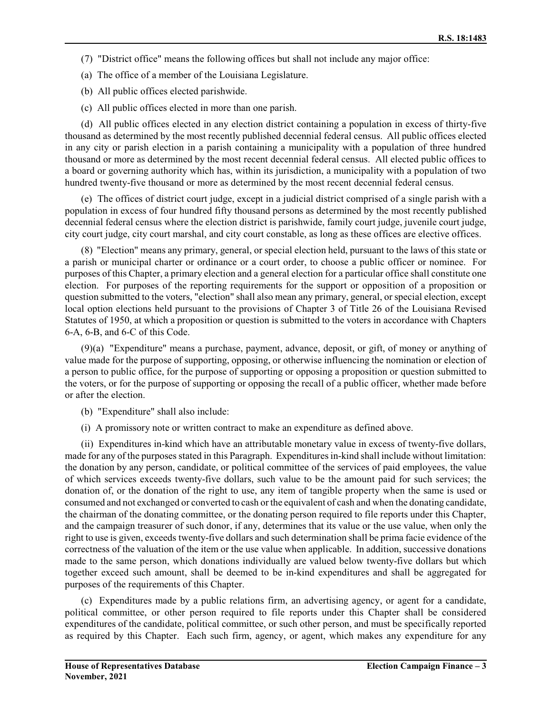- (7) "District office" means the following offices but shall not include any major office:
- (a) The office of a member of the Louisiana Legislature.
- (b) All public offices elected parishwide.
- (c) All public offices elected in more than one parish.

(d) All public offices elected in any election district containing a population in excess of thirty-five thousand as determined by the most recently published decennial federal census. All public offices elected in any city or parish election in a parish containing a municipality with a population of three hundred thousand or more as determined by the most recent decennial federal census. All elected public offices to a board or governing authority which has, within its jurisdiction, a municipality with a population of two hundred twenty-five thousand or more as determined by the most recent decennial federal census.

(e) The offices of district court judge, except in a judicial district comprised of a single parish with a population in excess of four hundred fifty thousand persons as determined by the most recently published decennial federal census where the election district is parishwide, family court judge, juvenile court judge, city court judge, city court marshal, and city court constable, as long as these offices are elective offices.

(8) "Election" means any primary, general, or special election held, pursuant to the laws of this state or a parish or municipal charter or ordinance or a court order, to choose a public officer or nominee. For purposes of this Chapter, a primary election and a general election for a particular office shall constitute one election. For purposes of the reporting requirements for the support or opposition of a proposition or question submitted to the voters, "election" shall also mean any primary, general, or special election, except local option elections held pursuant to the provisions of Chapter 3 of Title 26 of the Louisiana Revised Statutes of 1950, at which a proposition or question is submitted to the voters in accordance with Chapters 6-A, 6-B, and 6-C of this Code.

(9)(a) "Expenditure" means a purchase, payment, advance, deposit, or gift, of money or anything of value made for the purpose of supporting, opposing, or otherwise influencing the nomination or election of a person to public office, for the purpose of supporting or opposing a proposition or question submitted to the voters, or for the purpose of supporting or opposing the recall of a public officer, whether made before or after the election.

- (b) "Expenditure" shall also include:
- (i) A promissory note or written contract to make an expenditure as defined above.

(ii) Expenditures in-kind which have an attributable monetary value in excess of twenty-five dollars, made for any of the purposes stated in this Paragraph. Expenditures in-kind shall include without limitation: the donation by any person, candidate, or political committee of the services of paid employees, the value of which services exceeds twenty-five dollars, such value to be the amount paid for such services; the donation of, or the donation of the right to use, any item of tangible property when the same is used or consumed and not exchanged or converted to cash orthe equivalent of cash and when the donating candidate, the chairman of the donating committee, or the donating person required to file reports under this Chapter, and the campaign treasurer of such donor, if any, determines that its value or the use value, when only the right to use is given, exceeds twenty-five dollars and such determination shall be prima facie evidence of the correctness of the valuation of the item or the use value when applicable. In addition, successive donations made to the same person, which donations individually are valued below twenty-five dollars but which together exceed such amount, shall be deemed to be in-kind expenditures and shall be aggregated for purposes of the requirements of this Chapter.

(c) Expenditures made by a public relations firm, an advertising agency, or agent for a candidate, political committee, or other person required to file reports under this Chapter shall be considered expenditures of the candidate, political committee, or such other person, and must be specifically reported as required by this Chapter. Each such firm, agency, or agent, which makes any expenditure for any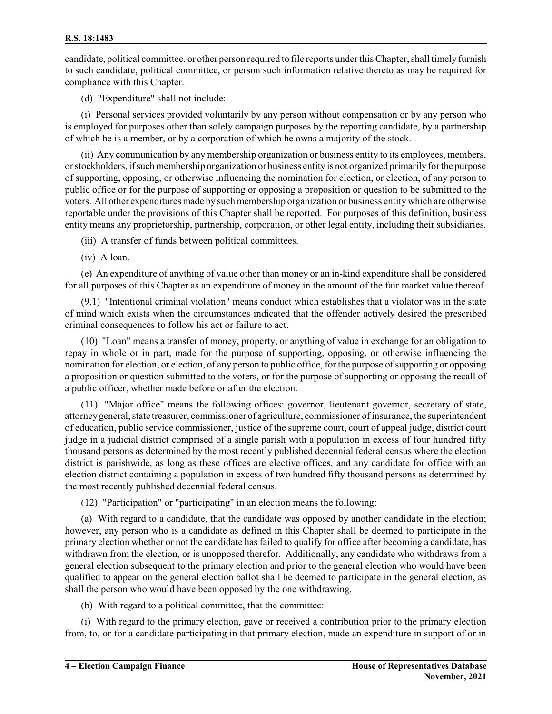candidate, political committee, or other person required to file reports under this Chapter, shall timely furnish to such candidate, political committee, or person such information relative thereto as may be required for compliance with this Chapter.

(d) "Expenditure" shall not include:

(i) Personal services provided voluntarily by any person without compensation or by any person who is employed for purposes other than solely campaign purposes by the reporting candidate, by a partnership of which he is a member, or by a corporation of which he owns a majority of the stock.

(ii) Any communication by any membership organization or business entity to its employees, members, orstockholders, ifsuch membership organization or business entity is not organized primarily forthe purpose of supporting, opposing, or otherwise influencing the nomination for election, or election, of any person to public office or for the purpose of supporting or opposing a proposition or question to be submitted to the voters. All other expenditures made by such membership organization or business entity which are otherwise reportable under the provisions of this Chapter shall be reported. For purposes of this definition, business entity means any proprietorship, partnership, corporation, or other legal entity, including their subsidiaries.

(iii) A transfer of funds between political committees.

(iv) A loan.

(e) An expenditure of anything of value other than money or an in-kind expenditure shall be considered for all purposes of this Chapter as an expenditure of money in the amount of the fair market value thereof.

(9.1) "Intentional criminal violation" means conduct which establishes that a violator was in the state of mind which exists when the circumstances indicated that the offender actively desired the prescribed criminal consequences to follow his act or failure to act.

(10) "Loan" means a transfer of money, property, or anything of value in exchange for an obligation to repay in whole or in part, made for the purpose of supporting, opposing, or otherwise influencing the nomination for election, or election, of any person to public office, for the purpose of supporting or opposing a proposition or question submitted to the voters, or for the purpose of supporting or opposing the recall of a public officer, whether made before or after the election.

(11) "Major office" means the following offices: governor, lieutenant governor, secretary of state, attorney general, state treasurer, commissioner of agriculture, commissioner of insurance, the superintendent of education, public service commissioner, justice of the supreme court, court of appeal judge, district court judge in a judicial district comprised of a single parish with a population in excess of four hundred fifty thousand persons as determined by the most recently published decennial federal census where the election district is parishwide, as long as these offices are elective offices, and any candidate for office with an election district containing a population in excess of two hundred fifty thousand persons as determined by the most recently published decennial federal census.

(12) "Participation" or "participating" in an election means the following:

(a) With regard to a candidate, that the candidate was opposed by another candidate in the election; however, any person who is a candidate as defined in this Chapter shall be deemed to participate in the primary election whether or not the candidate has failed to qualify for office after becoming a candidate, has withdrawn from the election, or is unopposed therefor. Additionally, any candidate who withdraws from a general election subsequent to the primary election and prior to the general election who would have been qualified to appear on the general election ballot shall be deemed to participate in the general election, as shall the person who would have been opposed by the one withdrawing.

(b) With regard to a political committee, that the committee:

(i) With regard to the primary election, gave or received a contribution prior to the primary election from, to, or for a candidate participating in that primary election, made an expenditure in support of or in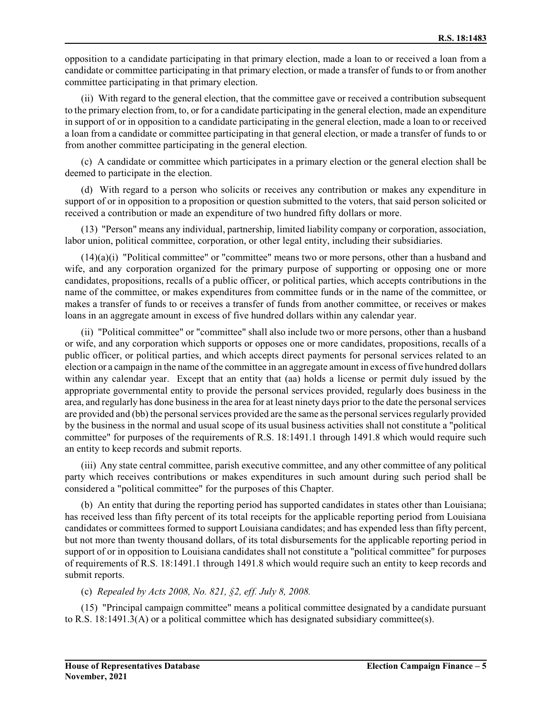opposition to a candidate participating in that primary election, made a loan to or received a loan from a candidate or committee participating in that primary election, or made a transfer of funds to or from another committee participating in that primary election.

(ii) With regard to the general election, that the committee gave or received a contribution subsequent to the primary election from, to, or for a candidate participating in the general election, made an expenditure in support of or in opposition to a candidate participating in the general election, made a loan to or received a loan from a candidate or committee participating in that general election, or made a transfer of funds to or from another committee participating in the general election.

(c) A candidate or committee which participates in a primary election or the general election shall be deemed to participate in the election.

(d) With regard to a person who solicits or receives any contribution or makes any expenditure in support of or in opposition to a proposition or question submitted to the voters, that said person solicited or received a contribution or made an expenditure of two hundred fifty dollars or more.

(13) "Person" means any individual, partnership, limited liability company or corporation, association, labor union, political committee, corporation, or other legal entity, including their subsidiaries.

 $(14)(a)(i)$  "Political committee" or "committee" means two or more persons, other than a husband and wife, and any corporation organized for the primary purpose of supporting or opposing one or more candidates, propositions, recalls of a public officer, or political parties, which accepts contributions in the name of the committee, or makes expenditures from committee funds or in the name of the committee, or makes a transfer of funds to or receives a transfer of funds from another committee, or receives or makes loans in an aggregate amount in excess of five hundred dollars within any calendar year.

(ii) "Political committee" or "committee" shall also include two or more persons, other than a husband or wife, and any corporation which supports or opposes one or more candidates, propositions, recalls of a public officer, or political parties, and which accepts direct payments for personal services related to an election or a campaign in the name of the committee in an aggregate amount in excess of five hundred dollars within any calendar year. Except that an entity that (aa) holds a license or permit duly issued by the appropriate governmental entity to provide the personal services provided, regularly does business in the area, and regularly has done business in the area for at least ninety days prior to the date the personal services are provided and (bb) the personal services provided are the same as the personal services regularly provided by the business in the normal and usual scope of its usual business activities shall not constitute a "political committee" for purposes of the requirements of R.S. 18:1491.1 through 1491.8 which would require such an entity to keep records and submit reports.

(iii) Any state central committee, parish executive committee, and any other committee of any political party which receives contributions or makes expenditures in such amount during such period shall be considered a "political committee" for the purposes of this Chapter.

(b) An entity that during the reporting period has supported candidates in states other than Louisiana; has received less than fifty percent of its total receipts for the applicable reporting period from Louisiana candidates or committees formed to support Louisiana candidates; and has expended less than fifty percent, but not more than twenty thousand dollars, of its total disbursements for the applicable reporting period in support of or in opposition to Louisiana candidates shall not constitute a "political committee" for purposes of requirements of R.S. 18:1491.1 through 1491.8 which would require such an entity to keep records and submit reports.

### (c) *Repealed by Acts 2008, No. 821, §2, eff. July 8, 2008.*

(15) "Principal campaign committee" means a political committee designated by a candidate pursuant to R.S. 18:1491.3(A) or a political committee which has designated subsidiary committee(s).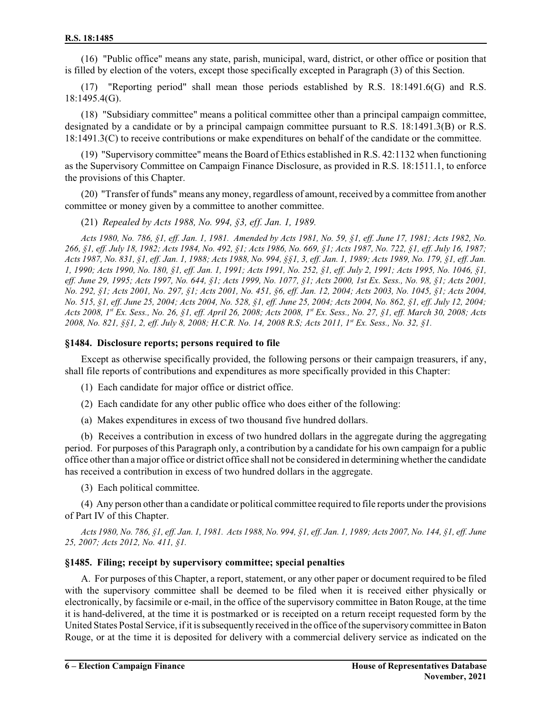(16) "Public office" means any state, parish, municipal, ward, district, or other office or position that is filled by election of the voters, except those specifically excepted in Paragraph (3) of this Section.

(17) "Reporting period" shall mean those periods established by R.S. 18:1491.6(G) and R.S. 18:1495.4(G).

(18) "Subsidiary committee" means a political committee other than a principal campaign committee, designated by a candidate or by a principal campaign committee pursuant to R.S. 18:1491.3(B) or R.S. 18:1491.3(C) to receive contributions or make expenditures on behalf of the candidate or the committee.

(19) "Supervisory committee" means the Board of Ethics established in R.S. 42:1132 when functioning as the Supervisory Committee on Campaign Finance Disclosure, as provided in R.S. 18:1511.1, to enforce the provisions of this Chapter.

(20) "Transfer of funds" means any money, regardless of amount, received by a committee from another committee or money given by a committee to another committee.

(21) *Repealed by Acts 1988, No. 994, §3, eff. Jan. 1, 1989.*

*Acts 1980, No. 786, §1, eff. Jan. 1, 1981. Amended by Acts 1981, No. 59, §1, eff. June 17, 1981; Acts 1982, No. 266, §1, eff. July 18, 1982; Acts 1984, No. 492, §1; Acts 1986, No. 669, §1; Acts 1987, No. 722, §1, eff. July 16, 1987; Acts 1987, No. 831, §1, eff. Jan. 1, 1988; Acts 1988, No. 994, §§1, 3, eff. Jan. 1, 1989; Acts 1989, No. 179, §1, eff. Jan. 1, 1990; Acts 1990, No. 180, §1, eff. Jan. 1, 1991; Acts 1991, No. 252, §1, eff. July 2, 1991; Acts 1995, No. 1046, §1, eff. June 29, 1995; Acts 1997, No. 644, §1; Acts 1999, No. 1077, §1; Acts 2000, 1st Ex. Sess., No. 98, §1; Acts 2001, No. 292, §1; Acts 2001, No. 297, §1; Acts 2001, No. 451, §6, eff. Jan. 12, 2004; Acts 2003, No. 1045, §1; Acts 2004, No. 515, §1, eff. June 25, 2004; Acts 2004, No. 528, §1, eff. June 25, 2004; Acts 2004, No. 862, §1, eff. July 12, 2004; Acts 2008, 1st Ex. Sess., No. 26, §1, eff. April 26, 2008; Acts 2008, 1 st Ex. Sess., No. 27, §1, eff. March 30, 2008; Acts 2008, No. 821, §§1, 2, eff. July 8, 2008; H.C.R. No. 14, 2008 R.S; Acts 2011, 1st Ex. Sess., No. 32, §1.*

#### **§1484. Disclosure reports; persons required to file**

Except as otherwise specifically provided, the following persons or their campaign treasurers, if any, shall file reports of contributions and expenditures as more specifically provided in this Chapter:

- (1) Each candidate for major office or district office.
- (2) Each candidate for any other public office who does either of the following:
- (a) Makes expenditures in excess of two thousand five hundred dollars.

(b) Receives a contribution in excess of two hundred dollars in the aggregate during the aggregating period. For purposes of this Paragraph only, a contribution by a candidate for his own campaign for a public office otherthan a major office or district office shall not be considered in determining whether the candidate has received a contribution in excess of two hundred dollars in the aggregate.

(3) Each political committee.

(4) Any person other than a candidate or political committee required to file reports under the provisions of Part IV of this Chapter.

*Acts 1980, No. 786, §1, eff. Jan. 1, 1981. Acts 1988, No. 994, §1, eff. Jan. 1, 1989; Acts 2007, No. 144, §1, eff. June 25, 2007; Acts 2012, No. 411, §1.*

### **§1485. Filing; receipt by supervisory committee; special penalties**

A. For purposes of this Chapter, a report, statement, or any other paper or document required to be filed with the supervisory committee shall be deemed to be filed when it is received either physically or electronically, by facsimile or e-mail, in the office of the supervisory committee in Baton Rouge, at the time it is hand-delivered, at the time it is postmarked or is receipted on a return receipt requested form by the United States Postal Service, ifit is subsequently received in the office ofthe supervisory committee in Baton Rouge, or at the time it is deposited for delivery with a commercial delivery service as indicated on the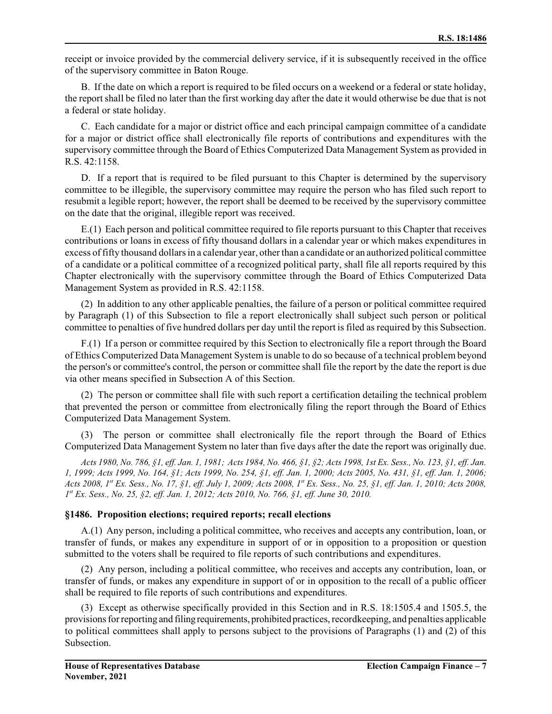receipt or invoice provided by the commercial delivery service, if it is subsequently received in the office of the supervisory committee in Baton Rouge.

B. If the date on which a report is required to be filed occurs on a weekend or a federal or state holiday, the report shall be filed no later than the first working day after the date it would otherwise be due that is not a federal or state holiday.

C. Each candidate for a major or district office and each principal campaign committee of a candidate for a major or district office shall electronically file reports of contributions and expenditures with the supervisory committee through the Board of Ethics Computerized Data Management System as provided in R.S. 42:1158.

D. If a report that is required to be filed pursuant to this Chapter is determined by the supervisory committee to be illegible, the supervisory committee may require the person who has filed such report to resubmit a legible report; however, the report shall be deemed to be received by the supervisory committee on the date that the original, illegible report was received.

E.(1) Each person and political committee required to file reports pursuant to this Chapter that receives contributions or loans in excess of fifty thousand dollars in a calendar year or which makes expenditures in excess offifty thousand dollars in a calendar year, otherthan a candidate or an authorized political committee of a candidate or a political committee of a recognized political party, shall file all reports required by this Chapter electronically with the supervisory committee through the Board of Ethics Computerized Data Management System as provided in R.S. 42:1158.

(2) In addition to any other applicable penalties, the failure of a person or political committee required by Paragraph (1) of this Subsection to file a report electronically shall subject such person or political committee to penalties of five hundred dollars per day until the report is filed as required by this Subsection.

F.(1) If a person or committee required by this Section to electronically file a report through the Board of Ethics Computerized Data Management System is unable to do so because of a technical problem beyond the person's or committee's control, the person or committee shall file the report by the date the report is due via other means specified in Subsection A of this Section.

(2) The person or committee shall file with such report a certification detailing the technical problem that prevented the person or committee from electronically filing the report through the Board of Ethics Computerized Data Management System.

The person or committee shall electronically file the report through the Board of Ethics Computerized Data Management System no later than five days after the date the report was originally due.

*Acts 1980, No. 786, §1, eff. Jan. 1, 1981; Acts 1984, No. 466, §1, §2; Acts 1998, 1st Ex. Sess., No. 123, §1, eff. Jan. 1, 1999; Acts 1999, No. 164, §1; Acts 1999, No. 254, §1, eff. Jan. 1, 2000; Acts 2005, No. 431, §1, eff. Jan. 1, 2006; Acts 2008, 1 st Ex. Sess., No. 17, §1, eff. July 1, 2009; Acts 2008, 1 st Ex. Sess., No. 25, §1, eff. Jan. 1, 2010; Acts 2008, 1 st Ex. Sess., No. 25, §2, eff. Jan. 1, 2012; Acts 2010, No. 766, §1, eff. June 30, 2010.*

### **§1486. Proposition elections; required reports; recall elections**

A.(1) Any person, including a political committee, who receives and accepts any contribution, loan, or transfer of funds, or makes any expenditure in support of or in opposition to a proposition or question submitted to the voters shall be required to file reports of such contributions and expenditures.

(2) Any person, including a political committee, who receives and accepts any contribution, loan, or transfer of funds, or makes any expenditure in support of or in opposition to the recall of a public officer shall be required to file reports of such contributions and expenditures.

(3) Except as otherwise specifically provided in this Section and in R.S. 18:1505.4 and 1505.5, the provisions forreporting and filingrequirements, prohibited practices, recordkeeping, and penalties applicable to political committees shall apply to persons subject to the provisions of Paragraphs (1) and (2) of this Subsection.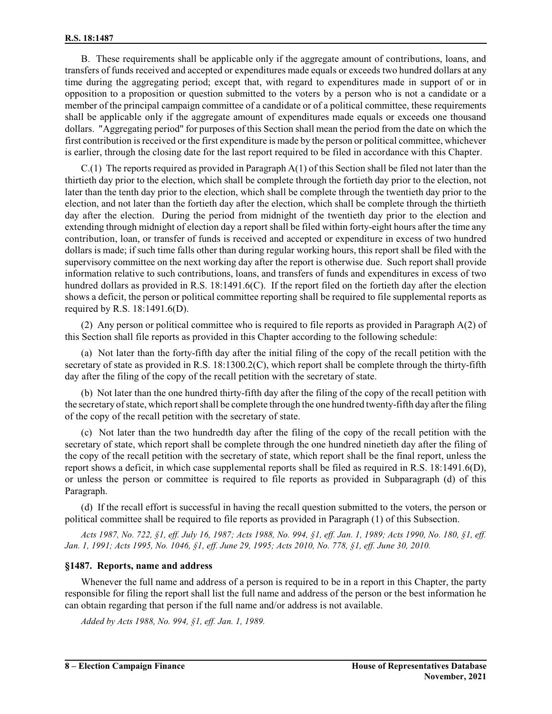B. These requirements shall be applicable only if the aggregate amount of contributions, loans, and transfers of funds received and accepted or expenditures made equals or exceeds two hundred dollars at any time during the aggregating period; except that, with regard to expenditures made in support of or in opposition to a proposition or question submitted to the voters by a person who is not a candidate or a member of the principal campaign committee of a candidate or of a political committee, these requirements shall be applicable only if the aggregate amount of expenditures made equals or exceeds one thousand dollars. "Aggregating period" for purposes of this Section shall mean the period from the date on which the first contribution is received or the first expenditure is made by the person or political committee, whichever is earlier, through the closing date for the last report required to be filed in accordance with this Chapter.

C.(1) The reports required as provided in Paragraph A(1) of this Section shall be filed not later than the thirtieth day prior to the election, which shall be complete through the fortieth day prior to the election, not later than the tenth day prior to the election, which shall be complete through the twentieth day prior to the election, and not later than the fortieth day after the election, which shall be complete through the thirtieth day after the election. During the period from midnight of the twentieth day prior to the election and extending through midnight of election day a report shall be filed within forty-eight hours after the time any contribution, loan, or transfer of funds is received and accepted or expenditure in excess of two hundred dollars is made; if such time falls other than during regular working hours, this report shall be filed with the supervisory committee on the next working day after the report is otherwise due. Such report shall provide information relative to such contributions, loans, and transfers of funds and expenditures in excess of two hundred dollars as provided in R.S. 18:1491.6(C). If the report filed on the fortieth day after the election shows a deficit, the person or political committee reporting shall be required to file supplemental reports as required by R.S. 18:1491.6(D).

(2) Any person or political committee who is required to file reports as provided in Paragraph A(2) of this Section shall file reports as provided in this Chapter according to the following schedule:

(a) Not later than the forty-fifth day after the initial filing of the copy of the recall petition with the secretary of state as provided in R.S. 18:1300.2(C), which report shall be complete through the thirty-fifth day after the filing of the copy of the recall petition with the secretary of state.

(b) Not later than the one hundred thirty-fifth day after the filing of the copy of the recall petition with the secretary ofstate, which reportshall be complete through the one hundred twenty-fifth day after the filing of the copy of the recall petition with the secretary of state.

(c) Not later than the two hundredth day after the filing of the copy of the recall petition with the secretary of state, which report shall be complete through the one hundred ninetieth day after the filing of the copy of the recall petition with the secretary of state, which report shall be the final report, unless the report shows a deficit, in which case supplemental reports shall be filed as required in R.S. 18:1491.6(D), or unless the person or committee is required to file reports as provided in Subparagraph (d) of this Paragraph.

(d) If the recall effort is successful in having the recall question submitted to the voters, the person or political committee shall be required to file reports as provided in Paragraph (1) of this Subsection.

*Acts 1987, No. 722, §1, eff. July 16, 1987; Acts 1988, No. 994, §1, eff. Jan. 1, 1989; Acts 1990, No. 180, §1, eff. Jan. 1, 1991; Acts 1995, No. 1046, §1, eff. June 29, 1995; Acts 2010, No. 778, §1, eff. June 30, 2010.*

### **§1487. Reports, name and address**

Whenever the full name and address of a person is required to be in a report in this Chapter, the party responsible for filing the report shall list the full name and address of the person or the best information he can obtain regarding that person if the full name and/or address is not available.

*Added by Acts 1988, No. 994, §1, eff. Jan. 1, 1989.*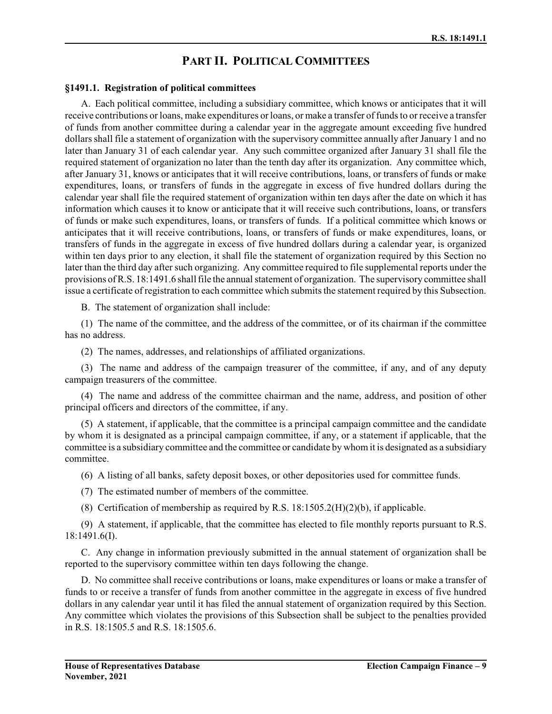# **PART II. POLITICAL COMMITTEES**

#### **§1491.1. Registration of political committees**

A. Each political committee, including a subsidiary committee, which knows or anticipates that it will receive contributions or loans, make expenditures orloans, or make a transfer of funds to or receive a transfer of funds from another committee during a calendar year in the aggregate amount exceeding five hundred dollars shall file a statement of organization with the supervisory committee annually after January 1 and no later than January 31 of each calendar year. Any such committee organized after January 31 shall file the required statement of organization no later than the tenth day after its organization. Any committee which, after January 31, knows or anticipates that it will receive contributions, loans, or transfers of funds or make expenditures, loans, or transfers of funds in the aggregate in excess of five hundred dollars during the calendar year shall file the required statement of organization within ten days after the date on which it has information which causes it to know or anticipate that it will receive such contributions, loans, or transfers of funds or make such expenditures, loans, or transfers of funds. If a political committee which knows or anticipates that it will receive contributions, loans, or transfers of funds or make expenditures, loans, or transfers of funds in the aggregate in excess of five hundred dollars during a calendar year, is organized within ten days prior to any election, it shall file the statement of organization required by this Section no later than the third day after such organizing. Any committee required to file supplemental reports under the provisions of R.S. 18:1491.6 shall file the annual statement of organization. The supervisory committee shall issue a certificate of registration to each committee which submits the statement required by this Subsection.

B. The statement of organization shall include:

(1) The name of the committee, and the address of the committee, or of its chairman if the committee has no address.

(2) The names, addresses, and relationships of affiliated organizations.

(3) The name and address of the campaign treasurer of the committee, if any, and of any deputy campaign treasurers of the committee.

(4) The name and address of the committee chairman and the name, address, and position of other principal officers and directors of the committee, if any.

(5) A statement, if applicable, that the committee is a principal campaign committee and the candidate by whom it is designated as a principal campaign committee, if any, or a statement if applicable, that the committee is a subsidiary committee and the committee or candidate by whomit is designated as a subsidiary committee.

(6) A listing of all banks, safety deposit boxes, or other depositories used for committee funds.

(7) The estimated number of members of the committee.

(8) Certification of membership as required by R.S.  $18:1505.2(H)(2)(b)$ , if applicable.

(9) A statement, if applicable, that the committee has elected to file monthly reports pursuant to R.S. 18:1491.6(I).

C. Any change in information previously submitted in the annual statement of organization shall be reported to the supervisory committee within ten days following the change.

D. No committee shall receive contributions or loans, make expenditures or loans or make a transfer of funds to or receive a transfer of funds from another committee in the aggregate in excess of five hundred dollars in any calendar year until it has filed the annual statement of organization required by this Section. Any committee which violates the provisions of this Subsection shall be subject to the penalties provided in R.S. 18:1505.5 and R.S. 18:1505.6.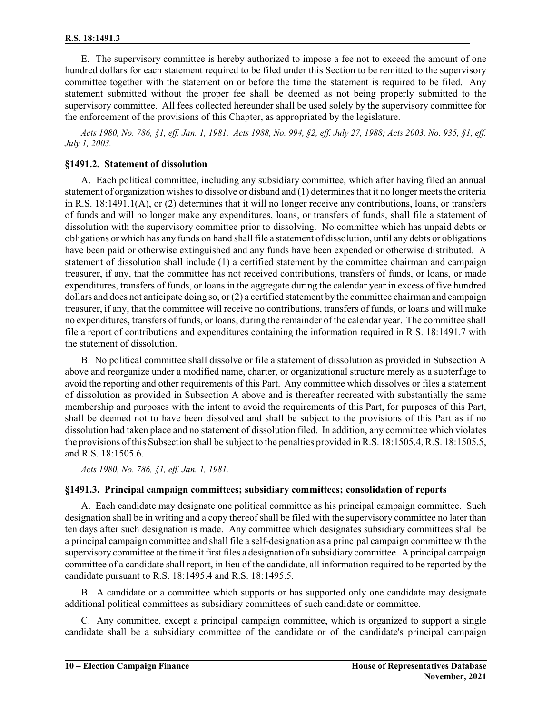E. The supervisory committee is hereby authorized to impose a fee not to exceed the amount of one hundred dollars for each statement required to be filed under this Section to be remitted to the supervisory committee together with the statement on or before the time the statement is required to be filed. Any statement submitted without the proper fee shall be deemed as not being properly submitted to the supervisory committee. All fees collected hereunder shall be used solely by the supervisory committee for the enforcement of the provisions of this Chapter, as appropriated by the legislature.

*Acts 1980, No. 786, §1, eff. Jan. 1, 1981. Acts 1988, No. 994, §2, eff. July 27, 1988; Acts 2003, No. 935, §1, eff. July 1, 2003.*

### **§1491.2. Statement of dissolution**

A. Each political committee, including any subsidiary committee, which after having filed an annual statement of organization wishes to dissolve or disband and (1) determines that it no longer meets the criteria in R.S. 18:1491.1(A), or (2) determines that it will no longer receive any contributions, loans, or transfers of funds and will no longer make any expenditures, loans, or transfers of funds, shall file a statement of dissolution with the supervisory committee prior to dissolving. No committee which has unpaid debts or obligations or which has any funds on hand shall file a statement of dissolution, until any debts or obligations have been paid or otherwise extinguished and any funds have been expended or otherwise distributed. A statement of dissolution shall include (1) a certified statement by the committee chairman and campaign treasurer, if any, that the committee has not received contributions, transfers of funds, or loans, or made expenditures, transfers of funds, or loans in the aggregate during the calendar year in excess of five hundred dollars and does not anticipate doing so, or (2) a certified statement by the committee chairman and campaign treasurer, if any, that the committee will receive no contributions, transfers of funds, or loans and will make no expenditures, transfers of funds, or loans, during the remainder of the calendar year. The committee shall file a report of contributions and expenditures containing the information required in R.S. 18:1491.7 with the statement of dissolution.

B. No political committee shall dissolve or file a statement of dissolution as provided in Subsection A above and reorganize under a modified name, charter, or organizational structure merely as a subterfuge to avoid the reporting and other requirements of this Part. Any committee which dissolves or files a statement of dissolution as provided in Subsection A above and is thereafter recreated with substantially the same membership and purposes with the intent to avoid the requirements of this Part, for purposes of this Part, shall be deemed not to have been dissolved and shall be subject to the provisions of this Part as if no dissolution had taken place and no statement of dissolution filed. In addition, any committee which violates the provisions of this Subsection shall be subject to the penalties provided in R.S. 18:1505.4, R.S. 18:1505.5, and R.S. 18:1505.6.

*Acts 1980, No. 786, §1, eff. Jan. 1, 1981.*

### **§1491.3. Principal campaign committees; subsidiary committees; consolidation of reports**

A. Each candidate may designate one political committee as his principal campaign committee. Such designation shall be in writing and a copy thereof shall be filed with the supervisory committee no later than ten days after such designation is made. Any committee which designates subsidiary committees shall be a principal campaign committee and shall file a self-designation as a principal campaign committee with the supervisory committee at the time it first files a designation of a subsidiary committee. A principal campaign committee of a candidate shall report, in lieu of the candidate, all information required to be reported by the candidate pursuant to R.S. 18:1495.4 and R.S. 18:1495.5.

B. A candidate or a committee which supports or has supported only one candidate may designate additional political committees as subsidiary committees of such candidate or committee.

C. Any committee, except a principal campaign committee, which is organized to support a single candidate shall be a subsidiary committee of the candidate or of the candidate's principal campaign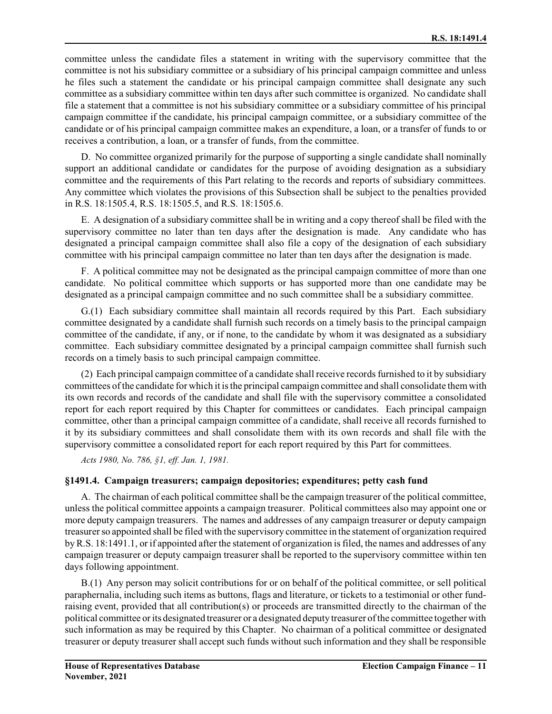committee unless the candidate files a statement in writing with the supervisory committee that the committee is not his subsidiary committee or a subsidiary of his principal campaign committee and unless he files such a statement the candidate or his principal campaign committee shall designate any such committee as a subsidiary committee within ten days after such committee is organized. No candidate shall file a statement that a committee is not his subsidiary committee or a subsidiary committee of his principal campaign committee if the candidate, his principal campaign committee, or a subsidiary committee of the candidate or of his principal campaign committee makes an expenditure, a loan, or a transfer of funds to or receives a contribution, a loan, or a transfer of funds, from the committee.

D. No committee organized primarily for the purpose of supporting a single candidate shall nominally support an additional candidate or candidates for the purpose of avoiding designation as a subsidiary committee and the requirements of this Part relating to the records and reports of subsidiary committees. Any committee which violates the provisions of this Subsection shall be subject to the penalties provided in R.S. 18:1505.4, R.S. 18:1505.5, and R.S. 18:1505.6.

E. A designation of a subsidiary committee shall be in writing and a copy thereof shall be filed with the supervisory committee no later than ten days after the designation is made. Any candidate who has designated a principal campaign committee shall also file a copy of the designation of each subsidiary committee with his principal campaign committee no later than ten days after the designation is made.

F. A political committee may not be designated as the principal campaign committee of more than one candidate. No political committee which supports or has supported more than one candidate may be designated as a principal campaign committee and no such committee shall be a subsidiary committee.

G.(1) Each subsidiary committee shall maintain all records required by this Part. Each subsidiary committee designated by a candidate shall furnish such records on a timely basis to the principal campaign committee of the candidate, if any, or if none, to the candidate by whom it was designated as a subsidiary committee. Each subsidiary committee designated by a principal campaign committee shall furnish such records on a timely basis to such principal campaign committee.

(2) Each principal campaign committee of a candidate shall receive records furnished to it by subsidiary committees ofthe candidate for which it is the principal campaign committee and shall consolidate themwith its own records and records of the candidate and shall file with the supervisory committee a consolidated report for each report required by this Chapter for committees or candidates. Each principal campaign committee, other than a principal campaign committee of a candidate, shall receive all records furnished to it by its subsidiary committees and shall consolidate them with its own records and shall file with the supervisory committee a consolidated report for each report required by this Part for committees.

*Acts 1980, No. 786, §1, eff. Jan. 1, 1981.*

### **§1491.4. Campaign treasurers; campaign depositories; expenditures; petty cash fund**

A. The chairman of each political committee shall be the campaign treasurer of the political committee, unless the political committee appoints a campaign treasurer. Political committees also may appoint one or more deputy campaign treasurers. The names and addresses of any campaign treasurer or deputy campaign treasurer so appointed shall be filed with the supervisory committee in the statement of organization required by R.S. 18:1491.1, or if appointed after the statement of organization is filed, the names and addresses of any campaign treasurer or deputy campaign treasurer shall be reported to the supervisory committee within ten days following appointment.

B.(1) Any person may solicit contributions for or on behalf of the political committee, or sell political paraphernalia, including such items as buttons, flags and literature, or tickets to a testimonial or other fundraising event, provided that all contribution(s) or proceeds are transmitted directly to the chairman of the political committee or its designated treasurer or a designated deputy treasurer of the committee together with such information as may be required by this Chapter. No chairman of a political committee or designated treasurer or deputy treasurer shall accept such funds without such information and they shall be responsible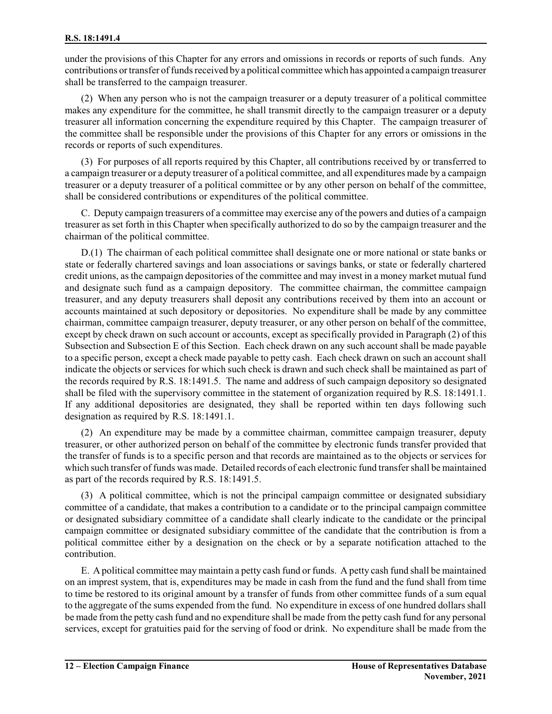under the provisions of this Chapter for any errors and omissions in records or reports of such funds. Any contributions ortransfer offunds received by a political committee which has appointed a campaign treasurer shall be transferred to the campaign treasurer.

(2) When any person who is not the campaign treasurer or a deputy treasurer of a political committee makes any expenditure for the committee, he shall transmit directly to the campaign treasurer or a deputy treasurer all information concerning the expenditure required by this Chapter. The campaign treasurer of the committee shall be responsible under the provisions of this Chapter for any errors or omissions in the records or reports of such expenditures.

(3) For purposes of all reports required by this Chapter, all contributions received by or transferred to a campaign treasurer or a deputy treasurer of a political committee, and all expenditures made by a campaign treasurer or a deputy treasurer of a political committee or by any other person on behalf of the committee, shall be considered contributions or expenditures of the political committee.

C. Deputy campaign treasurers of a committee may exercise any of the powers and duties of a campaign treasurer as set forth in this Chapter when specifically authorized to do so by the campaign treasurer and the chairman of the political committee.

D.(1) The chairman of each political committee shall designate one or more national or state banks or state or federally chartered savings and loan associations or savings banks, or state or federally chartered credit unions, as the campaign depositories of the committee and may invest in a money market mutual fund and designate such fund as a campaign depository. The committee chairman, the committee campaign treasurer, and any deputy treasurers shall deposit any contributions received by them into an account or accounts maintained at such depository or depositories. No expenditure shall be made by any committee chairman, committee campaign treasurer, deputy treasurer, or any other person on behalf of the committee, except by check drawn on such account or accounts, except as specifically provided in Paragraph (2) of this Subsection and Subsection E of this Section. Each check drawn on any such account shall be made payable to a specific person, except a check made payable to petty cash. Each check drawn on such an account shall indicate the objects or services for which such check is drawn and such check shall be maintained as part of the records required by R.S. 18:1491.5. The name and address of such campaign depository so designated shall be filed with the supervisory committee in the statement of organization required by R.S. 18:1491.1. If any additional depositories are designated, they shall be reported within ten days following such designation as required by R.S. 18:1491.1.

(2) An expenditure may be made by a committee chairman, committee campaign treasurer, deputy treasurer, or other authorized person on behalf of the committee by electronic funds transfer provided that the transfer of funds is to a specific person and that records are maintained as to the objects or services for which such transfer of funds was made. Detailed records of each electronic fund transfershall be maintained as part of the records required by R.S. 18:1491.5.

(3) A political committee, which is not the principal campaign committee or designated subsidiary committee of a candidate, that makes a contribution to a candidate or to the principal campaign committee or designated subsidiary committee of a candidate shall clearly indicate to the candidate or the principal campaign committee or designated subsidiary committee of the candidate that the contribution is from a political committee either by a designation on the check or by a separate notification attached to the contribution.

E. A political committee may maintain a petty cash fund or funds. A petty cash fund shall be maintained on an imprest system, that is, expenditures may be made in cash from the fund and the fund shall from time to time be restored to its original amount by a transfer of funds from other committee funds of a sum equal to the aggregate of the sums expended from the fund. No expenditure in excess of one hundred dollars shall be made from the petty cash fund and no expenditure shall be made from the petty cash fund for any personal services, except for gratuities paid for the serving of food or drink. No expenditure shall be made from the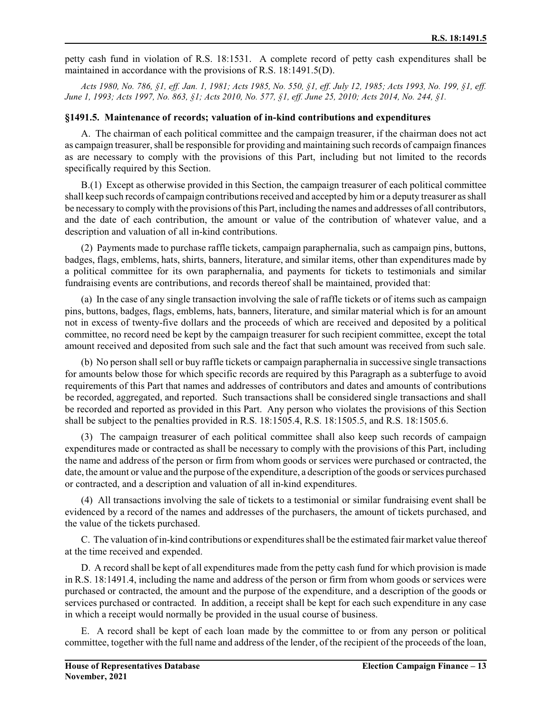petty cash fund in violation of R.S. 18:1531. A complete record of petty cash expenditures shall be maintained in accordance with the provisions of R.S. 18:1491.5(D).

*Acts 1980, No. 786, §1, eff. Jan. 1, 1981; Acts 1985, No. 550, §1, eff. July 12, 1985; Acts 1993, No. 199, §1, eff. June 1, 1993; Acts 1997, No. 863, §1; Acts 2010, No. 577, §1, eff. June 25, 2010; Acts 2014, No. 244, §1.*

### **§1491.5. Maintenance of records; valuation of in-kind contributions and expenditures**

A. The chairman of each political committee and the campaign treasurer, if the chairman does not act as campaign treasurer, shall be responsible for providing and maintaining such records of campaign finances as are necessary to comply with the provisions of this Part, including but not limited to the records specifically required by this Section.

B.(1) Except as otherwise provided in this Section, the campaign treasurer of each political committee shall keep such records of campaign contributions received and accepted by himor a deputy treasurer as shall be necessary to comply with the provisions ofthis Part, including the names and addresses of all contributors, and the date of each contribution, the amount or value of the contribution of whatever value, and a description and valuation of all in-kind contributions.

(2) Payments made to purchase raffle tickets, campaign paraphernalia, such as campaign pins, buttons, badges, flags, emblems, hats, shirts, banners, literature, and similar items, other than expenditures made by a political committee for its own paraphernalia, and payments for tickets to testimonials and similar fundraising events are contributions, and records thereof shall be maintained, provided that:

(a) In the case of any single transaction involving the sale of raffle tickets or of items such as campaign pins, buttons, badges, flags, emblems, hats, banners, literature, and similar material which is for an amount not in excess of twenty-five dollars and the proceeds of which are received and deposited by a political committee, no record need be kept by the campaign treasurer for such recipient committee, except the total amount received and deposited from such sale and the fact that such amount was received from such sale.

(b) No person shall sell or buy raffle tickets or campaign paraphernalia in successive single transactions for amounts below those for which specific records are required by this Paragraph as a subterfuge to avoid requirements of this Part that names and addresses of contributors and dates and amounts of contributions be recorded, aggregated, and reported. Such transactions shall be considered single transactions and shall be recorded and reported as provided in this Part. Any person who violates the provisions of this Section shall be subject to the penalties provided in R.S. 18:1505.4, R.S. 18:1505.5, and R.S. 18:1505.6.

(3) The campaign treasurer of each political committee shall also keep such records of campaign expenditures made or contracted as shall be necessary to comply with the provisions of this Part, including the name and address of the person or firm from whom goods or services were purchased or contracted, the date, the amount or value and the purpose of the expenditure, a description of the goods or services purchased or contracted, and a description and valuation of all in-kind expenditures.

(4) All transactions involving the sale of tickets to a testimonial or similar fundraising event shall be evidenced by a record of the names and addresses of the purchasers, the amount of tickets purchased, and the value of the tickets purchased.

C. The valuation ofin-kind contributions or expenditures shall be the estimated fairmarket value thereof at the time received and expended.

D. A record shall be kept of all expenditures made from the petty cash fund for which provision is made in R.S. 18:1491.4, including the name and address of the person or firm from whom goods or services were purchased or contracted, the amount and the purpose of the expenditure, and a description of the goods or services purchased or contracted. In addition, a receipt shall be kept for each such expenditure in any case in which a receipt would normally be provided in the usual course of business.

E. A record shall be kept of each loan made by the committee to or from any person or political committee, together with the full name and address of the lender, of the recipient of the proceeds of the loan,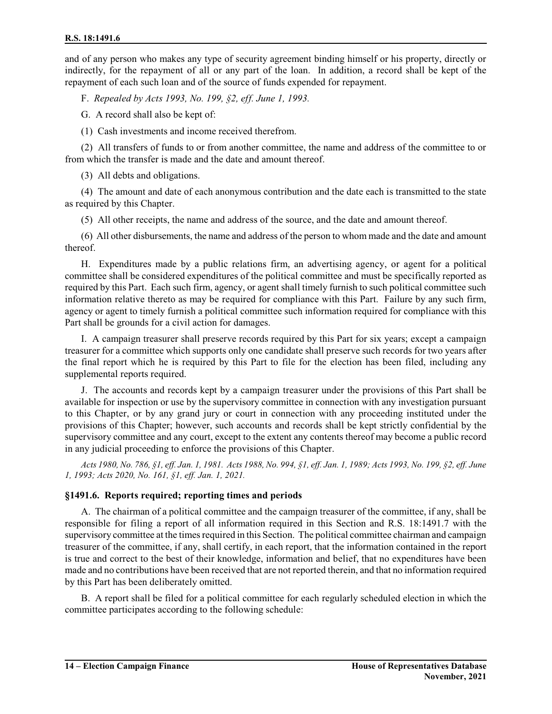and of any person who makes any type of security agreement binding himself or his property, directly or indirectly, for the repayment of all or any part of the loan. In addition, a record shall be kept of the repayment of each such loan and of the source of funds expended for repayment.

F. *Repealed by Acts 1993, No. 199, §2, eff. June 1, 1993.*

G. A record shall also be kept of:

(1) Cash investments and income received therefrom.

(2) All transfers of funds to or from another committee, the name and address of the committee to or from which the transfer is made and the date and amount thereof.

(3) All debts and obligations.

(4) The amount and date of each anonymous contribution and the date each is transmitted to the state as required by this Chapter.

(5) All other receipts, the name and address of the source, and the date and amount thereof.

(6) All other disbursements, the name and address of the person to whom made and the date and amount thereof.

H. Expenditures made by a public relations firm, an advertising agency, or agent for a political committee shall be considered expenditures of the political committee and must be specifically reported as required by this Part. Each such firm, agency, or agent shall timely furnish to such political committee such information relative thereto as may be required for compliance with this Part. Failure by any such firm, agency or agent to timely furnish a political committee such information required for compliance with this Part shall be grounds for a civil action for damages.

I. A campaign treasurer shall preserve records required by this Part for six years; except a campaign treasurer for a committee which supports only one candidate shall preserve such records for two years after the final report which he is required by this Part to file for the election has been filed, including any supplemental reports required.

J. The accounts and records kept by a campaign treasurer under the provisions of this Part shall be available for inspection or use by the supervisory committee in connection with any investigation pursuant to this Chapter, or by any grand jury or court in connection with any proceeding instituted under the provisions of this Chapter; however, such accounts and records shall be kept strictly confidential by the supervisory committee and any court, except to the extent any contents thereof may become a public record in any judicial proceeding to enforce the provisions of this Chapter.

*Acts 1980, No. 786, §1, eff. Jan. 1, 1981. Acts 1988, No. 994, §1, eff. Jan. 1, 1989; Acts 1993, No. 199, §2, eff. June 1, 1993; Acts 2020, No. 161, §1, eff. Jan. 1, 2021.*

### **§1491.6. Reports required; reporting times and periods**

A. The chairman of a political committee and the campaign treasurer of the committee, if any, shall be responsible for filing a report of all information required in this Section and R.S. 18:1491.7 with the supervisory committee at the times required in this Section. The political committee chairman and campaign treasurer of the committee, if any, shall certify, in each report, that the information contained in the report is true and correct to the best of their knowledge, information and belief, that no expenditures have been made and no contributions have been received that are not reported therein, and that no information required by this Part has been deliberately omitted.

B. A report shall be filed for a political committee for each regularly scheduled election in which the committee participates according to the following schedule: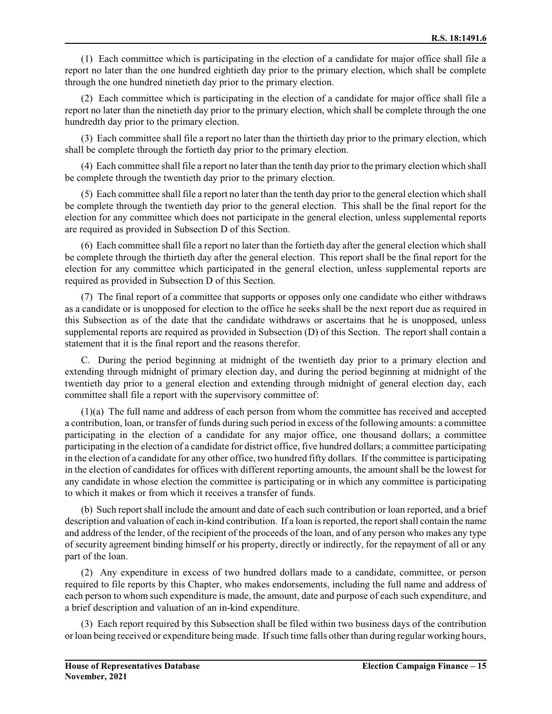(1) Each committee which is participating in the election of a candidate for major office shall file a report no later than the one hundred eightieth day prior to the primary election, which shall be complete through the one hundred ninetieth day prior to the primary election.

(2) Each committee which is participating in the election of a candidate for major office shall file a report no later than the ninetieth day prior to the primary election, which shall be complete through the one hundredth day prior to the primary election.

(3) Each committee shall file a report no later than the thirtieth day prior to the primary election, which shall be complete through the fortieth day prior to the primary election.

(4) Each committee shall file a report no later than the tenth day prior to the primary election which shall be complete through the twentieth day prior to the primary election.

(5) Each committee shall file a report no later than the tenth day prior to the general election which shall be complete through the twentieth day prior to the general election. This shall be the final report for the election for any committee which does not participate in the general election, unless supplemental reports are required as provided in Subsection D of this Section.

(6) Each committee shall file a report no later than the fortieth day after the general election which shall be complete through the thirtieth day after the general election. This report shall be the final report for the election for any committee which participated in the general election, unless supplemental reports are required as provided in Subsection D of this Section.

(7) The final report of a committee that supports or opposes only one candidate who either withdraws as a candidate or is unopposed for election to the office he seeks shall be the next report due as required in this Subsection as of the date that the candidate withdraws or ascertains that he is unopposed, unless supplemental reports are required as provided in Subsection (D) of this Section. The report shall contain a statement that it is the final report and the reasons therefor.

C. During the period beginning at midnight of the twentieth day prior to a primary election and extending through midnight of primary election day, and during the period beginning at midnight of the twentieth day prior to a general election and extending through midnight of general election day, each committee shall file a report with the supervisory committee of:

(1)(a) The full name and address of each person from whom the committee has received and accepted a contribution, loan, or transfer of funds during such period in excess of the following amounts: a committee participating in the election of a candidate for any major office, one thousand dollars; a committee participating in the election of a candidate for district office, five hundred dollars; a committee participating in the election of a candidate for any other office, two hundred fifty dollars. If the committee is participating in the election of candidates for offices with different reporting amounts, the amount shall be the lowest for any candidate in whose election the committee is participating or in which any committee is participating to which it makes or from which it receives a transfer of funds.

(b) Such reportshall include the amount and date of each such contribution or loan reported, and a brief description and valuation of each in-kind contribution. If a loan is reported, the reportshall contain the name and address of the lender, of the recipient of the proceeds of the loan, and of any person who makes any type of security agreement binding himself or his property, directly or indirectly, for the repayment of all or any part of the loan.

(2) Any expenditure in excess of two hundred dollars made to a candidate, committee, or person required to file reports by this Chapter, who makes endorsements, including the full name and address of each person to whom such expenditure is made, the amount, date and purpose of each such expenditure, and a brief description and valuation of an in-kind expenditure.

(3) Each report required by this Subsection shall be filed within two business days of the contribution or loan being received or expenditure being made. Ifsuch time falls other than during regular working hours,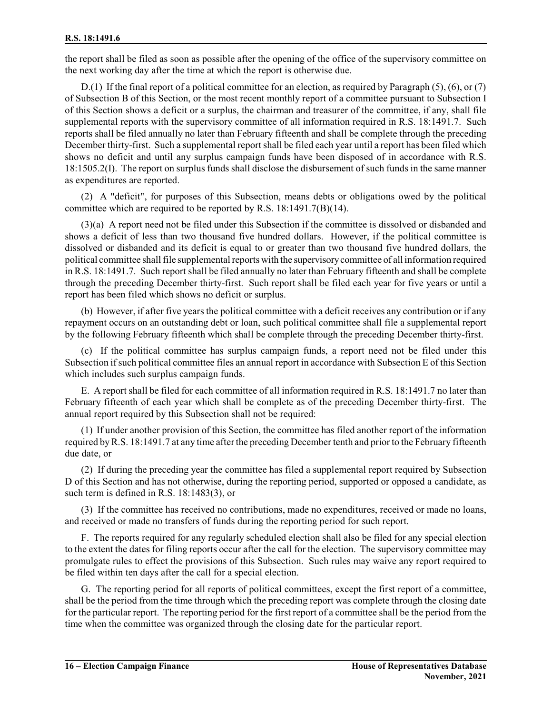the report shall be filed as soon as possible after the opening of the office of the supervisory committee on the next working day after the time at which the report is otherwise due.

D.(1) If the final report of a political committee for an election, as required by Paragraph (5), (6), or (7) of Subsection B of this Section, or the most recent monthly report of a committee pursuant to Subsection I of this Section shows a deficit or a surplus, the chairman and treasurer of the committee, if any, shall file supplemental reports with the supervisory committee of all information required in R.S. 18:1491.7. Such reports shall be filed annually no later than February fifteenth and shall be complete through the preceding December thirty-first. Such a supplemental report shall be filed each year until a report has been filed which shows no deficit and until any surplus campaign funds have been disposed of in accordance with R.S. 18:1505.2(I). The report on surplus funds shall disclose the disbursement of such funds in the same manner as expenditures are reported.

(2) A "deficit", for purposes of this Subsection, means debts or obligations owed by the political committee which are required to be reported by R.S. 18:1491.7(B)(14).

(3)(a) A report need not be filed under this Subsection if the committee is dissolved or disbanded and shows a deficit of less than two thousand five hundred dollars. However, if the political committee is dissolved or disbanded and its deficit is equal to or greater than two thousand five hundred dollars, the political committee shall file supplemental reports with the supervisory committee of all information required in R.S. 18:1491.7. Such report shall be filed annually no later than February fifteenth and shall be complete through the preceding December thirty-first. Such report shall be filed each year for five years or until a report has been filed which shows no deficit or surplus.

(b) However, if after five years the political committee with a deficit receives any contribution or if any repayment occurs on an outstanding debt or loan, such political committee shall file a supplemental report by the following February fifteenth which shall be complete through the preceding December thirty-first.

(c) If the political committee has surplus campaign funds, a report need not be filed under this Subsection if such political committee files an annual report in accordance with Subsection E of this Section which includes such surplus campaign funds.

E. A report shall be filed for each committee of all information required in R.S. 18:1491.7 no later than February fifteenth of each year which shall be complete as of the preceding December thirty-first. The annual report required by this Subsection shall not be required:

(1) If under another provision of this Section, the committee has filed another report of the information required byR.S. 18:1491.7 at any time after the preceding December tenth and prior to the February fifteenth due date, or

(2) If during the preceding year the committee has filed a supplemental report required by Subsection D of this Section and has not otherwise, during the reporting period, supported or opposed a candidate, as such term is defined in R.S. 18:1483(3), or

(3) If the committee has received no contributions, made no expenditures, received or made no loans, and received or made no transfers of funds during the reporting period for such report.

F. The reports required for any regularly scheduled election shall also be filed for any special election to the extent the dates for filing reports occur after the call for the election. The supervisory committee may promulgate rules to effect the provisions of this Subsection. Such rules may waive any report required to be filed within ten days after the call for a special election.

G. The reporting period for all reports of political committees, except the first report of a committee, shall be the period from the time through which the preceding report was complete through the closing date for the particular report. The reporting period for the first report of a committee shall be the period from the time when the committee was organized through the closing date for the particular report.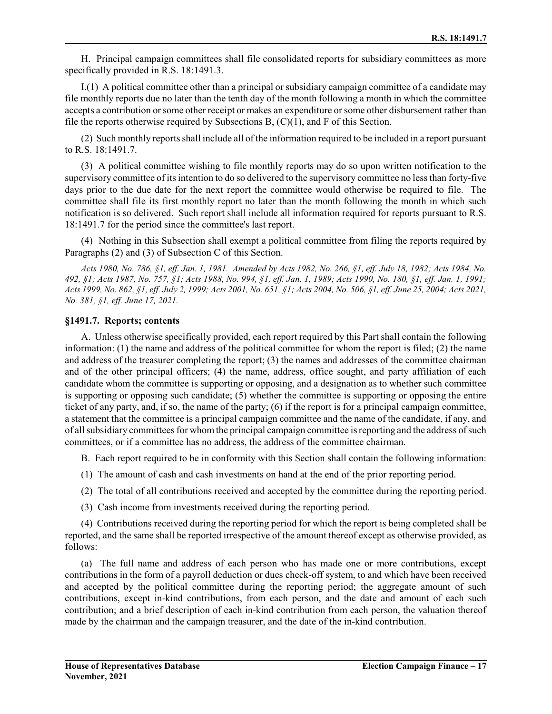H. Principal campaign committees shall file consolidated reports for subsidiary committees as more specifically provided in R.S. 18:1491.3.

I.(1) A political committee other than a principal or subsidiary campaign committee of a candidate may file monthly reports due no later than the tenth day of the month following a month in which the committee accepts a contribution orsome other receipt or makes an expenditure orsome other disbursement rather than file the reports otherwise required by Subsections  $B$ ,  $(C)(1)$ , and F of this Section.

(2) Such monthly reports shall include all of the information required to be included in a report pursuant to R.S. 18:1491.7.

(3) A political committee wishing to file monthly reports may do so upon written notification to the supervisory committee of its intention to do so delivered to the supervisory committee no less than forty-five days prior to the due date for the next report the committee would otherwise be required to file. The committee shall file its first monthly report no later than the month following the month in which such notification is so delivered. Such report shall include all information required for reports pursuant to R.S. 18:1491.7 for the period since the committee's last report.

(4) Nothing in this Subsection shall exempt a political committee from filing the reports required by Paragraphs (2) and (3) of Subsection C of this Section.

*Acts 1980, No. 786, §1, eff. Jan. 1, 1981. Amended by Acts 1982, No. 266, §1, eff. July 18, 1982; Acts 1984, No. 492, §1; Acts 1987, No. 757, §1; Acts 1988, No. 994, §1, eff. Jan. 1, 1989; Acts 1990, No. 180, §1, eff. Jan. 1, 1991; Acts 1999, No. 862, §1, eff. July 2, 1999; Acts 2001, No. 651, §1; Acts 2004, No. 506, §1, eff. June 25, 2004; Acts 2021, No. 381, §1, eff. June 17, 2021.*

### **§1491.7. Reports; contents**

A. Unless otherwise specifically provided, each report required by this Part shall contain the following information: (1) the name and address of the political committee for whom the report is filed; (2) the name and address of the treasurer completing the report; (3) the names and addresses of the committee chairman and of the other principal officers; (4) the name, address, office sought, and party affiliation of each candidate whom the committee is supporting or opposing, and a designation as to whether such committee is supporting or opposing such candidate; (5) whether the committee is supporting or opposing the entire ticket of any party, and, if so, the name of the party; (6) if the report is for a principal campaign committee, a statement that the committee is a principal campaign committee and the name of the candidate, if any, and of allsubsidiary committees for whom the principal campaign committee is reporting and the address ofsuch committees, or if a committee has no address, the address of the committee chairman.

B. Each report required to be in conformity with this Section shall contain the following information:

- (1) The amount of cash and cash investments on hand at the end of the prior reporting period.
- (2) The total of all contributions received and accepted by the committee during the reporting period.
- (3) Cash income from investments received during the reporting period.

(4) Contributions received during the reporting period for which the report is being completed shall be reported, and the same shall be reported irrespective of the amount thereof except as otherwise provided, as follows:

(a) The full name and address of each person who has made one or more contributions, except contributions in the form of a payroll deduction or dues check-off system, to and which have been received and accepted by the political committee during the reporting period; the aggregate amount of such contributions, except in-kind contributions, from each person, and the date and amount of each such contribution; and a brief description of each in-kind contribution from each person, the valuation thereof made by the chairman and the campaign treasurer, and the date of the in-kind contribution.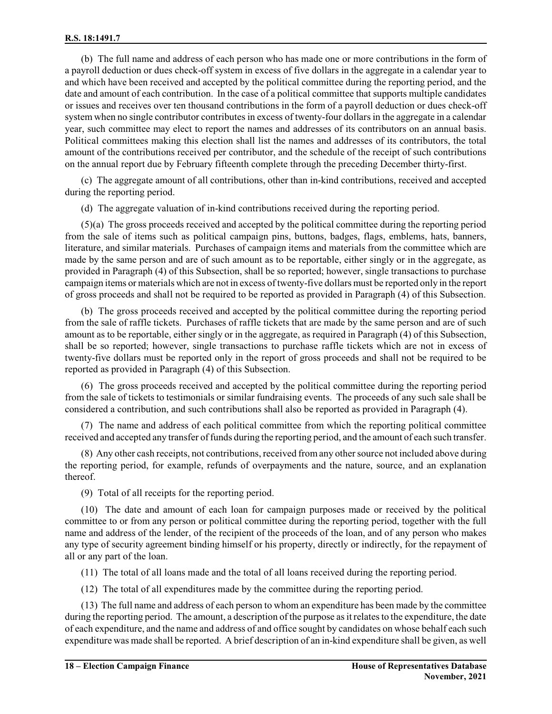(b) The full name and address of each person who has made one or more contributions in the form of a payroll deduction or dues check-off system in excess of five dollars in the aggregate in a calendar year to and which have been received and accepted by the political committee during the reporting period, and the date and amount of each contribution. In the case of a political committee that supports multiple candidates or issues and receives over ten thousand contributions in the form of a payroll deduction or dues check-off system when no single contributor contributes in excess of twenty-four dollars in the aggregate in a calendar year, such committee may elect to report the names and addresses of its contributors on an annual basis. Political committees making this election shall list the names and addresses of its contributors, the total amount of the contributions received per contributor, and the schedule of the receipt of such contributions on the annual report due by February fifteenth complete through the preceding December thirty-first.

(c) The aggregate amount of all contributions, other than in-kind contributions, received and accepted during the reporting period.

(d) The aggregate valuation of in-kind contributions received during the reporting period.

(5)(a) The gross proceeds received and accepted by the political committee during the reporting period from the sale of items such as political campaign pins, buttons, badges, flags, emblems, hats, banners, literature, and similar materials. Purchases of campaign items and materials from the committee which are made by the same person and are of such amount as to be reportable, either singly or in the aggregate, as provided in Paragraph (4) of this Subsection, shall be so reported; however, single transactions to purchase campaign items or materials which are not in excess of twenty-five dollars must be reported only in the report of gross proceeds and shall not be required to be reported as provided in Paragraph (4) of this Subsection.

(b) The gross proceeds received and accepted by the political committee during the reporting period from the sale of raffle tickets. Purchases of raffle tickets that are made by the same person and are of such amount as to be reportable, either singly or in the aggregate, as required in Paragraph (4) of this Subsection, shall be so reported; however, single transactions to purchase raffle tickets which are not in excess of twenty-five dollars must be reported only in the report of gross proceeds and shall not be required to be reported as provided in Paragraph (4) of this Subsection.

(6) The gross proceeds received and accepted by the political committee during the reporting period from the sale of tickets to testimonials or similar fundraising events. The proceeds of any such sale shall be considered a contribution, and such contributions shall also be reported as provided in Paragraph (4).

(7) The name and address of each political committee from which the reporting political committee received and accepted any transfer offunds during the reporting period, and the amount of each such transfer.

(8) Any other cash receipts, not contributions, received fromany othersource not included above during the reporting period, for example, refunds of overpayments and the nature, source, and an explanation thereof.

(9) Total of all receipts for the reporting period.

(10) The date and amount of each loan for campaign purposes made or received by the political committee to or from any person or political committee during the reporting period, together with the full name and address of the lender, of the recipient of the proceeds of the loan, and of any person who makes any type of security agreement binding himself or his property, directly or indirectly, for the repayment of all or any part of the loan.

(11) The total of all loans made and the total of all loans received during the reporting period.

(12) The total of all expenditures made by the committee during the reporting period.

(13) The full name and address of each person to whom an expenditure has been made by the committee during the reporting period. The amount, a description of the purpose as it relates to the expenditure, the date of each expenditure, and the name and address of and office sought by candidates on whose behalf each such expenditure was made shall be reported. A brief description of an in-kind expenditure shall be given, as well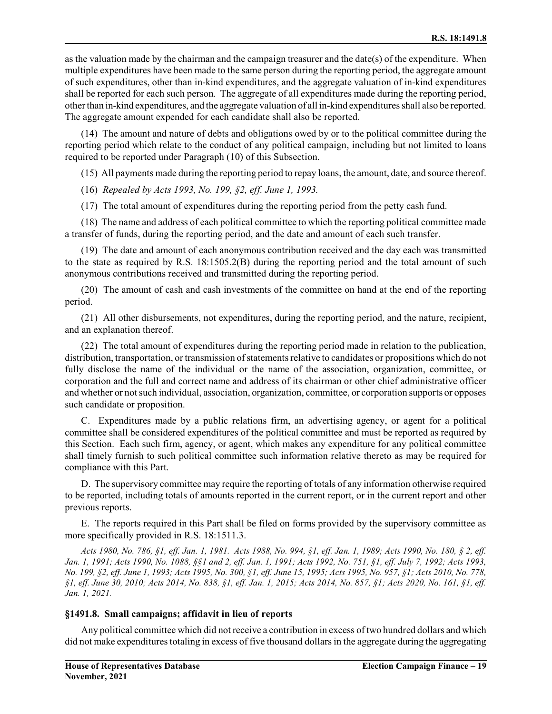as the valuation made by the chairman and the campaign treasurer and the date(s) of the expenditure. When multiple expenditures have been made to the same person during the reporting period, the aggregate amount of such expenditures, other than in-kind expenditures, and the aggregate valuation of in-kind expenditures shall be reported for each such person. The aggregate of all expenditures made during the reporting period, otherthan in-kind expenditures, and the aggregate valuation of all in-kind expenditures shall also be reported. The aggregate amount expended for each candidate shall also be reported.

(14) The amount and nature of debts and obligations owed by or to the political committee during the reporting period which relate to the conduct of any political campaign, including but not limited to loans required to be reported under Paragraph (10) of this Subsection.

(15) All payments made during the reporting period to repay loans, the amount, date, and source thereof.

(16) *Repealed by Acts 1993, No. 199, §2, eff. June 1, 1993.*

(17) The total amount of expenditures during the reporting period from the petty cash fund.

(18) The name and address of each political committee to which the reporting political committee made a transfer of funds, during the reporting period, and the date and amount of each such transfer.

(19) The date and amount of each anonymous contribution received and the day each was transmitted to the state as required by R.S. 18:1505.2(B) during the reporting period and the total amount of such anonymous contributions received and transmitted during the reporting period.

(20) The amount of cash and cash investments of the committee on hand at the end of the reporting period.

(21) All other disbursements, not expenditures, during the reporting period, and the nature, recipient, and an explanation thereof.

(22) The total amount of expenditures during the reporting period made in relation to the publication, distribution, transportation, or transmission of statements relative to candidates or propositions which do not fully disclose the name of the individual or the name of the association, organization, committee, or corporation and the full and correct name and address of its chairman or other chief administrative officer and whether or notsuch individual, association, organization, committee, or corporation supports or opposes such candidate or proposition.

C. Expenditures made by a public relations firm, an advertising agency, or agent for a political committee shall be considered expenditures of the political committee and must be reported as required by this Section. Each such firm, agency, or agent, which makes any expenditure for any political committee shall timely furnish to such political committee such information relative thereto as may be required for compliance with this Part.

D. The supervisory committee may require the reporting of totals of any information otherwise required to be reported, including totals of amounts reported in the current report, or in the current report and other previous reports.

E. The reports required in this Part shall be filed on forms provided by the supervisory committee as more specifically provided in R.S. 18:1511.3.

*Acts 1980, No. 786, §1, eff. Jan. 1, 1981. Acts 1988, No. 994, §1, eff. Jan. 1, 1989; Acts 1990, No. 180, § 2, eff. Jan. 1, 1991; Acts 1990, No. 1088, §§1 and 2, eff. Jan. 1, 1991; Acts 1992, No. 751, §1, eff. July 7, 1992; Acts 1993, No. 199, §2, eff. June 1, 1993; Acts 1995, No. 300, §1, eff. June 15, 1995; Acts 1995, No. 957, §1; Acts 2010, No. 778, §1, eff. June 30, 2010; Acts 2014, No. 838, §1, eff. Jan. 1, 2015; Acts 2014, No. 857, §1; Acts 2020, No. 161, §1, eff. Jan. 1, 2021.*

### **§1491.8. Small campaigns; affidavit in lieu of reports**

Any political committee which did not receive a contribution in excess of two hundred dollars and which did not make expenditures totaling in excess of five thousand dollars in the aggregate during the aggregating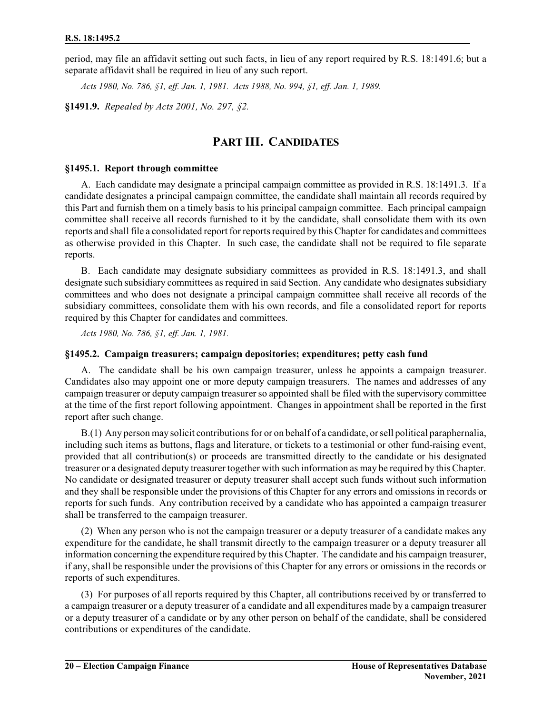period, may file an affidavit setting out such facts, in lieu of any report required by R.S. 18:1491.6; but a separate affidavit shall be required in lieu of any such report.

*Acts 1980, No. 786, §1, eff. Jan. 1, 1981. Acts 1988, No. 994, §1, eff. Jan. 1, 1989.*

**§1491.9.** *Repealed by Acts 2001, No. 297, §2.*

## **PART III. CANDIDATES**

#### **§1495.1. Report through committee**

A. Each candidate may designate a principal campaign committee as provided in R.S. 18:1491.3. If a candidate designates a principal campaign committee, the candidate shall maintain all records required by this Part and furnish them on a timely basis to his principal campaign committee. Each principal campaign committee shall receive all records furnished to it by the candidate, shall consolidate them with its own reports and shall file a consolidated report for reports required by this Chapter for candidates and committees as otherwise provided in this Chapter. In such case, the candidate shall not be required to file separate reports.

B. Each candidate may designate subsidiary committees as provided in R.S. 18:1491.3, and shall designate such subsidiary committees as required in said Section. Any candidate who designates subsidiary committees and who does not designate a principal campaign committee shall receive all records of the subsidiary committees, consolidate them with his own records, and file a consolidated report for reports required by this Chapter for candidates and committees.

*Acts 1980, No. 786, §1, eff. Jan. 1, 1981.*

### **§1495.2. Campaign treasurers; campaign depositories; expenditures; petty cash fund**

A. The candidate shall be his own campaign treasurer, unless he appoints a campaign treasurer. Candidates also may appoint one or more deputy campaign treasurers. The names and addresses of any campaign treasurer or deputy campaign treasurer so appointed shall be filed with the supervisory committee at the time of the first report following appointment. Changes in appointment shall be reported in the first report after such change.

B.(1) Any person may solicit contributions for or on behalf of a candidate, orsell political paraphernalia, including such items as buttons, flags and literature, or tickets to a testimonial or other fund-raising event, provided that all contribution(s) or proceeds are transmitted directly to the candidate or his designated treasurer or a designated deputy treasurer together with such information as may be required by this Chapter. No candidate or designated treasurer or deputy treasurer shall accept such funds without such information and they shall be responsible under the provisions of this Chapter for any errors and omissions in records or reports for such funds. Any contribution received by a candidate who has appointed a campaign treasurer shall be transferred to the campaign treasurer.

(2) When any person who is not the campaign treasurer or a deputy treasurer of a candidate makes any expenditure for the candidate, he shall transmit directly to the campaign treasurer or a deputy treasurer all information concerning the expenditure required by this Chapter. The candidate and his campaign treasurer, if any, shall be responsible under the provisions of this Chapter for any errors or omissions in the records or reports of such expenditures.

(3) For purposes of all reports required by this Chapter, all contributions received by or transferred to a campaign treasurer or a deputy treasurer of a candidate and all expenditures made by a campaign treasurer or a deputy treasurer of a candidate or by any other person on behalf of the candidate, shall be considered contributions or expenditures of the candidate.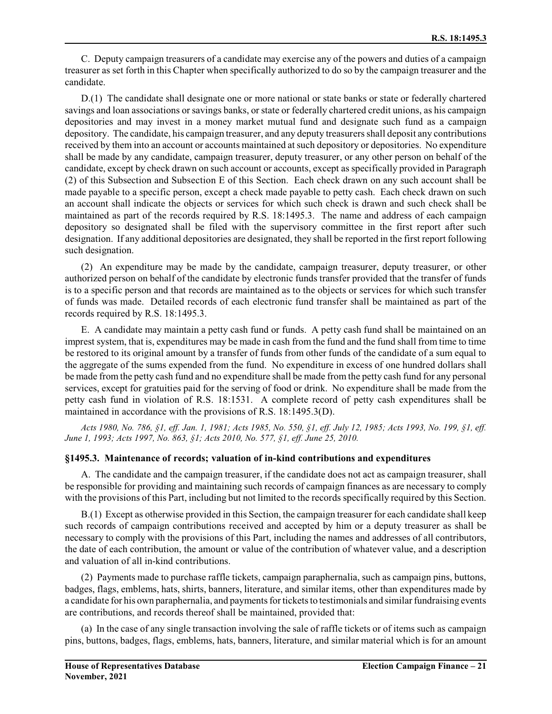C. Deputy campaign treasurers of a candidate may exercise any of the powers and duties of a campaign treasurer as set forth in this Chapter when specifically authorized to do so by the campaign treasurer and the candidate.

D.(1) The candidate shall designate one or more national or state banks or state or federally chartered savings and loan associations or savings banks, or state or federally chartered credit unions, as his campaign depositories and may invest in a money market mutual fund and designate such fund as a campaign depository. The candidate, his campaign treasurer, and any deputy treasurers shall deposit any contributions received by them into an account or accounts maintained at such depository or depositories. No expenditure shall be made by any candidate, campaign treasurer, deputy treasurer, or any other person on behalf of the candidate, except by check drawn on such account or accounts, except as specifically provided in Paragraph (2) of this Subsection and Subsection E of this Section. Each check drawn on any such account shall be made payable to a specific person, except a check made payable to petty cash. Each check drawn on such an account shall indicate the objects or services for which such check is drawn and such check shall be maintained as part of the records required by R.S. 18:1495.3. The name and address of each campaign depository so designated shall be filed with the supervisory committee in the first report after such designation. If any additional depositories are designated, they shall be reported in the first report following such designation.

(2) An expenditure may be made by the candidate, campaign treasurer, deputy treasurer, or other authorized person on behalf of the candidate by electronic funds transfer provided that the transfer of funds is to a specific person and that records are maintained as to the objects or services for which such transfer of funds was made. Detailed records of each electronic fund transfer shall be maintained as part of the records required by R.S. 18:1495.3.

E. A candidate may maintain a petty cash fund or funds. A petty cash fund shall be maintained on an imprest system, that is, expenditures may be made in cash from the fund and the fund shall from time to time be restored to its original amount by a transfer of funds from other funds of the candidate of a sum equal to the aggregate of the sums expended from the fund. No expenditure in excess of one hundred dollars shall be made from the petty cash fund and no expenditure shall be made from the petty cash fund for any personal services, except for gratuities paid for the serving of food or drink. No expenditure shall be made from the petty cash fund in violation of R.S. 18:1531. A complete record of petty cash expenditures shall be maintained in accordance with the provisions of R.S. 18:1495.3(D).

*Acts 1980, No. 786, §1, eff. Jan. 1, 1981; Acts 1985, No. 550, §1, eff. July 12, 1985; Acts 1993, No. 199, §1, eff. June 1, 1993; Acts 1997, No. 863, §1; Acts 2010, No. 577, §1, eff. June 25, 2010.*

### **§1495.3. Maintenance of records; valuation of in-kind contributions and expenditures**

A. The candidate and the campaign treasurer, if the candidate does not act as campaign treasurer, shall be responsible for providing and maintaining such records of campaign finances as are necessary to comply with the provisions of this Part, including but not limited to the records specifically required by this Section.

B.(1) Except as otherwise provided in this Section, the campaign treasurer for each candidate shall keep such records of campaign contributions received and accepted by him or a deputy treasurer as shall be necessary to comply with the provisions of this Part, including the names and addresses of all contributors, the date of each contribution, the amount or value of the contribution of whatever value, and a description and valuation of all in-kind contributions.

(2) Payments made to purchase raffle tickets, campaign paraphernalia, such as campaign pins, buttons, badges, flags, emblems, hats, shirts, banners, literature, and similar items, other than expenditures made by a candidate for his own paraphernalia, and payments for tickets to testimonials and similar fundraising events are contributions, and records thereof shall be maintained, provided that:

(a) In the case of any single transaction involving the sale of raffle tickets or of items such as campaign pins, buttons, badges, flags, emblems, hats, banners, literature, and similar material which is for an amount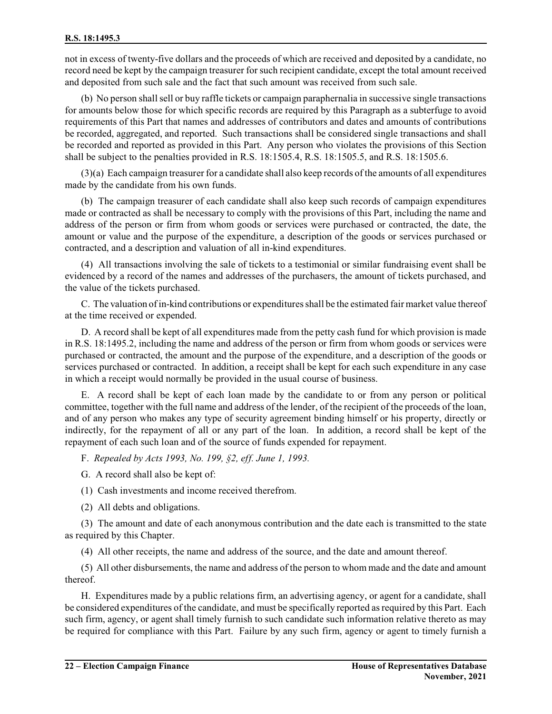not in excess of twenty-five dollars and the proceeds of which are received and deposited by a candidate, no record need be kept by the campaign treasurer for such recipient candidate, except the total amount received and deposited from such sale and the fact that such amount was received from such sale.

(b) No person shall sell or buy raffle tickets or campaign paraphernalia in successive single transactions for amounts below those for which specific records are required by this Paragraph as a subterfuge to avoid requirements of this Part that names and addresses of contributors and dates and amounts of contributions be recorded, aggregated, and reported. Such transactions shall be considered single transactions and shall be recorded and reported as provided in this Part. Any person who violates the provisions of this Section shall be subject to the penalties provided in R.S. 18:1505.4, R.S. 18:1505.5, and R.S. 18:1505.6.

(3)(a) Each campaign treasurer for a candidate shall also keep records of the amounts of all expenditures made by the candidate from his own funds.

(b) The campaign treasurer of each candidate shall also keep such records of campaign expenditures made or contracted as shall be necessary to comply with the provisions of this Part, including the name and address of the person or firm from whom goods or services were purchased or contracted, the date, the amount or value and the purpose of the expenditure, a description of the goods or services purchased or contracted, and a description and valuation of all in-kind expenditures.

(4) All transactions involving the sale of tickets to a testimonial or similar fundraising event shall be evidenced by a record of the names and addresses of the purchasers, the amount of tickets purchased, and the value of the tickets purchased.

C. The valuation ofin-kind contributions or expenditures shall be the estimated fair market value thereof at the time received or expended.

D. A record shall be kept of all expenditures made from the petty cash fund for which provision is made in R.S. 18:1495.2, including the name and address of the person or firm from whom goods or services were purchased or contracted, the amount and the purpose of the expenditure, and a description of the goods or services purchased or contracted. In addition, a receipt shall be kept for each such expenditure in any case in which a receipt would normally be provided in the usual course of business.

E. A record shall be kept of each loan made by the candidate to or from any person or political committee, together with the full name and address of the lender, of the recipient of the proceeds of the loan, and of any person who makes any type of security agreement binding himself or his property, directly or indirectly, for the repayment of all or any part of the loan. In addition, a record shall be kept of the repayment of each such loan and of the source of funds expended for repayment.

F. *Repealed by Acts 1993, No. 199, §2, eff. June 1, 1993.*

- G. A record shall also be kept of:
- (1) Cash investments and income received therefrom.
- (2) All debts and obligations.

(3) The amount and date of each anonymous contribution and the date each is transmitted to the state as required by this Chapter.

(4) All other receipts, the name and address of the source, and the date and amount thereof.

(5) All other disbursements, the name and address of the person to whom made and the date and amount thereof.

H. Expenditures made by a public relations firm, an advertising agency, or agent for a candidate, shall be considered expenditures of the candidate, and must be specifically reported as required by this Part. Each such firm, agency, or agent shall timely furnish to such candidate such information relative thereto as may be required for compliance with this Part. Failure by any such firm, agency or agent to timely furnish a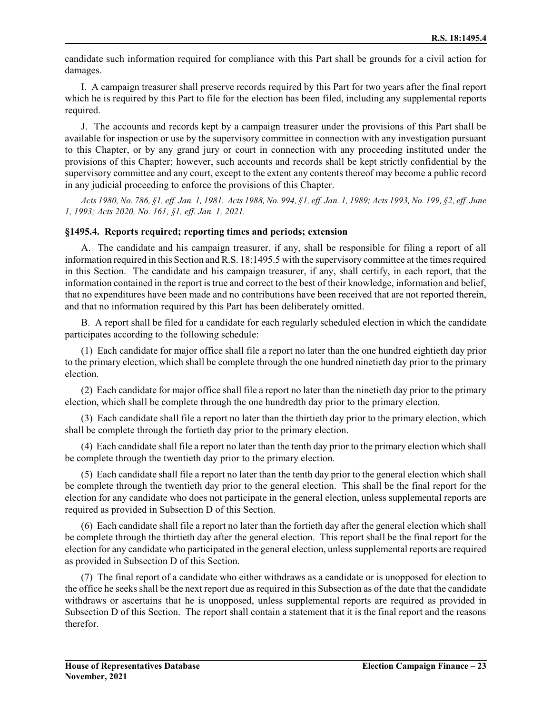candidate such information required for compliance with this Part shall be grounds for a civil action for damages.

I. A campaign treasurer shall preserve records required by this Part for two years after the final report which he is required by this Part to file for the election has been filed, including any supplemental reports required.

J. The accounts and records kept by a campaign treasurer under the provisions of this Part shall be available for inspection or use by the supervisory committee in connection with any investigation pursuant to this Chapter, or by any grand jury or court in connection with any proceeding instituted under the provisions of this Chapter; however, such accounts and records shall be kept strictly confidential by the supervisory committee and any court, except to the extent any contents thereof may become a public record in any judicial proceeding to enforce the provisions of this Chapter.

*Acts 1980, No. 786, §1, eff. Jan. 1, 1981. Acts 1988, No. 994, §1, eff. Jan. 1, 1989; Acts 1993, No. 199, §2, eff. June 1, 1993; Acts 2020, No. 161, §1, eff. Jan. 1, 2021.*

### **§1495.4. Reports required; reporting times and periods; extension**

A. The candidate and his campaign treasurer, if any, shall be responsible for filing a report of all information required in this Section and R.S. 18:1495.5 with the supervisory committee at the times required in this Section. The candidate and his campaign treasurer, if any, shall certify, in each report, that the information contained in the report is true and correct to the best of their knowledge, information and belief, that no expenditures have been made and no contributions have been received that are not reported therein, and that no information required by this Part has been deliberately omitted.

B. A report shall be filed for a candidate for each regularly scheduled election in which the candidate participates according to the following schedule:

(1) Each candidate for major office shall file a report no later than the one hundred eightieth day prior to the primary election, which shall be complete through the one hundred ninetieth day prior to the primary election.

(2) Each candidate for major office shall file a report no later than the ninetieth day prior to the primary election, which shall be complete through the one hundredth day prior to the primary election.

(3) Each candidate shall file a report no later than the thirtieth day prior to the primary election, which shall be complete through the fortieth day prior to the primary election.

(4) Each candidate shall file a report no later than the tenth day prior to the primary election which shall be complete through the twentieth day prior to the primary election.

(5) Each candidate shall file a report no later than the tenth day prior to the general election which shall be complete through the twentieth day prior to the general election. This shall be the final report for the election for any candidate who does not participate in the general election, unless supplemental reports are required as provided in Subsection D of this Section.

(6) Each candidate shall file a report no later than the fortieth day after the general election which shall be complete through the thirtieth day after the general election. This report shall be the final report for the election for any candidate who participated in the general election, unless supplemental reports are required as provided in Subsection D of this Section.

(7) The final report of a candidate who either withdraws as a candidate or is unopposed for election to the office he seeks shall be the next report due as required in this Subsection as of the date that the candidate withdraws or ascertains that he is unopposed, unless supplemental reports are required as provided in Subsection D of this Section. The report shall contain a statement that it is the final report and the reasons therefor.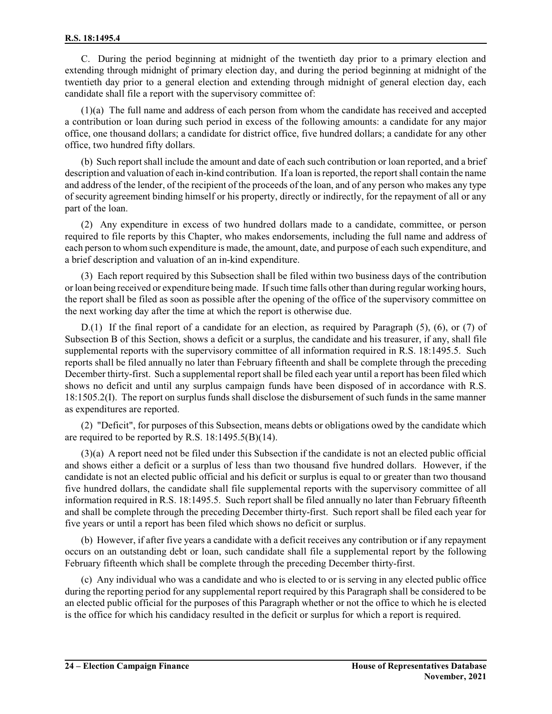C. During the period beginning at midnight of the twentieth day prior to a primary election and extending through midnight of primary election day, and during the period beginning at midnight of the twentieth day prior to a general election and extending through midnight of general election day, each candidate shall file a report with the supervisory committee of:

(1)(a) The full name and address of each person from whom the candidate has received and accepted a contribution or loan during such period in excess of the following amounts: a candidate for any major office, one thousand dollars; a candidate for district office, five hundred dollars; a candidate for any other office, two hundred fifty dollars.

(b) Such reportshall include the amount and date of each such contribution or loan reported, and a brief description and valuation of each in-kind contribution. If a loan is reported, the report shall contain the name and address of the lender, of the recipient of the proceeds of the loan, and of any person who makes any type of security agreement binding himself or his property, directly or indirectly, for the repayment of all or any part of the loan.

(2) Any expenditure in excess of two hundred dollars made to a candidate, committee, or person required to file reports by this Chapter, who makes endorsements, including the full name and address of each person to whom such expenditure is made, the amount, date, and purpose of each such expenditure, and a brief description and valuation of an in-kind expenditure.

(3) Each report required by this Subsection shall be filed within two business days of the contribution or loan being received or expenditure being made. Ifsuch time falls other than during regular working hours, the report shall be filed as soon as possible after the opening of the office of the supervisory committee on the next working day after the time at which the report is otherwise due.

D.(1) If the final report of a candidate for an election, as required by Paragraph (5), (6), or (7) of Subsection B of this Section, shows a deficit or a surplus, the candidate and his treasurer, if any, shall file supplemental reports with the supervisory committee of all information required in R.S. 18:1495.5. Such reports shall be filed annually no later than February fifteenth and shall be complete through the preceding December thirty-first. Such a supplemental report shall be filed each year until a report has been filed which shows no deficit and until any surplus campaign funds have been disposed of in accordance with R.S. 18:1505.2(I). The report on surplus funds shall disclose the disbursement of such funds in the same manner as expenditures are reported.

(2) "Deficit", for purposes of this Subsection, means debts or obligations owed by the candidate which are required to be reported by R.S. 18:1495.5(B)(14).

(3)(a) A report need not be filed under this Subsection if the candidate is not an elected public official and shows either a deficit or a surplus of less than two thousand five hundred dollars. However, if the candidate is not an elected public official and his deficit or surplus is equal to or greater than two thousand five hundred dollars, the candidate shall file supplemental reports with the supervisory committee of all information required in R.S. 18:1495.5. Such report shall be filed annually no later than February fifteenth and shall be complete through the preceding December thirty-first. Such report shall be filed each year for five years or until a report has been filed which shows no deficit or surplus.

(b) However, if after five years a candidate with a deficit receives any contribution or if any repayment occurs on an outstanding debt or loan, such candidate shall file a supplemental report by the following February fifteenth which shall be complete through the preceding December thirty-first.

(c) Any individual who was a candidate and who is elected to or is serving in any elected public office during the reporting period for any supplemental report required by this Paragraph shall be considered to be an elected public official for the purposes of this Paragraph whether or not the office to which he is elected is the office for which his candidacy resulted in the deficit or surplus for which a report is required.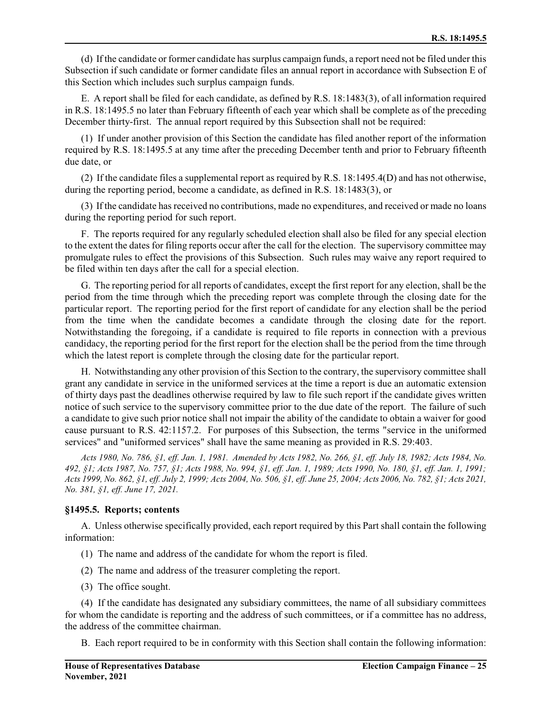(d) If the candidate or former candidate has surplus campaign funds, a report need not be filed under this Subsection if such candidate or former candidate files an annual report in accordance with Subsection E of this Section which includes such surplus campaign funds.

E. A report shall be filed for each candidate, as defined by R.S. 18:1483(3), of all information required in R.S. 18:1495.5 no later than February fifteenth of each year which shall be complete as of the preceding December thirty-first. The annual report required by this Subsection shall not be required:

(1) If under another provision of this Section the candidate has filed another report of the information required by R.S. 18:1495.5 at any time after the preceding December tenth and prior to February fifteenth due date, or

(2) If the candidate files a supplemental report as required by R.S. 18:1495.4(D) and has not otherwise, during the reporting period, become a candidate, as defined in R.S. 18:1483(3), or

(3) If the candidate has received no contributions, made no expenditures, and received or made no loans during the reporting period for such report.

F. The reports required for any regularly scheduled election shall also be filed for any special election to the extent the dates for filing reports occur after the call for the election. The supervisory committee may promulgate rules to effect the provisions of this Subsection. Such rules may waive any report required to be filed within ten days after the call for a special election.

G. The reporting period for all reports of candidates, except the first report for any election, shall be the period from the time through which the preceding report was complete through the closing date for the particular report. The reporting period for the first report of candidate for any election shall be the period from the time when the candidate becomes a candidate through the closing date for the report. Notwithstanding the foregoing, if a candidate is required to file reports in connection with a previous candidacy, the reporting period for the first report for the election shall be the period from the time through which the latest report is complete through the closing date for the particular report.

H. Notwithstanding any other provision of this Section to the contrary, the supervisory committee shall grant any candidate in service in the uniformed services at the time a report is due an automatic extension of thirty days past the deadlines otherwise required by law to file such report if the candidate gives written notice of such service to the supervisory committee prior to the due date of the report. The failure of such a candidate to give such prior notice shall not impair the ability of the candidate to obtain a waiver for good cause pursuant to R.S. 42:1157.2. For purposes of this Subsection, the terms "service in the uniformed services" and "uniformed services" shall have the same meaning as provided in R.S. 29:403.

*Acts 1980, No. 786, §1, eff. Jan. 1, 1981. Amended by Acts 1982, No. 266, §1, eff. July 18, 1982; Acts 1984, No. 492, §1; Acts 1987, No. 757, §1; Acts 1988, No. 994, §1, eff. Jan. 1, 1989; Acts 1990, No. 180, §1, eff. Jan. 1, 1991; Acts 1999, No. 862, §1, eff. July 2, 1999; Acts 2004, No. 506, §1, eff. June 25, 2004; Acts 2006, No. 782, §1; Acts 2021, No. 381, §1, eff. June 17, 2021.*

### **§1495.5. Reports; contents**

A. Unless otherwise specifically provided, each report required by this Part shall contain the following information:

- (1) The name and address of the candidate for whom the report is filed.
- (2) The name and address of the treasurer completing the report.
- (3) The office sought.

(4) If the candidate has designated any subsidiary committees, the name of all subsidiary committees for whom the candidate is reporting and the address of such committees, or if a committee has no address, the address of the committee chairman.

B. Each report required to be in conformity with this Section shall contain the following information: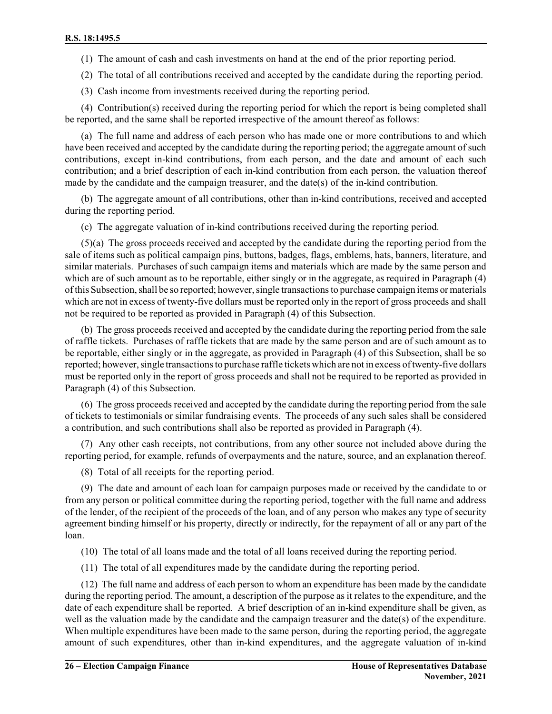(1) The amount of cash and cash investments on hand at the end of the prior reporting period.

(2) The total of all contributions received and accepted by the candidate during the reporting period.

(3) Cash income from investments received during the reporting period.

(4) Contribution(s) received during the reporting period for which the report is being completed shall be reported, and the same shall be reported irrespective of the amount thereof as follows:

(a) The full name and address of each person who has made one or more contributions to and which have been received and accepted by the candidate during the reporting period; the aggregate amount of such contributions, except in-kind contributions, from each person, and the date and amount of each such contribution; and a brief description of each in-kind contribution from each person, the valuation thereof made by the candidate and the campaign treasurer, and the date(s) of the in-kind contribution.

(b) The aggregate amount of all contributions, other than in-kind contributions, received and accepted during the reporting period.

(c) The aggregate valuation of in-kind contributions received during the reporting period.

(5)(a) The gross proceeds received and accepted by the candidate during the reporting period from the sale of items such as political campaign pins, buttons, badges, flags, emblems, hats, banners, literature, and similar materials. Purchases of such campaign items and materials which are made by the same person and which are of such amount as to be reportable, either singly or in the aggregate, as required in Paragraph (4) ofthis Subsection, shall be so reported; however, single transactions to purchase campaign items or materials which are not in excess of twenty-five dollars must be reported only in the report of gross proceeds and shall not be required to be reported as provided in Paragraph (4) of this Subsection.

(b) The gross proceeds received and accepted by the candidate during the reporting period from the sale of raffle tickets. Purchases of raffle tickets that are made by the same person and are of such amount as to be reportable, either singly or in the aggregate, as provided in Paragraph (4) of this Subsection, shall be so reported; however, single transactions to purchase raffle tickets which are not in excess oftwenty-five dollars must be reported only in the report of gross proceeds and shall not be required to be reported as provided in Paragraph (4) of this Subsection.

(6) The gross proceeds received and accepted by the candidate during the reporting period from the sale of tickets to testimonials or similar fundraising events. The proceeds of any such sales shall be considered a contribution, and such contributions shall also be reported as provided in Paragraph (4).

(7) Any other cash receipts, not contributions, from any other source not included above during the reporting period, for example, refunds of overpayments and the nature, source, and an explanation thereof.

(8) Total of all receipts for the reporting period.

(9) The date and amount of each loan for campaign purposes made or received by the candidate to or from any person or political committee during the reporting period, together with the full name and address of the lender, of the recipient of the proceeds of the loan, and of any person who makes any type of security agreement binding himself or his property, directly or indirectly, for the repayment of all or any part of the loan.

(10) The total of all loans made and the total of all loans received during the reporting period.

(11) The total of all expenditures made by the candidate during the reporting period.

(12) The full name and address of each person to whom an expenditure has been made by the candidate during the reporting period. The amount, a description of the purpose as it relates to the expenditure, and the date of each expenditure shall be reported. A brief description of an in-kind expenditure shall be given, as well as the valuation made by the candidate and the campaign treasurer and the date(s) of the expenditure. When multiple expenditures have been made to the same person, during the reporting period, the aggregate amount of such expenditures, other than in-kind expenditures, and the aggregate valuation of in-kind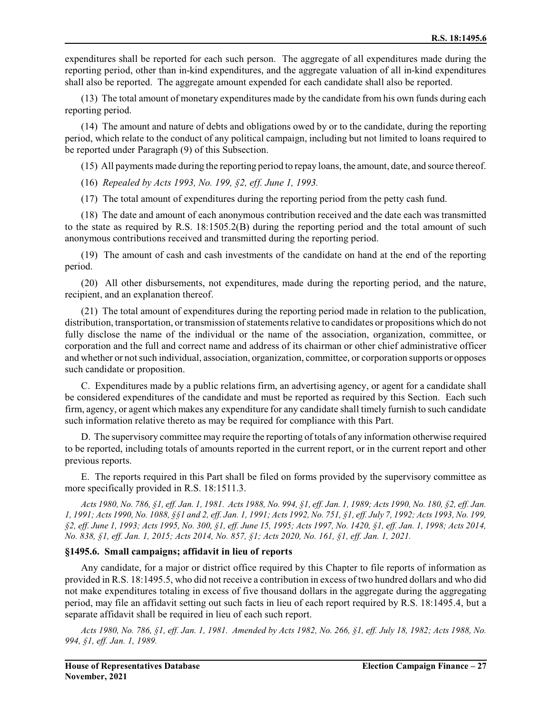expenditures shall be reported for each such person. The aggregate of all expenditures made during the reporting period, other than in-kind expenditures, and the aggregate valuation of all in-kind expenditures shall also be reported. The aggregate amount expended for each candidate shall also be reported.

(13) The total amount of monetary expenditures made by the candidate from his own funds during each reporting period.

(14) The amount and nature of debts and obligations owed by or to the candidate, during the reporting period, which relate to the conduct of any political campaign, including but not limited to loans required to be reported under Paragraph (9) of this Subsection.

(15) All payments made during the reporting period to repay loans, the amount, date, and source thereof.

(16) *Repealed by Acts 1993, No. 199, §2, eff. June 1, 1993.*

(17) The total amount of expenditures during the reporting period from the petty cash fund.

(18) The date and amount of each anonymous contribution received and the date each was transmitted to the state as required by R.S. 18:1505.2(B) during the reporting period and the total amount of such anonymous contributions received and transmitted during the reporting period.

(19) The amount of cash and cash investments of the candidate on hand at the end of the reporting period.

(20) All other disbursements, not expenditures, made during the reporting period, and the nature, recipient, and an explanation thereof.

(21) The total amount of expenditures during the reporting period made in relation to the publication, distribution, transportation, or transmission of statements relative to candidates or propositions which do not fully disclose the name of the individual or the name of the association, organization, committee, or corporation and the full and correct name and address of its chairman or other chief administrative officer and whether or notsuch individual, association, organization, committee, or corporation supports or opposes such candidate or proposition.

C. Expenditures made by a public relations firm, an advertising agency, or agent for a candidate shall be considered expenditures of the candidate and must be reported as required by this Section. Each such firm, agency, or agent which makes any expenditure for any candidate shall timely furnish to such candidate such information relative thereto as may be required for compliance with this Part.

D. The supervisory committee may require the reporting of totals of any information otherwise required to be reported, including totals of amounts reported in the current report, or in the current report and other previous reports.

E. The reports required in this Part shall be filed on forms provided by the supervisory committee as more specifically provided in R.S. 18:1511.3.

*Acts 1980, No. 786, §1, eff. Jan. 1, 1981. Acts 1988, No. 994, §1, eff. Jan. 1, 1989; Acts 1990, No. 180, §2, eff. Jan. 1, 1991; Acts 1990, No. 1088, §§1 and 2, eff. Jan. 1, 1991; Acts 1992, No. 751, §1, eff. July 7, 1992; Acts 1993, No. 199, §2, eff. June 1, 1993; Acts 1995, No. 300, §1, eff. June 15, 1995; Acts 1997, No. 1420, §1, eff. Jan. 1, 1998; Acts 2014, No. 838, §1, eff. Jan. 1, 2015; Acts 2014, No. 857, §1; Acts 2020, No. 161, §1, eff. Jan. 1, 2021.*

### **§1495.6. Small campaigns; affidavit in lieu of reports**

Any candidate, for a major or district office required by this Chapter to file reports of information as provided in R.S. 18:1495.5, who did not receive a contribution in excess of two hundred dollars and who did not make expenditures totaling in excess of five thousand dollars in the aggregate during the aggregating period, may file an affidavit setting out such facts in lieu of each report required by R.S. 18:1495.4, but a separate affidavit shall be required in lieu of each such report.

*Acts 1980, No. 786, §1, eff. Jan. 1, 1981. Amended by Acts 1982, No. 266, §1, eff. July 18, 1982; Acts 1988, No. 994, §1, eff. Jan. 1, 1989.*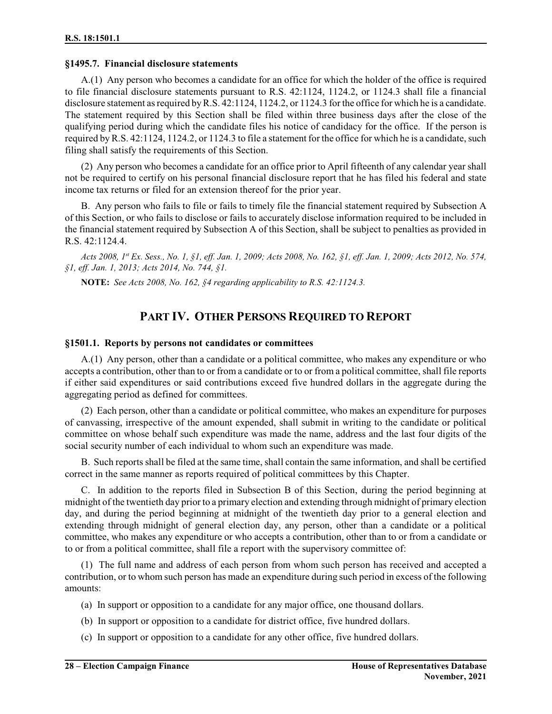### **§1495.7. Financial disclosure statements**

A.(1) Any person who becomes a candidate for an office for which the holder of the office is required to file financial disclosure statements pursuant to R.S. 42:1124, 1124.2, or 1124.3 shall file a financial disclosure statement as required byR.S. 42:1124, 1124.2, or 1124.3 for the office for which he is a candidate. The statement required by this Section shall be filed within three business days after the close of the qualifying period during which the candidate files his notice of candidacy for the office. If the person is required by R.S. 42:1124, 1124.2, or 1124.3 to file a statement for the office for which he is a candidate, such filing shall satisfy the requirements of this Section.

(2) Any person who becomes a candidate for an office prior to April fifteenth of any calendar year shall not be required to certify on his personal financial disclosure report that he has filed his federal and state income tax returns or filed for an extension thereof for the prior year.

B. Any person who fails to file or fails to timely file the financial statement required by Subsection A of this Section, or who fails to disclose or fails to accurately disclose information required to be included in the financial statement required by Subsection A of this Section, shall be subject to penalties as provided in R.S. 42:1124.4.

*Acts 2008, 1 st Ex. Sess., No. 1, §1, eff. Jan. 1, 2009; Acts 2008, No. 162, §1, eff. Jan. 1, 2009; Acts 2012, No. 574, §1, eff. Jan. 1, 2013; Acts 2014, No. 744, §1.*

**NOTE:** *See Acts 2008, No. 162, §4 regarding applicability to R.S. 42:1124.3.*

# **PART IV. OTHER PERSONS REQUIRED TO REPORT**

### **§1501.1. Reports by persons not candidates or committees**

A.(1) Any person, other than a candidate or a political committee, who makes any expenditure or who accepts a contribution, other than to or from a candidate or to or from a political committee, shall file reports if either said expenditures or said contributions exceed five hundred dollars in the aggregate during the aggregating period as defined for committees.

(2) Each person, other than a candidate or political committee, who makes an expenditure for purposes of canvassing, irrespective of the amount expended, shall submit in writing to the candidate or political committee on whose behalf such expenditure was made the name, address and the last four digits of the social security number of each individual to whom such an expenditure was made.

B. Such reports shall be filed at the same time, shall contain the same information, and shall be certified correct in the same manner as reports required of political committees by this Chapter.

C. In addition to the reports filed in Subsection B of this Section, during the period beginning at midnight of the twentieth day prior to a primary election and extending through midnight of primary election day, and during the period beginning at midnight of the twentieth day prior to a general election and extending through midnight of general election day, any person, other than a candidate or a political committee, who makes any expenditure or who accepts a contribution, other than to or from a candidate or to or from a political committee, shall file a report with the supervisory committee of:

(1) The full name and address of each person from whom such person has received and accepted a contribution, or to whom such person has made an expenditure during such period in excess of the following amounts:

- (a) In support or opposition to a candidate for any major office, one thousand dollars.
- (b) In support or opposition to a candidate for district office, five hundred dollars.
- (c) In support or opposition to a candidate for any other office, five hundred dollars.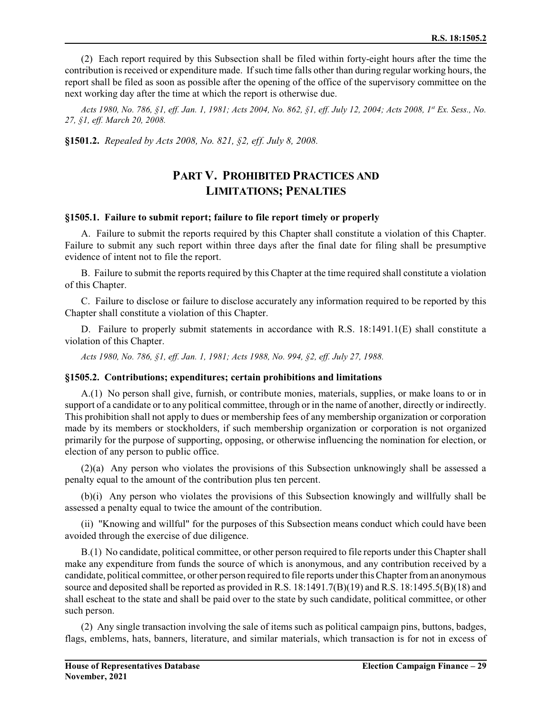(2) Each report required by this Subsection shall be filed within forty-eight hours after the time the contribution is received or expenditure made. If such time falls other than during regular working hours, the report shall be filed as soon as possible after the opening of the office of the supervisory committee on the next working day after the time at which the report is otherwise due.

*Acts 1980, No. 786, §1, eff. Jan. 1, 1981; Acts 2004, No. 862, §1, eff. July 12, 2004; Acts 2008, 1st Ex. Sess., No. 27, §1, eff. March 20, 2008.*

**§1501.2.** *Repealed by Acts 2008, No. 821, §2, eff. July 8, 2008.*

## **PART V. PROHIBITED PRACTICES AND LIMITATIONS; PENALTIES**

#### **§1505.1. Failure to submit report; failure to file report timely or properly**

A. Failure to submit the reports required by this Chapter shall constitute a violation of this Chapter. Failure to submit any such report within three days after the final date for filing shall be presumptive evidence of intent not to file the report.

B. Failure to submit the reports required by this Chapter at the time required shall constitute a violation of this Chapter.

C. Failure to disclose or failure to disclose accurately any information required to be reported by this Chapter shall constitute a violation of this Chapter.

D. Failure to properly submit statements in accordance with R.S. 18:1491.1(E) shall constitute a violation of this Chapter.

*Acts 1980, No. 786, §1, eff. Jan. 1, 1981; Acts 1988, No. 994, §2, eff. July 27, 1988.*

### **§1505.2. Contributions; expenditures; certain prohibitions and limitations**

A.(1) No person shall give, furnish, or contribute monies, materials, supplies, or make loans to or in support of a candidate or to any political committee, through or in the name of another, directly or indirectly. This prohibition shall not apply to dues or membership fees of any membership organization or corporation made by its members or stockholders, if such membership organization or corporation is not organized primarily for the purpose of supporting, opposing, or otherwise influencing the nomination for election, or election of any person to public office.

(2)(a) Any person who violates the provisions of this Subsection unknowingly shall be assessed a penalty equal to the amount of the contribution plus ten percent.

(b)(i) Any person who violates the provisions of this Subsection knowingly and willfully shall be assessed a penalty equal to twice the amount of the contribution.

(ii) "Knowing and willful" for the purposes of this Subsection means conduct which could have been avoided through the exercise of due diligence.

B.(1) No candidate, political committee, or other person required to file reports under this Chapter shall make any expenditure from funds the source of which is anonymous, and any contribution received by a candidate, political committee, or other person required to file reports under this Chapter from an anonymous source and deposited shall be reported as provided in R.S. 18:1491.7(B)(19) and R.S. 18:1495.5(B)(18) and shall escheat to the state and shall be paid over to the state by such candidate, political committee, or other such person.

(2) Any single transaction involving the sale of items such as political campaign pins, buttons, badges, flags, emblems, hats, banners, literature, and similar materials, which transaction is for not in excess of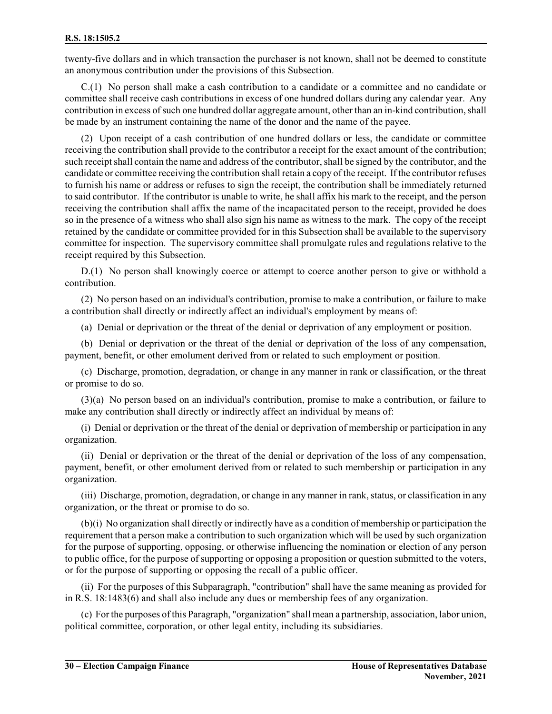twenty-five dollars and in which transaction the purchaser is not known, shall not be deemed to constitute an anonymous contribution under the provisions of this Subsection.

C.(1) No person shall make a cash contribution to a candidate or a committee and no candidate or committee shall receive cash contributions in excess of one hundred dollars during any calendar year. Any contribution in excess ofsuch one hundred dollar aggregate amount, other than an in-kind contribution, shall be made by an instrument containing the name of the donor and the name of the payee.

(2) Upon receipt of a cash contribution of one hundred dollars or less, the candidate or committee receiving the contribution shall provide to the contributor a receipt for the exact amount of the contribution; such receipt shall contain the name and address of the contributor, shall be signed by the contributor, and the candidate or committee receiving the contribution shall retain a copy of the receipt. If the contributor refuses to furnish his name or address or refuses to sign the receipt, the contribution shall be immediately returned to said contributor. If the contributor is unable to write, he shall affix his mark to the receipt, and the person receiving the contribution shall affix the name of the incapacitated person to the receipt, provided he does so in the presence of a witness who shall also sign his name as witness to the mark. The copy of the receipt retained by the candidate or committee provided for in this Subsection shall be available to the supervisory committee for inspection. The supervisory committee shall promulgate rules and regulations relative to the receipt required by this Subsection.

D.(1) No person shall knowingly coerce or attempt to coerce another person to give or withhold a contribution.

(2) No person based on an individual's contribution, promise to make a contribution, or failure to make a contribution shall directly or indirectly affect an individual's employment by means of:

(a) Denial or deprivation or the threat of the denial or deprivation of any employment or position.

(b) Denial or deprivation or the threat of the denial or deprivation of the loss of any compensation, payment, benefit, or other emolument derived from or related to such employment or position.

(c) Discharge, promotion, degradation, or change in any manner in rank or classification, or the threat or promise to do so.

(3)(a) No person based on an individual's contribution, promise to make a contribution, or failure to make any contribution shall directly or indirectly affect an individual by means of:

(i) Denial or deprivation or the threat of the denial or deprivation of membership or participation in any organization.

(ii) Denial or deprivation or the threat of the denial or deprivation of the loss of any compensation, payment, benefit, or other emolument derived from or related to such membership or participation in any organization.

(iii) Discharge, promotion, degradation, or change in any manner in rank, status, or classification in any organization, or the threat or promise to do so.

(b)(i) No organization shall directly or indirectly have as a condition of membership or participation the requirement that a person make a contribution to such organization which will be used by such organization for the purpose of supporting, opposing, or otherwise influencing the nomination or election of any person to public office, for the purpose of supporting or opposing a proposition or question submitted to the voters, or for the purpose of supporting or opposing the recall of a public officer.

(ii) For the purposes of this Subparagraph, "contribution" shall have the same meaning as provided for in R.S. 18:1483(6) and shall also include any dues or membership fees of any organization.

(c) For the purposes of this Paragraph, "organization" shall mean a partnership, association, labor union, political committee, corporation, or other legal entity, including its subsidiaries.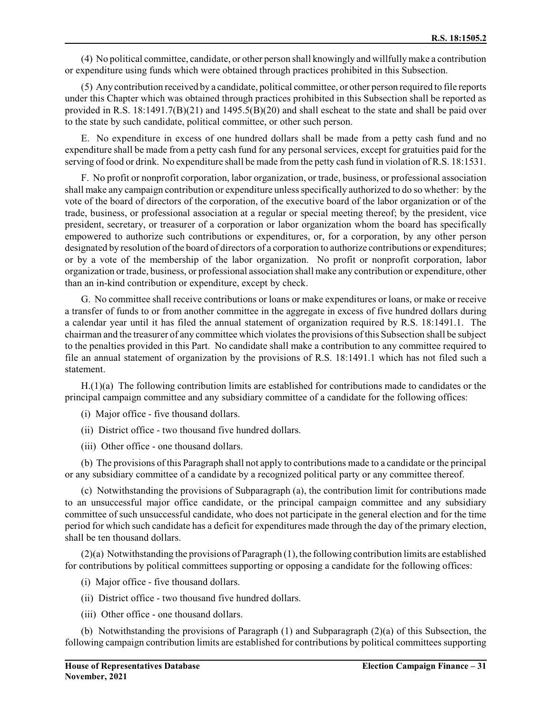(4) No political committee, candidate, or other person shall knowingly and willfully make a contribution or expenditure using funds which were obtained through practices prohibited in this Subsection.

(5) Any contribution received by a candidate, political committee, or other person required to file reports under this Chapter which was obtained through practices prohibited in this Subsection shall be reported as provided in R.S.  $18:1491.7(B)(21)$  and  $1495.5(B)(20)$  and shall escheat to the state and shall be paid over to the state by such candidate, political committee, or other such person.

E. No expenditure in excess of one hundred dollars shall be made from a petty cash fund and no expenditure shall be made from a petty cash fund for any personal services, except for gratuities paid for the serving of food or drink. No expenditure shall be made from the petty cash fund in violation of R.S. 18:1531.

F. No profit or nonprofit corporation, labor organization, or trade, business, or professional association shall make any campaign contribution or expenditure unless specifically authorized to do so whether: by the vote of the board of directors of the corporation, of the executive board of the labor organization or of the trade, business, or professional association at a regular or special meeting thereof; by the president, vice president, secretary, or treasurer of a corporation or labor organization whom the board has specifically empowered to authorize such contributions or expenditures, or, for a corporation, by any other person designated by resolution of the board of directors of a corporation to authorize contributions or expenditures; or by a vote of the membership of the labor organization. No profit or nonprofit corporation, labor organization or trade, business, or professional association shall make any contribution or expenditure, other than an in-kind contribution or expenditure, except by check.

G. No committee shall receive contributions or loans or make expenditures or loans, or make or receive a transfer of funds to or from another committee in the aggregate in excess of five hundred dollars during a calendar year until it has filed the annual statement of organization required by R.S. 18:1491.1. The chairman and the treasurer of any committee which violates the provisions of this Subsection shall be subject to the penalties provided in this Part. No candidate shall make a contribution to any committee required to file an annual statement of organization by the provisions of R.S. 18:1491.1 which has not filed such a statement.

H.(1)(a) The following contribution limits are established for contributions made to candidates or the principal campaign committee and any subsidiary committee of a candidate for the following offices:

(i) Major office - five thousand dollars.

(ii) District office - two thousand five hundred dollars.

(iii) Other office - one thousand dollars.

(b) The provisions of this Paragraph shall not apply to contributions made to a candidate or the principal or any subsidiary committee of a candidate by a recognized political party or any committee thereof.

(c) Notwithstanding the provisions of Subparagraph (a), the contribution limit for contributions made to an unsuccessful major office candidate, or the principal campaign committee and any subsidiary committee of such unsuccessful candidate, who does not participate in the general election and for the time period for which such candidate has a deficit for expenditures made through the day of the primary election, shall be ten thousand dollars.

(2)(a) Notwithstanding the provisions of Paragraph (1), the following contribution limits are established for contributions by political committees supporting or opposing a candidate for the following offices:

(i) Major office - five thousand dollars.

(ii) District office - two thousand five hundred dollars.

(iii) Other office - one thousand dollars.

(b) Notwithstanding the provisions of Paragraph (1) and Subparagraph (2)(a) of this Subsection, the following campaign contribution limits are established for contributions by political committees supporting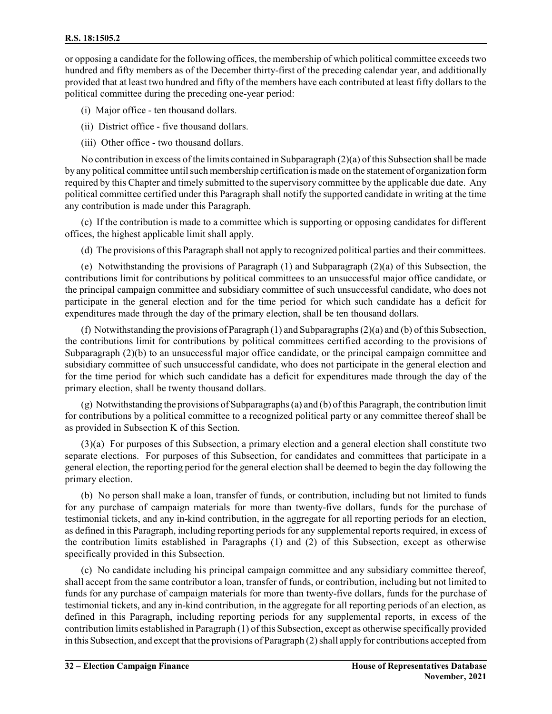or opposing a candidate for the following offices, the membership of which political committee exceeds two hundred and fifty members as of the December thirty-first of the preceding calendar year, and additionally provided that at least two hundred and fifty of the members have each contributed at least fifty dollars to the political committee during the preceding one-year period:

(i) Major office - ten thousand dollars.

(ii) District office - five thousand dollars.

(iii) Other office - two thousand dollars.

No contribution in excess of the limits contained in Subparagraph (2)(a) of this Subsection shall be made by any political committee untilsuch membership certification is made on the statement of organization form required by this Chapter and timely submitted to the supervisory committee by the applicable due date. Any political committee certified under this Paragraph shall notify the supported candidate in writing at the time any contribution is made under this Paragraph.

(c) If the contribution is made to a committee which is supporting or opposing candidates for different offices, the highest applicable limit shall apply.

(d) The provisions of this Paragraph shall not apply to recognized political parties and their committees.

(e) Notwithstanding the provisions of Paragraph (1) and Subparagraph (2)(a) of this Subsection, the contributions limit for contributions by political committees to an unsuccessful major office candidate, or the principal campaign committee and subsidiary committee of such unsuccessful candidate, who does not participate in the general election and for the time period for which such candidate has a deficit for expenditures made through the day of the primary election, shall be ten thousand dollars.

(f) Notwithstanding the provisions of Paragraph (1) and Subparagraphs (2)(a) and (b) of this Subsection, the contributions limit for contributions by political committees certified according to the provisions of Subparagraph (2)(b) to an unsuccessful major office candidate, or the principal campaign committee and subsidiary committee of such unsuccessful candidate, who does not participate in the general election and for the time period for which such candidate has a deficit for expenditures made through the day of the primary election, shall be twenty thousand dollars.

(g) Notwithstanding the provisions of Subparagraphs (a) and (b) of this Paragraph, the contribution limit for contributions by a political committee to a recognized political party or any committee thereof shall be as provided in Subsection K of this Section.

(3)(a) For purposes of this Subsection, a primary election and a general election shall constitute two separate elections. For purposes of this Subsection, for candidates and committees that participate in a general election, the reporting period for the general election shall be deemed to begin the day following the primary election.

(b) No person shall make a loan, transfer of funds, or contribution, including but not limited to funds for any purchase of campaign materials for more than twenty-five dollars, funds for the purchase of testimonial tickets, and any in-kind contribution, in the aggregate for all reporting periods for an election, as defined in this Paragraph, including reporting periods for any supplemental reports required, in excess of the contribution limits established in Paragraphs (1) and (2) of this Subsection, except as otherwise specifically provided in this Subsection.

(c) No candidate including his principal campaign committee and any subsidiary committee thereof, shall accept from the same contributor a loan, transfer of funds, or contribution, including but not limited to funds for any purchase of campaign materials for more than twenty-five dollars, funds for the purchase of testimonial tickets, and any in-kind contribution, in the aggregate for all reporting periods of an election, as defined in this Paragraph, including reporting periods for any supplemental reports, in excess of the contribution limits established in Paragraph (1) of this Subsection, except as otherwise specifically provided in this Subsection, and except that the provisions of Paragraph (2) shall apply for contributions accepted from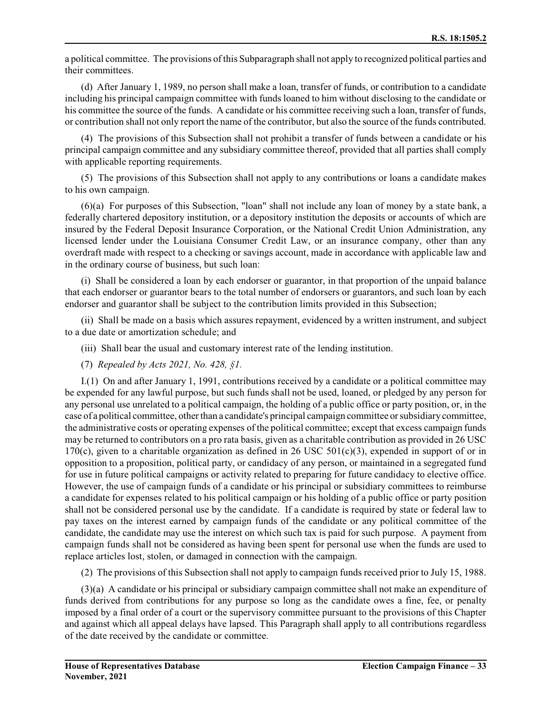a political committee. The provisions of this Subparagraph shall not apply to recognized political parties and their committees.

(d) After January 1, 1989, no person shall make a loan, transfer of funds, or contribution to a candidate including his principal campaign committee with funds loaned to him without disclosing to the candidate or his committee the source of the funds. A candidate or his committee receiving such a loan, transfer of funds, or contribution shall not only report the name of the contributor, but also the source of the funds contributed.

(4) The provisions of this Subsection shall not prohibit a transfer of funds between a candidate or his principal campaign committee and any subsidiary committee thereof, provided that all parties shall comply with applicable reporting requirements.

(5) The provisions of this Subsection shall not apply to any contributions or loans a candidate makes to his own campaign.

(6)(a) For purposes of this Subsection, "loan" shall not include any loan of money by a state bank, a federally chartered depository institution, or a depository institution the deposits or accounts of which are insured by the Federal Deposit Insurance Corporation, or the National Credit Union Administration, any licensed lender under the Louisiana Consumer Credit Law, or an insurance company, other than any overdraft made with respect to a checking or savings account, made in accordance with applicable law and in the ordinary course of business, but such loan:

(i) Shall be considered a loan by each endorser or guarantor, in that proportion of the unpaid balance that each endorser or guarantor bears to the total number of endorsers or guarantors, and such loan by each endorser and guarantor shall be subject to the contribution limits provided in this Subsection;

(ii) Shall be made on a basis which assures repayment, evidenced by a written instrument, and subject to a due date or amortization schedule; and

(iii) Shall bear the usual and customary interest rate of the lending institution.

(7) *Repealed by Acts 2021, No. 428, §1.*

I.(1) On and after January 1, 1991, contributions received by a candidate or a political committee may be expended for any lawful purpose, but such funds shall not be used, loaned, or pledged by any person for any personal use unrelated to a political campaign, the holding of a public office or party position, or, in the case of a political committee, other than a candidate's principal campaign committee or subsidiary committee, the administrative costs or operating expenses of the political committee; except that excess campaign funds may be returned to contributors on a pro rata basis, given as a charitable contribution as provided in 26 USC 170(c), given to a charitable organization as defined in 26 USC 501(c)(3), expended in support of or in opposition to a proposition, political party, or candidacy of any person, or maintained in a segregated fund for use in future political campaigns or activity related to preparing for future candidacy to elective office. However, the use of campaign funds of a candidate or his principal or subsidiary committees to reimburse a candidate for expenses related to his political campaign or his holding of a public office or party position shall not be considered personal use by the candidate. If a candidate is required by state or federal law to pay taxes on the interest earned by campaign funds of the candidate or any political committee of the candidate, the candidate may use the interest on which such tax is paid for such purpose. A payment from campaign funds shall not be considered as having been spent for personal use when the funds are used to replace articles lost, stolen, or damaged in connection with the campaign.

(2) The provisions of this Subsection shall not apply to campaign funds received prior to July 15, 1988.

(3)(a) A candidate or his principal or subsidiary campaign committee shall not make an expenditure of funds derived from contributions for any purpose so long as the candidate owes a fine, fee, or penalty imposed by a final order of a court or the supervisory committee pursuant to the provisions of this Chapter and against which all appeal delays have lapsed. This Paragraph shall apply to all contributions regardless of the date received by the candidate or committee.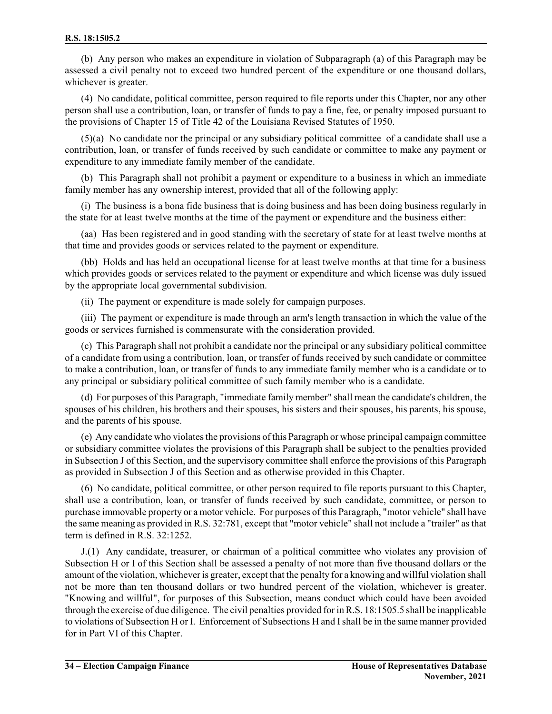(b) Any person who makes an expenditure in violation of Subparagraph (a) of this Paragraph may be assessed a civil penalty not to exceed two hundred percent of the expenditure or one thousand dollars, whichever is greater.

(4) No candidate, political committee, person required to file reports under this Chapter, nor any other person shall use a contribution, loan, or transfer of funds to pay a fine, fee, or penalty imposed pursuant to the provisions of Chapter 15 of Title 42 of the Louisiana Revised Statutes of 1950.

(5)(a) No candidate nor the principal or any subsidiary political committee of a candidate shall use a contribution, loan, or transfer of funds received by such candidate or committee to make any payment or expenditure to any immediate family member of the candidate.

(b) This Paragraph shall not prohibit a payment or expenditure to a business in which an immediate family member has any ownership interest, provided that all of the following apply:

(i) The business is a bona fide business that is doing business and has been doing business regularly in the state for at least twelve months at the time of the payment or expenditure and the business either:

(aa) Has been registered and in good standing with the secretary of state for at least twelve months at that time and provides goods or services related to the payment or expenditure.

(bb) Holds and has held an occupational license for at least twelve months at that time for a business which provides goods or services related to the payment or expenditure and which license was duly issued by the appropriate local governmental subdivision.

(ii) The payment or expenditure is made solely for campaign purposes.

(iii) The payment or expenditure is made through an arm's length transaction in which the value of the goods or services furnished is commensurate with the consideration provided.

(c) This Paragraph shall not prohibit a candidate nor the principal or any subsidiary political committee of a candidate from using a contribution, loan, or transfer of funds received by such candidate or committee to make a contribution, loan, or transfer of funds to any immediate family member who is a candidate or to any principal or subsidiary political committee of such family member who is a candidate.

(d) For purposes of this Paragraph, "immediate family member" shall mean the candidate's children, the spouses of his children, his brothers and their spouses, his sisters and their spouses, his parents, his spouse, and the parents of his spouse.

(e) Any candidate who violates the provisions of this Paragraph or whose principal campaign committee or subsidiary committee violates the provisions of this Paragraph shall be subject to the penalties provided in Subsection J of this Section, and the supervisory committee shall enforce the provisions of this Paragraph as provided in Subsection J of this Section and as otherwise provided in this Chapter.

(6) No candidate, political committee, or other person required to file reports pursuant to this Chapter, shall use a contribution, loan, or transfer of funds received by such candidate, committee, or person to purchase immovable property or a motor vehicle. For purposes of this Paragraph, "motor vehicle" shall have the same meaning as provided in R.S. 32:781, except that "motor vehicle" shall not include a "trailer" as that term is defined in R.S. 32:1252.

J.(1) Any candidate, treasurer, or chairman of a political committee who violates any provision of Subsection H or I of this Section shall be assessed a penalty of not more than five thousand dollars or the amount of the violation, whichever is greater, except that the penalty for a knowing and willful violation shall not be more than ten thousand dollars or two hundred percent of the violation, whichever is greater. "Knowing and willful", for purposes of this Subsection, means conduct which could have been avoided through the exercise of due diligence. The civil penalties provided for in R.S. 18:1505.5 shall be inapplicable to violations of Subsection H or I. Enforcement of Subsections H and Ishall be in the same manner provided for in Part VI of this Chapter.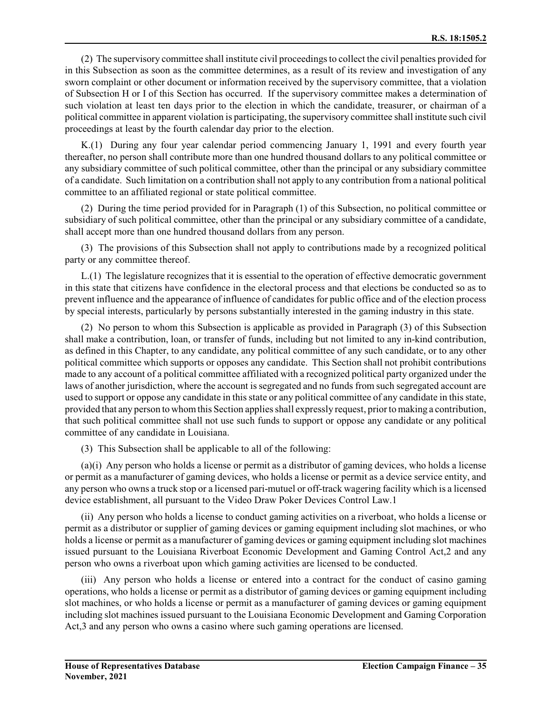(2) The supervisory committee shall institute civil proceedings to collect the civil penalties provided for in this Subsection as soon as the committee determines, as a result of its review and investigation of any sworn complaint or other document or information received by the supervisory committee, that a violation of Subsection H or I of this Section has occurred. If the supervisory committee makes a determination of such violation at least ten days prior to the election in which the candidate, treasurer, or chairman of a political committee in apparent violation is participating, the supervisory committee shall institute such civil proceedings at least by the fourth calendar day prior to the election.

K.(1) During any four year calendar period commencing January 1, 1991 and every fourth year thereafter, no person shall contribute more than one hundred thousand dollars to any political committee or any subsidiary committee of such political committee, other than the principal or any subsidiary committee of a candidate. Such limitation on a contribution shall not apply to any contribution from a national political committee to an affiliated regional or state political committee.

(2) During the time period provided for in Paragraph (1) of this Subsection, no political committee or subsidiary of such political committee, other than the principal or any subsidiary committee of a candidate, shall accept more than one hundred thousand dollars from any person.

(3) The provisions of this Subsection shall not apply to contributions made by a recognized political party or any committee thereof.

L.(1) The legislature recognizes that it is essential to the operation of effective democratic government in this state that citizens have confidence in the electoral process and that elections be conducted so as to prevent influence and the appearance of influence of candidates for public office and of the election process by special interests, particularly by persons substantially interested in the gaming industry in this state.

(2) No person to whom this Subsection is applicable as provided in Paragraph (3) of this Subsection shall make a contribution, loan, or transfer of funds, including but not limited to any in-kind contribution, as defined in this Chapter, to any candidate, any political committee of any such candidate, or to any other political committee which supports or opposes any candidate. This Section shall not prohibit contributions made to any account of a political committee affiliated with a recognized political party organized under the laws of another jurisdiction, where the account is segregated and no funds from such segregated account are used to support or oppose any candidate in this state or any political committee of any candidate in this state, provided that any person to whomthis Section applies shall expressly request, priorto making a contribution, that such political committee shall not use such funds to support or oppose any candidate or any political committee of any candidate in Louisiana.

(3) This Subsection shall be applicable to all of the following:

(a)(i) Any person who holds a license or permit as a distributor of gaming devices, who holds a license or permit as a manufacturer of gaming devices, who holds a license or permit as a device service entity, and any person who owns a truck stop or a licensed pari-mutuel or off-track wagering facility which is a licensed device establishment, all pursuant to the Video Draw Poker Devices Control Law.1

(ii) Any person who holds a license to conduct gaming activities on a riverboat, who holds a license or permit as a distributor or supplier of gaming devices or gaming equipment including slot machines, or who holds a license or permit as a manufacturer of gaming devices or gaming equipment including slot machines issued pursuant to the Louisiana Riverboat Economic Development and Gaming Control Act,2 and any person who owns a riverboat upon which gaming activities are licensed to be conducted.

(iii) Any person who holds a license or entered into a contract for the conduct of casino gaming operations, who holds a license or permit as a distributor of gaming devices or gaming equipment including slot machines, or who holds a license or permit as a manufacturer of gaming devices or gaming equipment including slot machines issued pursuant to the Louisiana Economic Development and Gaming Corporation Act,3 and any person who owns a casino where such gaming operations are licensed.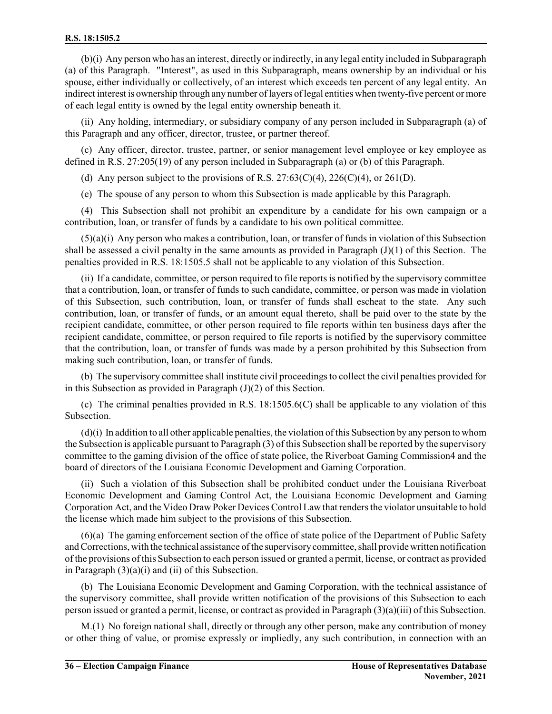(b)(i) Any person who has an interest, directly or indirectly, in any legal entity included in Subparagraph (a) of this Paragraph. "Interest", as used in this Subparagraph, means ownership by an individual or his spouse, either individually or collectively, of an interest which exceeds ten percent of any legal entity. An indirect interest is ownership through any number of layers of legal entities when twenty-five percent or more of each legal entity is owned by the legal entity ownership beneath it.

(ii) Any holding, intermediary, or subsidiary company of any person included in Subparagraph (a) of this Paragraph and any officer, director, trustee, or partner thereof.

(c) Any officer, director, trustee, partner, or senior management level employee or key employee as defined in R.S. 27:205(19) of any person included in Subparagraph (a) or (b) of this Paragraph.

(d) Any person subject to the provisions of R.S.  $27:63(C)(4)$ ,  $226(C)(4)$ , or  $261(D)$ .

(e) The spouse of any person to whom this Subsection is made applicable by this Paragraph.

(4) This Subsection shall not prohibit an expenditure by a candidate for his own campaign or a contribution, loan, or transfer of funds by a candidate to his own political committee.

(5)(a)(i) Any person who makes a contribution, loan, or transfer of funds in violation of this Subsection shall be assessed a civil penalty in the same amounts as provided in Paragraph  $(J)(1)$  of this Section. The penalties provided in R.S. 18:1505.5 shall not be applicable to any violation of this Subsection.

(ii) If a candidate, committee, or person required to file reports is notified by the supervisory committee that a contribution, loan, or transfer of funds to such candidate, committee, or person was made in violation of this Subsection, such contribution, loan, or transfer of funds shall escheat to the state. Any such contribution, loan, or transfer of funds, or an amount equal thereto, shall be paid over to the state by the recipient candidate, committee, or other person required to file reports within ten business days after the recipient candidate, committee, or person required to file reports is notified by the supervisory committee that the contribution, loan, or transfer of funds was made by a person prohibited by this Subsection from making such contribution, loan, or transfer of funds.

(b) The supervisory committee shall institute civil proceedings to collect the civil penalties provided for in this Subsection as provided in Paragraph (J)(2) of this Section.

(c) The criminal penalties provided in R.S. 18:1505.6(C) shall be applicable to any violation of this Subsection.

 $(d)(i)$  In addition to all other applicable penalties, the violation of this Subsection by any person to whom the Subsection is applicable pursuant to Paragraph (3) of this Subsection shall be reported by the supervisory committee to the gaming division of the office of state police, the Riverboat Gaming Commission4 and the board of directors of the Louisiana Economic Development and Gaming Corporation.

(ii) Such a violation of this Subsection shall be prohibited conduct under the Louisiana Riverboat Economic Development and Gaming Control Act, the Louisiana Economic Development and Gaming Corporation Act, and the Video Draw Poker Devices Control Law that renders the violator unsuitable to hold the license which made him subject to the provisions of this Subsection.

(6)(a) The gaming enforcement section of the office of state police of the Department of Public Safety and Corrections, with the technical assistance ofthe supervisory committee, shall provide written notification of the provisions of this Subsection to each person issued or granted a permit, license, or contract as provided in Paragraph (3)(a)(i) and (ii) of this Subsection.

(b) The Louisiana Economic Development and Gaming Corporation, with the technical assistance of the supervisory committee, shall provide written notification of the provisions of this Subsection to each person issued or granted a permit, license, or contract as provided in Paragraph (3)(a)(iii) of this Subsection.

M.(1) No foreign national shall, directly or through any other person, make any contribution of money or other thing of value, or promise expressly or impliedly, any such contribution, in connection with an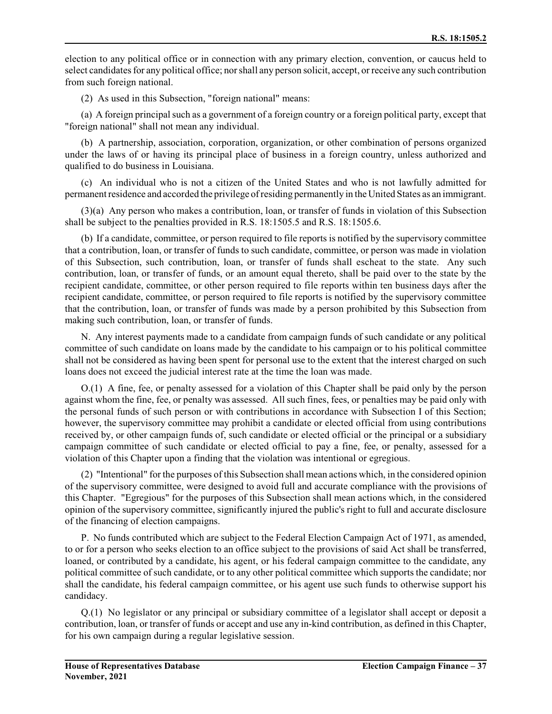election to any political office or in connection with any primary election, convention, or caucus held to select candidates for any political office; norshall any person solicit, accept, or receive any such contribution from such foreign national.

(2) As used in this Subsection, "foreign national" means:

(a) A foreign principalsuch as a government of a foreign country or a foreign political party, except that "foreign national" shall not mean any individual.

(b) A partnership, association, corporation, organization, or other combination of persons organized under the laws of or having its principal place of business in a foreign country, unless authorized and qualified to do business in Louisiana.

(c) An individual who is not a citizen of the United States and who is not lawfully admitted for permanentresidence and accorded the privilege ofresiding permanently in the United States as an immigrant.

(3)(a) Any person who makes a contribution, loan, or transfer of funds in violation of this Subsection shall be subject to the penalties provided in R.S. 18:1505.5 and R.S. 18:1505.6.

(b) If a candidate, committee, or person required to file reports is notified by the supervisory committee that a contribution, loan, or transfer of funds to such candidate, committee, or person was made in violation of this Subsection, such contribution, loan, or transfer of funds shall escheat to the state. Any such contribution, loan, or transfer of funds, or an amount equal thereto, shall be paid over to the state by the recipient candidate, committee, or other person required to file reports within ten business days after the recipient candidate, committee, or person required to file reports is notified by the supervisory committee that the contribution, loan, or transfer of funds was made by a person prohibited by this Subsection from making such contribution, loan, or transfer of funds.

N. Any interest payments made to a candidate from campaign funds of such candidate or any political committee of such candidate on loans made by the candidate to his campaign or to his political committee shall not be considered as having been spent for personal use to the extent that the interest charged on such loans does not exceed the judicial interest rate at the time the loan was made.

O.(1) A fine, fee, or penalty assessed for a violation of this Chapter shall be paid only by the person against whom the fine, fee, or penalty was assessed. All such fines, fees, or penalties may be paid only with the personal funds of such person or with contributions in accordance with Subsection I of this Section; however, the supervisory committee may prohibit a candidate or elected official from using contributions received by, or other campaign funds of, such candidate or elected official or the principal or a subsidiary campaign committee of such candidate or elected official to pay a fine, fee, or penalty, assessed for a violation of this Chapter upon a finding that the violation was intentional or egregious.

(2) "Intentional" for the purposes of this Subsection shall mean actions which, in the considered opinion of the supervisory committee, were designed to avoid full and accurate compliance with the provisions of this Chapter. "Egregious" for the purposes of this Subsection shall mean actions which, in the considered opinion of the supervisory committee, significantly injured the public's right to full and accurate disclosure of the financing of election campaigns.

P. No funds contributed which are subject to the Federal Election Campaign Act of 1971, as amended, to or for a person who seeks election to an office subject to the provisions of said Act shall be transferred, loaned, or contributed by a candidate, his agent, or his federal campaign committee to the candidate, any political committee of such candidate, or to any other political committee which supports the candidate; nor shall the candidate, his federal campaign committee, or his agent use such funds to otherwise support his candidacy.

Q.(1) No legislator or any principal or subsidiary committee of a legislator shall accept or deposit a contribution, loan, or transfer of funds or accept and use any in-kind contribution, as defined in this Chapter, for his own campaign during a regular legislative session.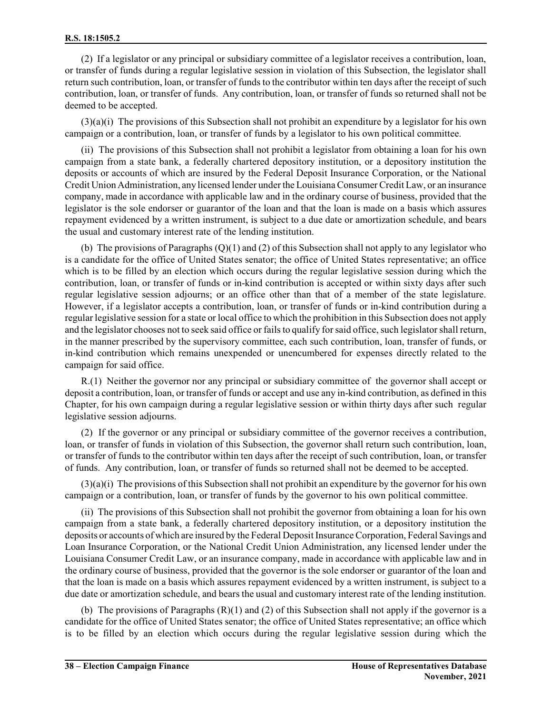(2) If a legislator or any principal or subsidiary committee of a legislator receives a contribution, loan, or transfer of funds during a regular legislative session in violation of this Subsection, the legislator shall return such contribution, loan, or transfer of funds to the contributor within ten days after the receipt of such contribution, loan, or transfer of funds. Any contribution, loan, or transfer of funds so returned shall not be deemed to be accepted.

(3)(a)(i) The provisions of this Subsection shall not prohibit an expenditure by a legislator for his own campaign or a contribution, loan, or transfer of funds by a legislator to his own political committee.

(ii) The provisions of this Subsection shall not prohibit a legislator from obtaining a loan for his own campaign from a state bank, a federally chartered depository institution, or a depository institution the deposits or accounts of which are insured by the Federal Deposit Insurance Corporation, or the National Credit Union Administration, any licensed lender under the Louisiana ConsumerCredit Law, or an insurance company, made in accordance with applicable law and in the ordinary course of business, provided that the legislator is the sole endorser or guarantor of the loan and that the loan is made on a basis which assures repayment evidenced by a written instrument, is subject to a due date or amortization schedule, and bears the usual and customary interest rate of the lending institution.

(b) The provisions of Paragraphs (Q)(1) and (2) of this Subsection shall not apply to any legislator who is a candidate for the office of United States senator; the office of United States representative; an office which is to be filled by an election which occurs during the regular legislative session during which the contribution, loan, or transfer of funds or in-kind contribution is accepted or within sixty days after such regular legislative session adjourns; or an office other than that of a member of the state legislature. However, if a legislator accepts a contribution, loan, or transfer of funds or in-kind contribution during a regular legislative session for a state or local office to which the prohibition in this Subsection does not apply and the legislator chooses not to seek said office or fails to qualify forsaid office, such legislatorshall return, in the manner prescribed by the supervisory committee, each such contribution, loan, transfer of funds, or in-kind contribution which remains unexpended or unencumbered for expenses directly related to the campaign for said office.

R.(1) Neither the governor nor any principal or subsidiary committee of the governor shall accept or deposit a contribution, loan, or transfer of funds or accept and use any in-kind contribution, as defined in this Chapter, for his own campaign during a regular legislative session or within thirty days after such regular legislative session adjourns.

(2) If the governor or any principal or subsidiary committee of the governor receives a contribution, loan, or transfer of funds in violation of this Subsection, the governor shall return such contribution, loan, or transfer of funds to the contributor within ten days after the receipt of such contribution, loan, or transfer of funds. Any contribution, loan, or transfer of funds so returned shall not be deemed to be accepted.

(3)(a)(i) The provisions of this Subsection shall not prohibit an expenditure by the governor for his own campaign or a contribution, loan, or transfer of funds by the governor to his own political committee.

(ii) The provisions of this Subsection shall not prohibit the governor from obtaining a loan for his own campaign from a state bank, a federally chartered depository institution, or a depository institution the deposits or accounts of which are insured by the Federal Deposit Insurance Corporation, Federal Savings and Loan Insurance Corporation, or the National Credit Union Administration, any licensed lender under the Louisiana Consumer Credit Law, or an insurance company, made in accordance with applicable law and in the ordinary course of business, provided that the governor is the sole endorser or guarantor of the loan and that the loan is made on a basis which assures repayment evidenced by a written instrument, is subject to a due date or amortization schedule, and bears the usual and customary interest rate of the lending institution.

(b) The provisions of Paragraphs  $(R)(1)$  and (2) of this Subsection shall not apply if the governor is a candidate for the office of United States senator; the office of United States representative; an office which is to be filled by an election which occurs during the regular legislative session during which the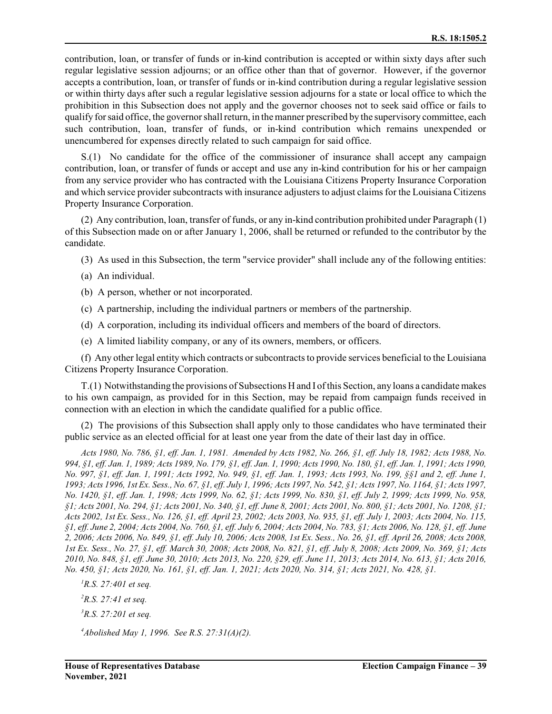contribution, loan, or transfer of funds or in-kind contribution is accepted or within sixty days after such regular legislative session adjourns; or an office other than that of governor. However, if the governor accepts a contribution, loan, or transfer of funds or in-kind contribution during a regular legislative session or within thirty days after such a regular legislative session adjourns for a state or local office to which the prohibition in this Subsection does not apply and the governor chooses not to seek said office or fails to qualify forsaid office, the governorshall return, in the manner prescribed by the supervisory committee, each such contribution, loan, transfer of funds, or in-kind contribution which remains unexpended or unencumbered for expenses directly related to such campaign for said office.

S.(1) No candidate for the office of the commissioner of insurance shall accept any campaign contribution, loan, or transfer of funds or accept and use any in-kind contribution for his or her campaign from any service provider who has contracted with the Louisiana Citizens Property Insurance Corporation and which service provider subcontracts with insurance adjusters to adjust claims for the Louisiana Citizens Property Insurance Corporation.

(2) Any contribution, loan, transfer of funds, or any in-kind contribution prohibited under Paragraph (1) of this Subsection made on or after January 1, 2006, shall be returned or refunded to the contributor by the candidate.

- (3) As used in this Subsection, the term "service provider" shall include any of the following entities:
- (a) An individual.
- (b) A person, whether or not incorporated.
- (c) A partnership, including the individual partners or members of the partnership.
- (d) A corporation, including its individual officers and members of the board of directors.
- (e) A limited liability company, or any of its owners, members, or officers.

(f) Any other legal entity which contracts orsubcontracts to provide services beneficial to the Louisiana Citizens Property Insurance Corporation.

T.(1) Notwithstanding the provisions of Subsections H and I ofthis Section, any loans a candidate makes to his own campaign, as provided for in this Section, may be repaid from campaign funds received in connection with an election in which the candidate qualified for a public office.

(2) The provisions of this Subsection shall apply only to those candidates who have terminated their public service as an elected official for at least one year from the date of their last day in office.

*Acts 1980, No. 786, §1, eff. Jan. 1, 1981. Amended by Acts 1982, No. 266, §1, eff. July 18, 1982; Acts 1988, No. 994, §1, eff. Jan. 1, 1989; Acts 1989, No. 179, §1, eff. Jan. 1, 1990; Acts 1990, No. 180, §1, eff. Jan. 1, 1991; Acts 1990, No. 997, §1, eff. Jan. 1, 1991; Acts 1992, No. 949, §1, eff. Jan. 1, 1993; Acts 1993, No. 199, §§1 and 2, eff. June 1, 1993; Acts 1996, 1st Ex. Sess., No. 67, §1, eff. July 1, 1996; Acts 1997, No. 542, §1; Acts 1997, No. 1164, §1; Acts 1997, No. 1420, §1, eff. Jan. 1, 1998; Acts 1999, No. 62, §1; Acts 1999, No. 830, §1, eff. July 2, 1999; Acts 1999, No. 958, §1; Acts 2001, No. 294, §1; Acts 2001, No. 340, §1, eff. June 8, 2001; Acts 2001, No. 800, §1; Acts 2001, No. 1208, §1; Acts 2002, 1st Ex. Sess., No. 126, §1, eff. April 23, 2002; Acts 2003, No. 935, §1, eff. July 1, 2003; Acts 2004, No. 115, §1, eff. June 2, 2004; Acts 2004, No. 760, §1, eff. July 6, 2004; Acts 2004, No. 783, §1; Acts 2006, No. 128, §1, eff. June 2, 2006; Acts 2006, No. 849, §1, eff. July 10, 2006; Acts 2008, 1st Ex. Sess., No. 26, §1, eff. April 26, 2008; Acts 2008, 1st Ex. Sess., No. 27, §1, eff. March 30, 2008; Acts 2008, No. 821, §1, eff. July 8, 2008; Acts 2009, No. 369, §1; Acts 2010, No. 848, §1, eff. June 30, 2010; Acts 2013, No. 220, §29, eff. June 11, 2013; Acts 2014, No. 613, §1; Acts 2016, No. 450, §1; Acts 2020, No. 161, §1, eff. Jan. 1, 2021; Acts 2020, No. 314, §1; Acts 2021, No. 428, §1.*

- *<sup>1</sup>R.S. 27:401 et seq.*
- *<sup>2</sup>R.S. 27:41 et seq.*
- *<sup>3</sup>R.S. 27:201 et seq.*

*<sup>4</sup>Abolished May 1, 1996. See R.S. 27:31(A)(2).*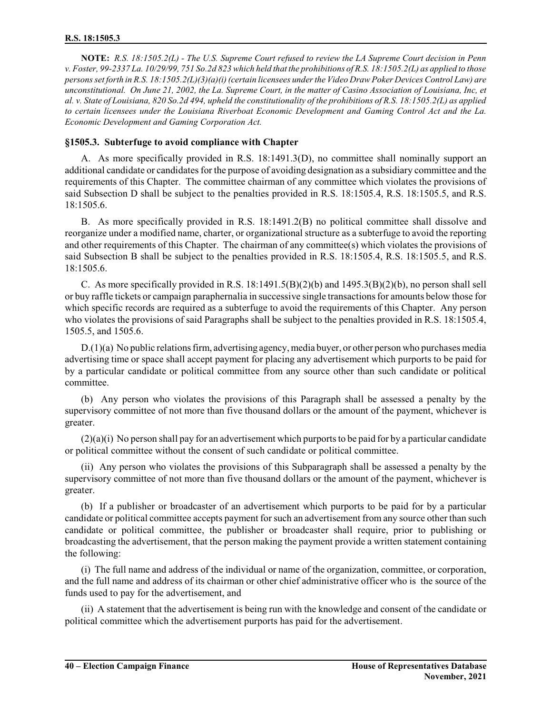**NOTE:** *R.S. 18:1505.2(L) - The U.S. Supreme Court refused to review the LA Supreme Court decision in Penn v. Foster, 99-2337 La. 10/29/99, 751 So.2d 823 which held that the prohibitions of R.S. 18:1505.2(L) as applied to those persons set forth in R.S. 18:1505.2(L)(3)(a)(i)(certain licensees under the Video Draw Poker Devices Control Law) are unconstitutional. On June 21, 2002, the La. Supreme Court, in the matter of Casino Association of Louisiana, Inc, et al. v. State of Louisiana, 820 So.2d 494, upheld the constitutionality of the prohibitions of R.S. 18:1505.2(L) as applied to certain licensees under the Louisiana Riverboat Economic Development and Gaming Control Act and the La. Economic Development and Gaming Corporation Act.*

### **§1505.3. Subterfuge to avoid compliance with Chapter**

A. As more specifically provided in R.S. 18:1491.3(D), no committee shall nominally support an additional candidate or candidates for the purpose of avoiding designation as a subsidiary committee and the requirements of this Chapter. The committee chairman of any committee which violates the provisions of said Subsection D shall be subject to the penalties provided in R.S. 18:1505.4, R.S. 18:1505.5, and R.S. 18:1505.6.

B. As more specifically provided in R.S. 18:1491.2(B) no political committee shall dissolve and reorganize under a modified name, charter, or organizational structure as a subterfuge to avoid the reporting and other requirements of this Chapter. The chairman of any committee(s) which violates the provisions of said Subsection B shall be subject to the penalties provided in R.S. 18:1505.4, R.S. 18:1505.5, and R.S. 18:1505.6.

C. As more specifically provided in R.S.  $18:1491.5(B)(2)(b)$  and  $1495.3(B)(2)(b)$ , no person shall sell or buy raffle tickets or campaign paraphernalia in successive single transactions for amounts below those for which specific records are required as a subterfuge to avoid the requirements of this Chapter. Any person who violates the provisions of said Paragraphs shall be subject to the penalties provided in R.S. 18:1505.4, 1505.5, and 1505.6.

D.(1)(a) No public relations firm, advertising agency, media buyer, or other person who purchases media advertising time or space shall accept payment for placing any advertisement which purports to be paid for by a particular candidate or political committee from any source other than such candidate or political committee.

(b) Any person who violates the provisions of this Paragraph shall be assessed a penalty by the supervisory committee of not more than five thousand dollars or the amount of the payment, whichever is greater.

 $(2)(a)(i)$  No person shall pay for an advertisement which purports to be paid for by a particular candidate or political committee without the consent of such candidate or political committee.

(ii) Any person who violates the provisions of this Subparagraph shall be assessed a penalty by the supervisory committee of not more than five thousand dollars or the amount of the payment, whichever is greater.

(b) If a publisher or broadcaster of an advertisement which purports to be paid for by a particular candidate or political committee accepts payment forsuch an advertisement from any source other than such candidate or political committee, the publisher or broadcaster shall require, prior to publishing or broadcasting the advertisement, that the person making the payment provide a written statement containing the following:

(i) The full name and address of the individual or name of the organization, committee, or corporation, and the full name and address of its chairman or other chief administrative officer who is the source of the funds used to pay for the advertisement, and

(ii) A statement that the advertisement is being run with the knowledge and consent of the candidate or political committee which the advertisement purports has paid for the advertisement.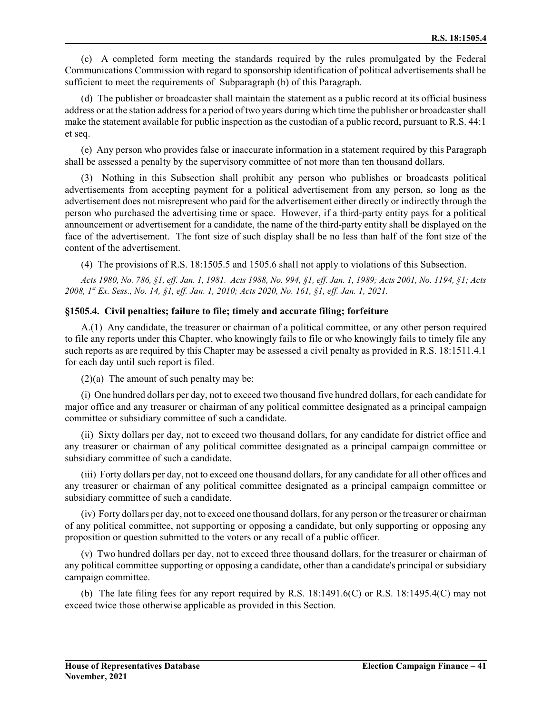(c) A completed form meeting the standards required by the rules promulgated by the Federal Communications Commission with regard to sponsorship identification of political advertisements shall be sufficient to meet the requirements of Subparagraph (b) of this Paragraph.

(d) The publisher or broadcaster shall maintain the statement as a public record at its official business address or at the station address for a period of two years during which time the publisher or broadcastershall make the statement available for public inspection as the custodian of a public record, pursuant to R.S. 44:1 et seq.

(e) Any person who provides false or inaccurate information in a statement required by this Paragraph shall be assessed a penalty by the supervisory committee of not more than ten thousand dollars.

(3) Nothing in this Subsection shall prohibit any person who publishes or broadcasts political advertisements from accepting payment for a political advertisement from any person, so long as the advertisement does not misrepresent who paid for the advertisement either directly or indirectly through the person who purchased the advertising time or space. However, if a third-party entity pays for a political announcement or advertisement for a candidate, the name of the third-party entity shall be displayed on the face of the advertisement. The font size of such display shall be no less than half of the font size of the content of the advertisement.

(4) The provisions of R.S. 18:1505.5 and 1505.6 shall not apply to violations of this Subsection.

*Acts 1980, No. 786, §1, eff. Jan. 1, 1981. Acts 1988, No. 994, §1, eff. Jan. 1, 1989; Acts 2001, No. 1194, §1; Acts 2008, 1st Ex. Sess., No. 14, §1, eff. Jan. 1, 2010; Acts 2020, No. 161, §1, eff. Jan. 1, 2021.*

### **§1505.4. Civil penalties; failure to file; timely and accurate filing; forfeiture**

A.(1) Any candidate, the treasurer or chairman of a political committee, or any other person required to file any reports under this Chapter, who knowingly fails to file or who knowingly fails to timely file any such reports as are required by this Chapter may be assessed a civil penalty as provided in R.S. 18:1511.4.1 for each day until such report is filed.

(2)(a) The amount of such penalty may be:

(i) One hundred dollars per day, not to exceed two thousand five hundred dollars, for each candidate for major office and any treasurer or chairman of any political committee designated as a principal campaign committee or subsidiary committee of such a candidate.

(ii) Sixty dollars per day, not to exceed two thousand dollars, for any candidate for district office and any treasurer or chairman of any political committee designated as a principal campaign committee or subsidiary committee of such a candidate.

(iii) Forty dollars per day, not to exceed one thousand dollars, for any candidate for all other offices and any treasurer or chairman of any political committee designated as a principal campaign committee or subsidiary committee of such a candidate.

(iv) Forty dollars per day, not to exceed one thousand dollars, for any person or the treasurer or chairman of any political committee, not supporting or opposing a candidate, but only supporting or opposing any proposition or question submitted to the voters or any recall of a public officer.

(v) Two hundred dollars per day, not to exceed three thousand dollars, for the treasurer or chairman of any political committee supporting or opposing a candidate, other than a candidate's principal or subsidiary campaign committee.

(b) The late filing fees for any report required by R.S. 18:1491.6(C) or R.S. 18:1495.4(C) may not exceed twice those otherwise applicable as provided in this Section.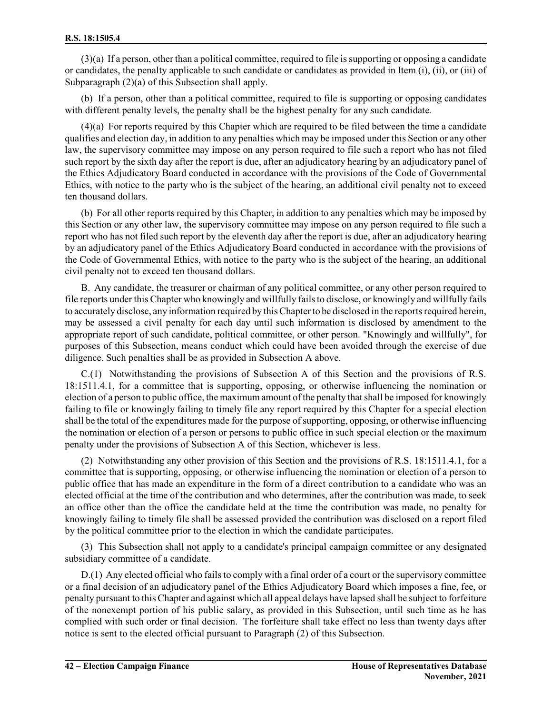(3)(a) If a person, other than a political committee, required to file is supporting or opposing a candidate or candidates, the penalty applicable to such candidate or candidates as provided in Item (i), (ii), or (iii) of Subparagraph (2)(a) of this Subsection shall apply.

(b) If a person, other than a political committee, required to file is supporting or opposing candidates with different penalty levels, the penalty shall be the highest penalty for any such candidate.

(4)(a) For reports required by this Chapter which are required to be filed between the time a candidate qualifies and election day, in addition to any penalties which may be imposed under this Section or any other law, the supervisory committee may impose on any person required to file such a report who has not filed such report by the sixth day after the report is due, after an adjudicatory hearing by an adjudicatory panel of the Ethics Adjudicatory Board conducted in accordance with the provisions of the Code of Governmental Ethics, with notice to the party who is the subject of the hearing, an additional civil penalty not to exceed ten thousand dollars.

(b) For all other reports required by this Chapter, in addition to any penalties which may be imposed by this Section or any other law, the supervisory committee may impose on any person required to file such a report who has not filed such report by the eleventh day after the report is due, after an adjudicatory hearing by an adjudicatory panel of the Ethics Adjudicatory Board conducted in accordance with the provisions of the Code of Governmental Ethics, with notice to the party who is the subject of the hearing, an additional civil penalty not to exceed ten thousand dollars.

B. Any candidate, the treasurer or chairman of any political committee, or any other person required to file reports under this Chapter who knowingly and willfully fails to disclose, or knowingly and willfully fails to accurately disclose, any information required by this Chapterto be disclosed in the reports required herein, may be assessed a civil penalty for each day until such information is disclosed by amendment to the appropriate report of such candidate, political committee, or other person. "Knowingly and willfully", for purposes of this Subsection, means conduct which could have been avoided through the exercise of due diligence. Such penalties shall be as provided in Subsection A above.

C.(1) Notwithstanding the provisions of Subsection A of this Section and the provisions of R.S. 18:1511.4.1, for a committee that is supporting, opposing, or otherwise influencing the nomination or election of a person to public office, the maximum amount of the penalty that shall be imposed for knowingly failing to file or knowingly failing to timely file any report required by this Chapter for a special election shall be the total of the expenditures made for the purpose of supporting, opposing, or otherwise influencing the nomination or election of a person or persons to public office in such special election or the maximum penalty under the provisions of Subsection A of this Section, whichever is less.

(2) Notwithstanding any other provision of this Section and the provisions of R.S. 18:1511.4.1, for a committee that is supporting, opposing, or otherwise influencing the nomination or election of a person to public office that has made an expenditure in the form of a direct contribution to a candidate who was an elected official at the time of the contribution and who determines, after the contribution was made, to seek an office other than the office the candidate held at the time the contribution was made, no penalty for knowingly failing to timely file shall be assessed provided the contribution was disclosed on a report filed by the political committee prior to the election in which the candidate participates.

(3) This Subsection shall not apply to a candidate's principal campaign committee or any designated subsidiary committee of a candidate.

D.(1) Any elected official who fails to comply with a final order of a court or the supervisory committee or a final decision of an adjudicatory panel of the Ethics Adjudicatory Board which imposes a fine, fee, or penalty pursuant to this Chapter and against which all appeal delays have lapsed shall be subject to forfeiture of the nonexempt portion of his public salary, as provided in this Subsection, until such time as he has complied with such order or final decision. The forfeiture shall take effect no less than twenty days after notice is sent to the elected official pursuant to Paragraph (2) of this Subsection.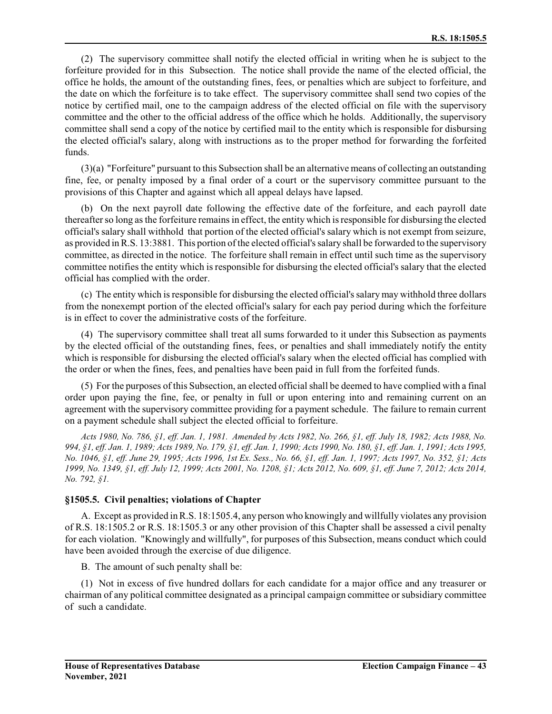(2) The supervisory committee shall notify the elected official in writing when he is subject to the forfeiture provided for in this Subsection. The notice shall provide the name of the elected official, the office he holds, the amount of the outstanding fines, fees, or penalties which are subject to forfeiture, and the date on which the forfeiture is to take effect. The supervisory committee shall send two copies of the notice by certified mail, one to the campaign address of the elected official on file with the supervisory committee and the other to the official address of the office which he holds. Additionally, the supervisory committee shall send a copy of the notice by certified mail to the entity which is responsible for disbursing the elected official's salary, along with instructions as to the proper method for forwarding the forfeited funds.

(3)(a) "Forfeiture" pursuant to this Subsection shall be an alternative means of collecting an outstanding fine, fee, or penalty imposed by a final order of a court or the supervisory committee pursuant to the provisions of this Chapter and against which all appeal delays have lapsed.

(b) On the next payroll date following the effective date of the forfeiture, and each payroll date thereafterso long as the forfeiture remains in effect, the entity which is responsible for disbursing the elected official's salary shall withhold that portion of the elected official's salary which is not exempt from seizure, as provided in R.S. 13:3881. This portion of the elected official's salary shall be forwarded to the supervisory committee, as directed in the notice. The forfeiture shall remain in effect until such time as the supervisory committee notifies the entity which is responsible for disbursing the elected official's salary that the elected official has complied with the order.

(c) The entity which is responsible for disbursing the elected official's salary may withhold three dollars from the nonexempt portion of the elected official's salary for each pay period during which the forfeiture is in effect to cover the administrative costs of the forfeiture.

(4) The supervisory committee shall treat all sums forwarded to it under this Subsection as payments by the elected official of the outstanding fines, fees, or penalties and shall immediately notify the entity which is responsible for disbursing the elected official's salary when the elected official has complied with the order or when the fines, fees, and penalties have been paid in full from the forfeited funds.

(5) For the purposes of this Subsection, an elected officialshall be deemed to have complied with a final order upon paying the fine, fee, or penalty in full or upon entering into and remaining current on an agreement with the supervisory committee providing for a payment schedule. The failure to remain current on a payment schedule shall subject the elected official to forfeiture.

*Acts 1980, No. 786, §1, eff. Jan. 1, 1981. Amended by Acts 1982, No. 266, §1, eff. July 18, 1982; Acts 1988, No. 994, §1, eff. Jan. 1, 1989; Acts 1989, No. 179, §1, eff. Jan. 1, 1990; Acts 1990, No. 180, §1, eff. Jan. 1, 1991; Acts 1995, No. 1046, §1, eff. June 29, 1995; Acts 1996, 1st Ex. Sess., No. 66, §1, eff. Jan. 1, 1997; Acts 1997, No. 352, §1; Acts 1999, No. 1349, §1, eff. July 12, 1999; Acts 2001, No. 1208, §1; Acts 2012, No. 609, §1, eff. June 7, 2012; Acts 2014, No. 792, §1.*

### **§1505.5. Civil penalties; violations of Chapter**

A. Except as provided in R.S. 18:1505.4, any person who knowingly and willfully violates any provision of R.S. 18:1505.2 or R.S. 18:1505.3 or any other provision of this Chapter shall be assessed a civil penalty for each violation. "Knowingly and willfully", for purposes of this Subsection, means conduct which could have been avoided through the exercise of due diligence.

B. The amount of such penalty shall be:

(1) Not in excess of five hundred dollars for each candidate for a major office and any treasurer or chairman of any political committee designated as a principal campaign committee or subsidiary committee of such a candidate.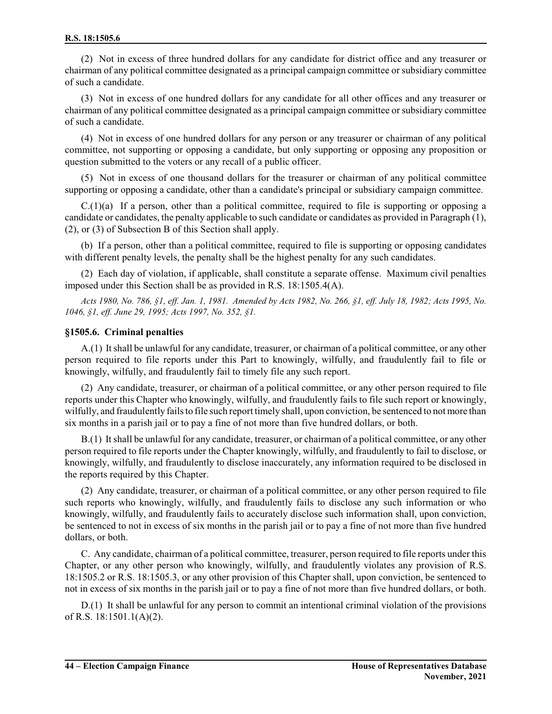(2) Not in excess of three hundred dollars for any candidate for district office and any treasurer or chairman of any political committee designated as a principal campaign committee or subsidiary committee of such a candidate.

(3) Not in excess of one hundred dollars for any candidate for all other offices and any treasurer or chairman of any political committee designated as a principal campaign committee orsubsidiary committee of such a candidate.

(4) Not in excess of one hundred dollars for any person or any treasurer or chairman of any political committee, not supporting or opposing a candidate, but only supporting or opposing any proposition or question submitted to the voters or any recall of a public officer.

(5) Not in excess of one thousand dollars for the treasurer or chairman of any political committee supporting or opposing a candidate, other than a candidate's principal or subsidiary campaign committee.

 $C(1)(a)$  If a person, other than a political committee, required to file is supporting or opposing a candidate or candidates, the penalty applicable to such candidate or candidates as provided in Paragraph (1), (2), or (3) of Subsection B of this Section shall apply.

(b) If a person, other than a political committee, required to file is supporting or opposing candidates with different penalty levels, the penalty shall be the highest penalty for any such candidates.

(2) Each day of violation, if applicable, shall constitute a separate offense. Maximum civil penalties imposed under this Section shall be as provided in R.S. 18:1505.4(A).

*Acts 1980, No. 786, §1, eff. Jan. 1, 1981. Amended by Acts 1982, No. 266, §1, eff. July 18, 1982; Acts 1995, No. 1046, §1, eff. June 29, 1995; Acts 1997, No. 352, §1.*

### **§1505.6. Criminal penalties**

A.(1) Itshall be unlawful for any candidate, treasurer, or chairman of a political committee, or any other person required to file reports under this Part to knowingly, wilfully, and fraudulently fail to file or knowingly, wilfully, and fraudulently fail to timely file any such report.

(2) Any candidate, treasurer, or chairman of a political committee, or any other person required to file reports under this Chapter who knowingly, wilfully, and fraudulently fails to file such report or knowingly, wilfully, and fraudulently fails to file such report timely shall, upon conviction, be sentenced to not more than six months in a parish jail or to pay a fine of not more than five hundred dollars, or both.

B.(1) Itshall be unlawful for any candidate, treasurer, or chairman of a political committee, or any other person required to file reports under the Chapter knowingly, wilfully, and fraudulently to fail to disclose, or knowingly, wilfully, and fraudulently to disclose inaccurately, any information required to be disclosed in the reports required by this Chapter.

(2) Any candidate, treasurer, or chairman of a political committee, or any other person required to file such reports who knowingly, wilfully, and fraudulently fails to disclose any such information or who knowingly, wilfully, and fraudulently fails to accurately disclose such information shall, upon conviction, be sentenced to not in excess of six months in the parish jail or to pay a fine of not more than five hundred dollars, or both.

C. Any candidate, chairman of a political committee, treasurer, person required to file reports under this Chapter, or any other person who knowingly, wilfully, and fraudulently violates any provision of R.S. 18:1505.2 or R.S. 18:1505.3, or any other provision of this Chapter shall, upon conviction, be sentenced to not in excess of six months in the parish jail or to pay a fine of not more than five hundred dollars, or both.

D.(1) It shall be unlawful for any person to commit an intentional criminal violation of the provisions of R.S. 18:1501.1(A)(2).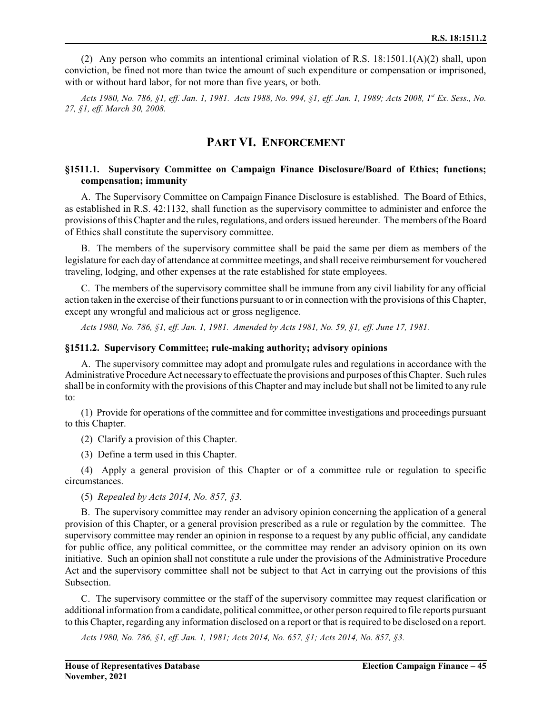(2) Any person who commits an intentional criminal violation of R.S. 18:1501.1(A)(2) shall, upon conviction, be fined not more than twice the amount of such expenditure or compensation or imprisoned, with or without hard labor, for not more than five years, or both.

*Acts 1980, No. 786, §1, eff. Jan. 1, 1981. Acts 1988, No. 994, §1, eff. Jan. 1, 1989; Acts 2008, 1st Ex. Sess., No. 27, §1, eff. March 30, 2008.*

### **PART VI. ENFORCEMENT**

### **§1511.1. Supervisory Committee on Campaign Finance Disclosure/Board of Ethics; functions; compensation; immunity**

A. The Supervisory Committee on Campaign Finance Disclosure is established. The Board of Ethics, as established in R.S. 42:1132, shall function as the supervisory committee to administer and enforce the provisions ofthis Chapter and the rules, regulations, and orders issued hereunder. The members ofthe Board of Ethics shall constitute the supervisory committee.

B. The members of the supervisory committee shall be paid the same per diem as members of the legislature for each day of attendance at committee meetings, and shall receive reimbursement for vouchered traveling, lodging, and other expenses at the rate established for state employees.

C. The members of the supervisory committee shall be immune from any civil liability for any official action taken in the exercise of their functions pursuant to or in connection with the provisions of this Chapter, except any wrongful and malicious act or gross negligence.

*Acts 1980, No. 786, §1, eff. Jan. 1, 1981. Amended by Acts 1981, No. 59, §1, eff. June 17, 1981.*

#### **§1511.2. Supervisory Committee; rule-making authority; advisory opinions**

A. The supervisory committee may adopt and promulgate rules and regulations in accordance with the Administrative Procedure Act necessary to effectuate the provisions and purposes ofthis Chapter. Such rules shall be in conformity with the provisions of this Chapter and may include but shall not be limited to any rule to:

(1) Provide for operations of the committee and for committee investigations and proceedings pursuant to this Chapter.

(2) Clarify a provision of this Chapter.

(3) Define a term used in this Chapter.

(4) Apply a general provision of this Chapter or of a committee rule or regulation to specific circumstances.

(5) *Repealed by Acts 2014, No. 857, §3.*

B. The supervisory committee may render an advisory opinion concerning the application of a general provision of this Chapter, or a general provision prescribed as a rule or regulation by the committee. The supervisory committee may render an opinion in response to a request by any public official, any candidate for public office, any political committee, or the committee may render an advisory opinion on its own initiative. Such an opinion shall not constitute a rule under the provisions of the Administrative Procedure Act and the supervisory committee shall not be subject to that Act in carrying out the provisions of this Subsection.

C. The supervisory committee or the staff of the supervisory committee may request clarification or additional information froma candidate, political committee, or other person required to file reports pursuant to this Chapter, regarding any information disclosed on a report or that is required to be disclosed on a report.

*Acts 1980, No. 786, §1, eff. Jan. 1, 1981; Acts 2014, No. 657, §1; Acts 2014, No. 857, §3.*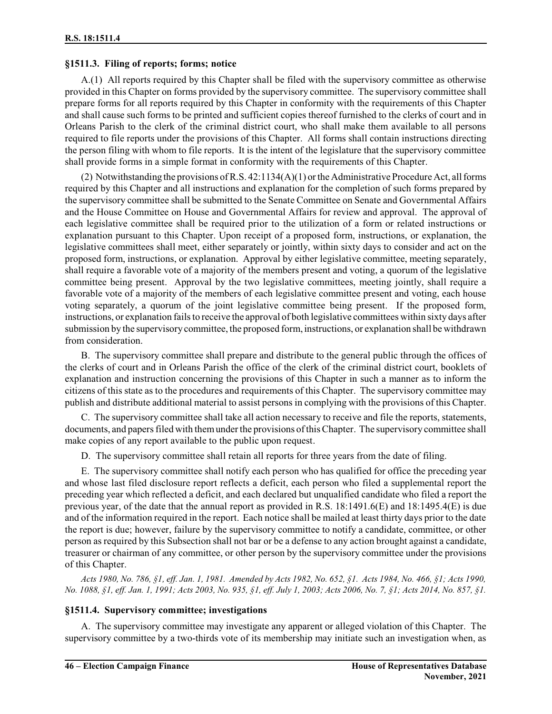### **§1511.3. Filing of reports; forms; notice**

A.(1) All reports required by this Chapter shall be filed with the supervisory committee as otherwise provided in this Chapter on forms provided by the supervisory committee. The supervisory committee shall prepare forms for all reports required by this Chapter in conformity with the requirements of this Chapter and shall cause such forms to be printed and sufficient copies thereof furnished to the clerks of court and in Orleans Parish to the clerk of the criminal district court, who shall make them available to all persons required to file reports under the provisions of this Chapter. All forms shall contain instructions directing the person filing with whom to file reports. It is the intent of the legislature that the supervisory committee shall provide forms in a simple format in conformity with the requirements of this Chapter.

(2) Notwithstanding the provisions of R.S.  $42:1134(A)(1)$  or the Administrative Procedure Act, all forms required by this Chapter and all instructions and explanation for the completion of such forms prepared by the supervisory committee shall be submitted to the Senate Committee on Senate and Governmental Affairs and the House Committee on House and Governmental Affairs for review and approval. The approval of each legislative committee shall be required prior to the utilization of a form or related instructions or explanation pursuant to this Chapter. Upon receipt of a proposed form, instructions, or explanation, the legislative committees shall meet, either separately or jointly, within sixty days to consider and act on the proposed form, instructions, or explanation. Approval by either legislative committee, meeting separately, shall require a favorable vote of a majority of the members present and voting, a quorum of the legislative committee being present. Approval by the two legislative committees, meeting jointly, shall require a favorable vote of a majority of the members of each legislative committee present and voting, each house voting separately, a quorum of the joint legislative committee being present. If the proposed form, instructions, or explanation fails to receive the approval of both legislative committees within sixty days after submission by the supervisory committee, the proposed form, instructions, or explanation shall be withdrawn from consideration.

B. The supervisory committee shall prepare and distribute to the general public through the offices of the clerks of court and in Orleans Parish the office of the clerk of the criminal district court, booklets of explanation and instruction concerning the provisions of this Chapter in such a manner as to inform the citizens of this state as to the procedures and requirements of this Chapter. The supervisory committee may publish and distribute additional material to assist persons in complying with the provisions of this Chapter.

C. The supervisory committee shall take all action necessary to receive and file the reports, statements, documents, and papers filed with them under the provisions of this Chapter. The supervisory committee shall make copies of any report available to the public upon request.

D. The supervisory committee shall retain all reports for three years from the date of filing.

E. The supervisory committee shall notify each person who has qualified for office the preceding year and whose last filed disclosure report reflects a deficit, each person who filed a supplemental report the preceding year which reflected a deficit, and each declared but unqualified candidate who filed a report the previous year, of the date that the annual report as provided in R.S. 18:1491.6(E) and 18:1495.4(E) is due and of the information required in the report. Each notice shall be mailed at least thirty days prior to the date the report is due; however, failure by the supervisory committee to notify a candidate, committee, or other person as required by this Subsection shall not bar or be a defense to any action brought against a candidate, treasurer or chairman of any committee, or other person by the supervisory committee under the provisions of this Chapter.

*Acts 1980, No. 786, §1, eff. Jan. 1, 1981. Amended by Acts 1982, No. 652, §1. Acts 1984, No. 466, §1; Acts 1990, No. 1088, §1, eff. Jan. 1, 1991; Acts 2003, No. 935, §1, eff. July 1, 2003; Acts 2006, No. 7, §1; Acts 2014, No. 857, §1.*

### **§1511.4. Supervisory committee; investigations**

A. The supervisory committee may investigate any apparent or alleged violation of this Chapter. The supervisory committee by a two-thirds vote of its membership may initiate such an investigation when, as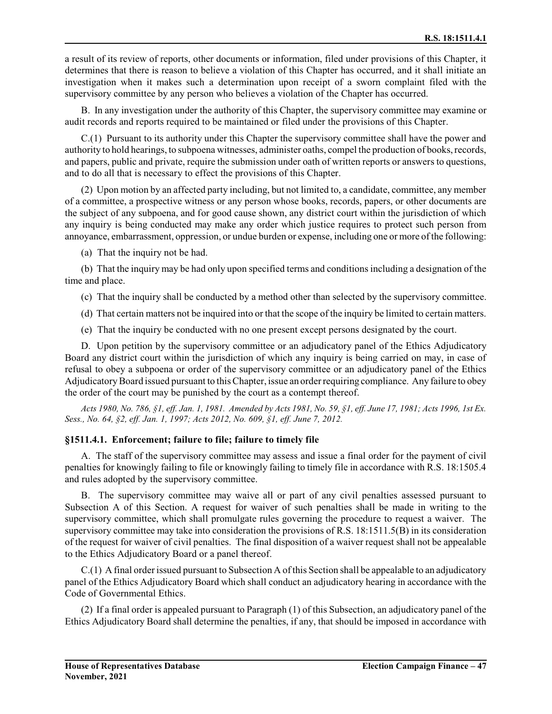a result of its review of reports, other documents or information, filed under provisions of this Chapter, it determines that there is reason to believe a violation of this Chapter has occurred, and it shall initiate an investigation when it makes such a determination upon receipt of a sworn complaint filed with the supervisory committee by any person who believes a violation of the Chapter has occurred.

B. In any investigation under the authority of this Chapter, the supervisory committee may examine or audit records and reports required to be maintained or filed under the provisions of this Chapter.

C.(1) Pursuant to its authority under this Chapter the supervisory committee shall have the power and authority to hold hearings, to subpoena witnesses, administer oaths, compel the production of books, records, and papers, public and private, require the submission under oath of written reports or answers to questions, and to do all that is necessary to effect the provisions of this Chapter.

(2) Upon motion by an affected party including, but not limited to, a candidate, committee, any member of a committee, a prospective witness or any person whose books, records, papers, or other documents are the subject of any subpoena, and for good cause shown, any district court within the jurisdiction of which any inquiry is being conducted may make any order which justice requires to protect such person from annoyance, embarrassment, oppression, or undue burden or expense, including one or more of the following:

(a) That the inquiry not be had.

(b) That the inquiry may be had only upon specified terms and conditions including a designation of the time and place.

- (c) That the inquiry shall be conducted by a method other than selected by the supervisory committee.
- (d) That certain matters not be inquired into or that the scope of the inquiry be limited to certain matters.
- (e) That the inquiry be conducted with no one present except persons designated by the court.

D. Upon petition by the supervisory committee or an adjudicatory panel of the Ethics Adjudicatory Board any district court within the jurisdiction of which any inquiry is being carried on may, in case of refusal to obey a subpoena or order of the supervisory committee or an adjudicatory panel of the Ethics AdjudicatoryBoard issued pursuant to this Chapter, issue an orderrequiring compliance. Any failure to obey the order of the court may be punished by the court as a contempt thereof.

*Acts 1980, No. 786, §1, eff. Jan. 1, 1981. Amended by Acts 1981, No. 59, §1, eff. June 17, 1981; Acts 1996, 1st Ex. Sess., No. 64, §2, eff. Jan. 1, 1997; Acts 2012, No. 609, §1, eff. June 7, 2012.*

### **§1511.4.1. Enforcement; failure to file; failure to timely file**

A. The staff of the supervisory committee may assess and issue a final order for the payment of civil penalties for knowingly failing to file or knowingly failing to timely file in accordance with R.S. 18:1505.4 and rules adopted by the supervisory committee.

B. The supervisory committee may waive all or part of any civil penalties assessed pursuant to Subsection A of this Section. A request for waiver of such penalties shall be made in writing to the supervisory committee, which shall promulgate rules governing the procedure to request a waiver. The supervisory committee may take into consideration the provisions of R.S. 18:1511.5(B) in its consideration of the request for waiver of civil penalties. The final disposition of a waiver request shall not be appealable to the Ethics Adjudicatory Board or a panel thereof.

C.(1) A final order issued pursuant to Subsection A of this Section shall be appealable to an adjudicatory panel of the Ethics Adjudicatory Board which shall conduct an adjudicatory hearing in accordance with the Code of Governmental Ethics.

(2) If a final order is appealed pursuant to Paragraph (1) of this Subsection, an adjudicatory panel of the Ethics Adjudicatory Board shall determine the penalties, if any, that should be imposed in accordance with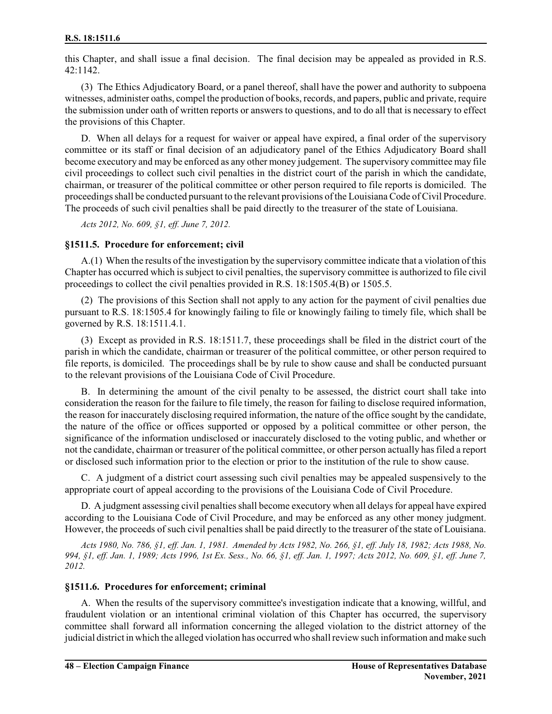this Chapter, and shall issue a final decision. The final decision may be appealed as provided in R.S. 42:1142.

(3) The Ethics Adjudicatory Board, or a panel thereof, shall have the power and authority to subpoena witnesses, administer oaths, compel the production of books, records, and papers, public and private, require the submission under oath of written reports or answers to questions, and to do all that is necessary to effect the provisions of this Chapter.

D. When all delays for a request for waiver or appeal have expired, a final order of the supervisory committee or its staff or final decision of an adjudicatory panel of the Ethics Adjudicatory Board shall become executory and may be enforced as any other money judgement. The supervisory committee may file civil proceedings to collect such civil penalties in the district court of the parish in which the candidate, chairman, or treasurer of the political committee or other person required to file reports is domiciled. The proceedings shall be conducted pursuant to the relevant provisions of the Louisiana Code of Civil Procedure. The proceeds of such civil penalties shall be paid directly to the treasurer of the state of Louisiana.

*Acts 2012, No. 609, §1, eff. June 7, 2012.*

### **§1511.5. Procedure for enforcement; civil**

A.(1) When the results of the investigation by the supervisory committee indicate that a violation of this Chapter has occurred which is subject to civil penalties, the supervisory committee is authorized to file civil proceedings to collect the civil penalties provided in R.S. 18:1505.4(B) or 1505.5.

(2) The provisions of this Section shall not apply to any action for the payment of civil penalties due pursuant to R.S. 18:1505.4 for knowingly failing to file or knowingly failing to timely file, which shall be governed by R.S. 18:1511.4.1.

(3) Except as provided in R.S. 18:1511.7, these proceedings shall be filed in the district court of the parish in which the candidate, chairman or treasurer of the political committee, or other person required to file reports, is domiciled. The proceedings shall be by rule to show cause and shall be conducted pursuant to the relevant provisions of the Louisiana Code of Civil Procedure.

B. In determining the amount of the civil penalty to be assessed, the district court shall take into consideration the reason for the failure to file timely, the reason for failing to disclose required information, the reason for inaccurately disclosing required information, the nature of the office sought by the candidate, the nature of the office or offices supported or opposed by a political committee or other person, the significance of the information undisclosed or inaccurately disclosed to the voting public, and whether or not the candidate, chairman or treasurer of the political committee, or other person actually has filed a report or disclosed such information prior to the election or prior to the institution of the rule to show cause.

C. A judgment of a district court assessing such civil penalties may be appealed suspensively to the appropriate court of appeal according to the provisions of the Louisiana Code of Civil Procedure.

D. A judgment assessing civil penalties shall become executory when all delays for appeal have expired according to the Louisiana Code of Civil Procedure, and may be enforced as any other money judgment. However, the proceeds of such civil penalties shall be paid directly to the treasurer of the state of Louisiana.

*Acts 1980, No. 786, §1, eff. Jan. 1, 1981. Amended by Acts 1982, No. 266, §1, eff. July 18, 1982; Acts 1988, No. 994, §1, eff. Jan. 1, 1989; Acts 1996, 1st Ex. Sess., No. 66, §1, eff. Jan. 1, 1997; Acts 2012, No. 609, §1, eff. June 7, 2012.*

### **§1511.6. Procedures for enforcement; criminal**

A. When the results of the supervisory committee's investigation indicate that a knowing, willful, and fraudulent violation or an intentional criminal violation of this Chapter has occurred, the supervisory committee shall forward all information concerning the alleged violation to the district attorney of the judicial district in which the alleged violation has occurred who shallreview such information and make such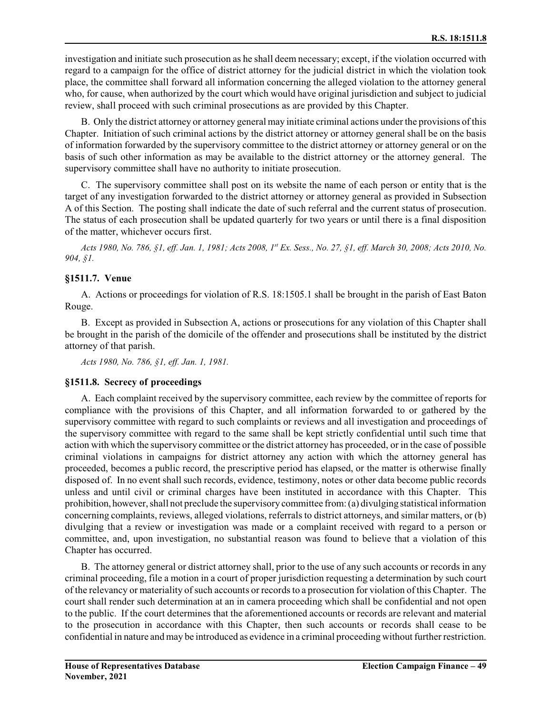investigation and initiate such prosecution as he shall deem necessary; except, if the violation occurred with regard to a campaign for the office of district attorney for the judicial district in which the violation took place, the committee shall forward all information concerning the alleged violation to the attorney general who, for cause, when authorized by the court which would have original jurisdiction and subject to judicial review, shall proceed with such criminal prosecutions as are provided by this Chapter.

B. Only the district attorney or attorney general may initiate criminal actions under the provisions of this Chapter. Initiation of such criminal actions by the district attorney or attorney general shall be on the basis of information forwarded by the supervisory committee to the district attorney or attorney general or on the basis of such other information as may be available to the district attorney or the attorney general. The supervisory committee shall have no authority to initiate prosecution.

C. The supervisory committee shall post on its website the name of each person or entity that is the target of any investigation forwarded to the district attorney or attorney general as provided in Subsection A of this Section. The posting shall indicate the date of such referral and the current status of prosecution. The status of each prosecution shall be updated quarterly for two years or until there is a final disposition of the matter, whichever occurs first.

*Acts 1980, No. 786, §1, eff. Jan. 1, 1981; Acts 2008, 1 st Ex. Sess., No. 27, §1, eff. March 30, 2008; Acts 2010, No. 904, §1.*

### **§1511.7. Venue**

A. Actions or proceedings for violation of R.S. 18:1505.1 shall be brought in the parish of East Baton Rouge.

B. Except as provided in Subsection A, actions or prosecutions for any violation of this Chapter shall be brought in the parish of the domicile of the offender and prosecutions shall be instituted by the district attorney of that parish.

*Acts 1980, No. 786, §1, eff. Jan. 1, 1981.*

### **§1511.8. Secrecy of proceedings**

A. Each complaint received by the supervisory committee, each review by the committee of reports for compliance with the provisions of this Chapter, and all information forwarded to or gathered by the supervisory committee with regard to such complaints or reviews and all investigation and proceedings of the supervisory committee with regard to the same shall be kept strictly confidential until such time that action with which the supervisory committee or the district attorney has proceeded, or in the case of possible criminal violations in campaigns for district attorney any action with which the attorney general has proceeded, becomes a public record, the prescriptive period has elapsed, or the matter is otherwise finally disposed of. In no event shall such records, evidence, testimony, notes or other data become public records unless and until civil or criminal charges have been instituted in accordance with this Chapter. This prohibition, however, shall not preclude the supervisory committee from:(a) divulging statistical information concerning complaints, reviews, alleged violations, referrals to district attorneys, and similar matters, or (b) divulging that a review or investigation was made or a complaint received with regard to a person or committee, and, upon investigation, no substantial reason was found to believe that a violation of this Chapter has occurred.

B. The attorney general or district attorney shall, prior to the use of any such accounts or records in any criminal proceeding, file a motion in a court of proper jurisdiction requesting a determination by such court of the relevancy or materiality of such accounts or records to a prosecution for violation of this Chapter. The court shall render such determination at an in camera proceeding which shall be confidential and not open to the public. If the court determines that the aforementioned accounts or records are relevant and material to the prosecution in accordance with this Chapter, then such accounts or records shall cease to be confidential in nature and may be introduced as evidence in a criminal proceeding without further restriction.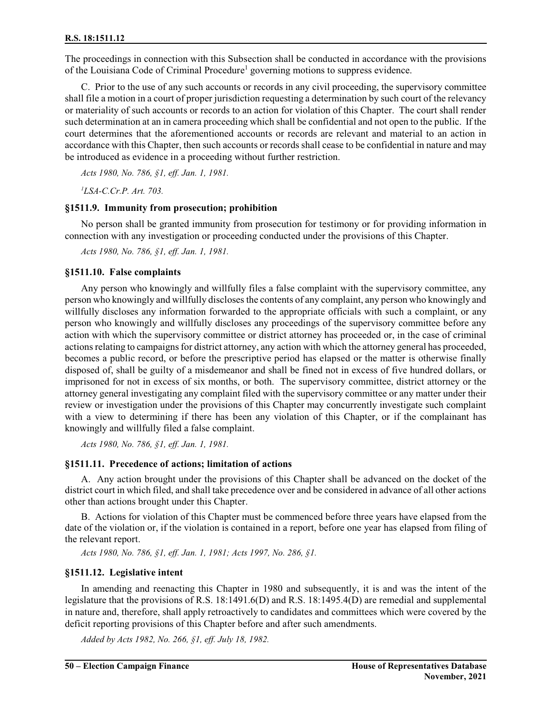The proceedings in connection with this Subsection shall be conducted in accordance with the provisions of the Louisiana Code of Criminal Procedure<sup>1</sup> governing motions to suppress evidence.

C. Prior to the use of any such accounts or records in any civil proceeding, the supervisory committee shall file a motion in a court of proper jurisdiction requesting a determination by such court of the relevancy or materiality of such accounts or records to an action for violation of this Chapter. The court shall render such determination at an in camera proceeding which shall be confidential and not open to the public. If the court determines that the aforementioned accounts or records are relevant and material to an action in accordance with this Chapter, then such accounts or records shall cease to be confidential in nature and may be introduced as evidence in a proceeding without further restriction.

*Acts 1980, No. 786, §1, eff. Jan. 1, 1981.*

*<sup>1</sup>LSA-C.Cr.P. Art. 703.*

#### **§1511.9. Immunity from prosecution; prohibition**

No person shall be granted immunity from prosecution for testimony or for providing information in connection with any investigation or proceeding conducted under the provisions of this Chapter.

*Acts 1980, No. 786, §1, eff. Jan. 1, 1981.*

### **§1511.10. False complaints**

Any person who knowingly and willfully files a false complaint with the supervisory committee, any person who knowingly and willfully discloses the contents of any complaint, any person who knowingly and willfully discloses any information forwarded to the appropriate officials with such a complaint, or any person who knowingly and willfully discloses any proceedings of the supervisory committee before any action with which the supervisory committee or district attorney has proceeded or, in the case of criminal actions relating to campaigns for district attorney, any action with which the attorney general has proceeded, becomes a public record, or before the prescriptive period has elapsed or the matter is otherwise finally disposed of, shall be guilty of a misdemeanor and shall be fined not in excess of five hundred dollars, or imprisoned for not in excess of six months, or both. The supervisory committee, district attorney or the attorney general investigating any complaint filed with the supervisory committee or any matter under their review or investigation under the provisions of this Chapter may concurrently investigate such complaint with a view to determining if there has been any violation of this Chapter, or if the complainant has knowingly and willfully filed a false complaint.

*Acts 1980, No. 786, §1, eff. Jan. 1, 1981.*

### **§1511.11. Precedence of actions; limitation of actions**

A. Any action brought under the provisions of this Chapter shall be advanced on the docket of the district court in which filed, and shall take precedence over and be considered in advance of all other actions other than actions brought under this Chapter.

B. Actions for violation of this Chapter must be commenced before three years have elapsed from the date of the violation or, if the violation is contained in a report, before one year has elapsed from filing of the relevant report.

*Acts 1980, No. 786, §1, eff. Jan. 1, 1981; Acts 1997, No. 286, §1.*

### **§1511.12. Legislative intent**

In amending and reenacting this Chapter in 1980 and subsequently, it is and was the intent of the legislature that the provisions of R.S. 18:1491.6(D) and R.S. 18:1495.4(D) are remedial and supplemental in nature and, therefore, shall apply retroactively to candidates and committees which were covered by the deficit reporting provisions of this Chapter before and after such amendments.

*Added by Acts 1982, No. 266, §1, eff. July 18, 1982.*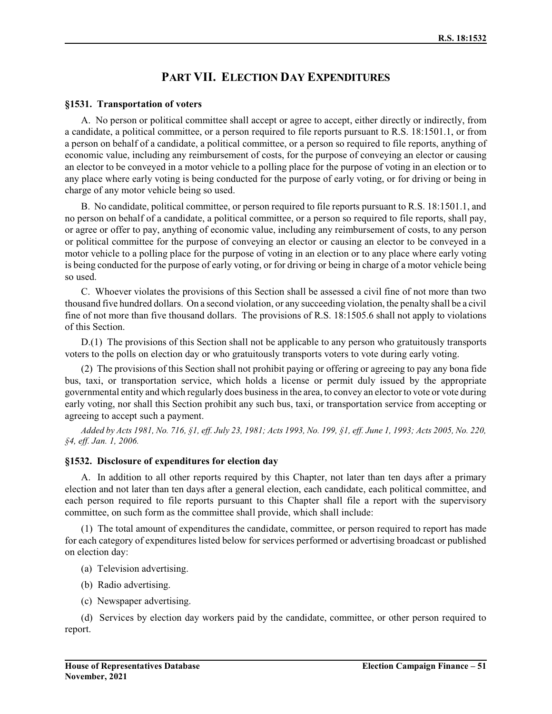## **PART VII. ELECTION DAY EXPENDITURES**

### **§1531. Transportation of voters**

A. No person or political committee shall accept or agree to accept, either directly or indirectly, from a candidate, a political committee, or a person required to file reports pursuant to R.S. 18:1501.1, or from a person on behalf of a candidate, a political committee, or a person so required to file reports, anything of economic value, including any reimbursement of costs, for the purpose of conveying an elector or causing an elector to be conveyed in a motor vehicle to a polling place for the purpose of voting in an election or to any place where early voting is being conducted for the purpose of early voting, or for driving or being in charge of any motor vehicle being so used.

B. No candidate, political committee, or person required to file reports pursuant to R.S. 18:1501.1, and no person on behalf of a candidate, a political committee, or a person so required to file reports, shall pay, or agree or offer to pay, anything of economic value, including any reimbursement of costs, to any person or political committee for the purpose of conveying an elector or causing an elector to be conveyed in a motor vehicle to a polling place for the purpose of voting in an election or to any place where early voting is being conducted for the purpose of early voting, or for driving or being in charge of a motor vehicle being so used.

C. Whoever violates the provisions of this Section shall be assessed a civil fine of not more than two thousand five hundred dollars. On a second violation, or any succeeding violation, the penalty shall be a civil fine of not more than five thousand dollars. The provisions of R.S. 18:1505.6 shall not apply to violations of this Section.

D.(1) The provisions of this Section shall not be applicable to any person who gratuitously transports voters to the polls on election day or who gratuitously transports voters to vote during early voting.

(2) The provisions of this Section shall not prohibit paying or offering or agreeing to pay any bona fide bus, taxi, or transportation service, which holds a license or permit duly issued by the appropriate governmental entity and which regularly does business in the area, to convey an elector to vote or vote during early voting, nor shall this Section prohibit any such bus, taxi, or transportation service from accepting or agreeing to accept such a payment.

*Added by Acts 1981, No. 716, §1, eff. July 23, 1981; Acts 1993, No. 199, §1, eff. June 1, 1993; Acts 2005, No. 220, §4, eff. Jan. 1, 2006.*

### **§1532. Disclosure of expenditures for election day**

A. In addition to all other reports required by this Chapter, not later than ten days after a primary election and not later than ten days after a general election, each candidate, each political committee, and each person required to file reports pursuant to this Chapter shall file a report with the supervisory committee, on such form as the committee shall provide, which shall include:

(1) The total amount of expenditures the candidate, committee, or person required to report has made for each category of expenditures listed below for services performed or advertising broadcast or published on election day:

- (a) Television advertising.
- (b) Radio advertising.
- (c) Newspaper advertising.

(d) Services by election day workers paid by the candidate, committee, or other person required to report.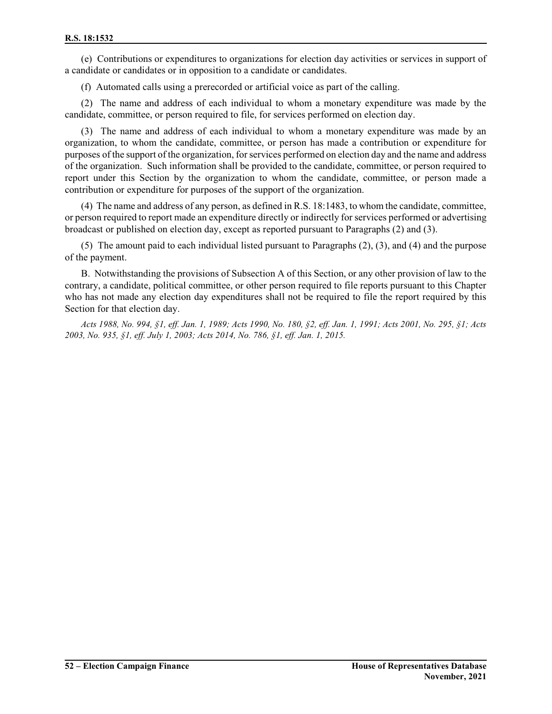(e) Contributions or expenditures to organizations for election day activities or services in support of a candidate or candidates or in opposition to a candidate or candidates.

(f) Automated calls using a prerecorded or artificial voice as part of the calling.

(2) The name and address of each individual to whom a monetary expenditure was made by the candidate, committee, or person required to file, for services performed on election day.

(3) The name and address of each individual to whom a monetary expenditure was made by an organization, to whom the candidate, committee, or person has made a contribution or expenditure for purposes of the support of the organization, forservices performed on election day and the name and address of the organization. Such information shall be provided to the candidate, committee, or person required to report under this Section by the organization to whom the candidate, committee, or person made a contribution or expenditure for purposes of the support of the organization.

(4) The name and address of any person, as defined in R.S. 18:1483, to whom the candidate, committee, or person required to report made an expenditure directly or indirectly for services performed or advertising broadcast or published on election day, except as reported pursuant to Paragraphs (2) and (3).

(5) The amount paid to each individual listed pursuant to Paragraphs (2), (3), and (4) and the purpose of the payment.

B. Notwithstanding the provisions of Subsection A of this Section, or any other provision of law to the contrary, a candidate, political committee, or other person required to file reports pursuant to this Chapter who has not made any election day expenditures shall not be required to file the report required by this Section for that election day.

*Acts 1988, No. 994, §1, eff. Jan. 1, 1989; Acts 1990, No. 180, §2, eff. Jan. 1, 1991; Acts 2001, No. 295, §1; Acts 2003, No. 935, §1, eff. July 1, 2003; Acts 2014, No. 786, §1, eff. Jan. 1, 2015.*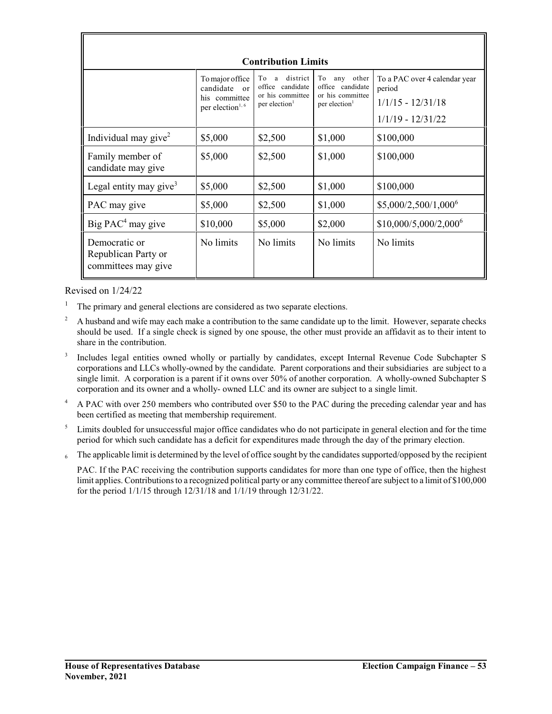| <b>Contribution Limits</b>                                  |                                                                                             |                                                                                          |                                                                                         |                                                                                       |  |
|-------------------------------------------------------------|---------------------------------------------------------------------------------------------|------------------------------------------------------------------------------------------|-----------------------------------------------------------------------------------------|---------------------------------------------------------------------------------------|--|
|                                                             | To major office<br>candidate<br>$\alpha$ r<br>his committee<br>per election <sup>1, 6</sup> | district<br>To<br>a<br>office candidate<br>or his committee<br>per election <sup>1</sup> | other<br>To<br>any<br>office candidate<br>or his committee<br>per election <sup>1</sup> | To a PAC over 4 calendar year<br>period<br>$1/1/15 - 12/31/18$<br>$1/1/19 - 12/31/22$ |  |
| Individual may give <sup>2</sup>                            | \$5,000                                                                                     | \$2,500                                                                                  | \$1,000                                                                                 | \$100,000                                                                             |  |
| Family member of<br>candidate may give                      | \$5,000                                                                                     | \$2,500                                                                                  | \$1,000                                                                                 | \$100,000                                                                             |  |
| Legal entity may give <sup>3</sup>                          | \$5,000                                                                                     | \$2,500                                                                                  | \$1,000                                                                                 | \$100,000                                                                             |  |
| PAC may give                                                | \$5,000                                                                                     | \$2,500                                                                                  | \$1,000                                                                                 | \$5,000/2,500/1,000 <sup>6</sup>                                                      |  |
| Big $PAC4$ may give                                         | \$10,000                                                                                    | \$5,000                                                                                  | \$2,000                                                                                 | \$10,000/5,000/2,000 <sup>6</sup>                                                     |  |
| Democratic or<br>Republican Party or<br>committees may give | No limits                                                                                   | No limits                                                                                | No limits                                                                               | No limits                                                                             |  |

Revised on 1/24/22

- <sup>1</sup> The primary and general elections are considered as two separate elections.
- <sup>2</sup> A husband and wife may each make a contribution to the same candidate up to the limit. However, separate checks should be used. If a single check is signed by one spouse, the other must provide an affidavit as to their intent to share in the contribution.
- 3 Includes legal entities owned wholly or partially by candidates, except Internal Revenue Code Subchapter S corporations and LLCs wholly-owned by the candidate. Parent corporations and their subsidiaries are subject to a single limit. A corporation is a parent if it owns over 50% of another corporation. A wholly-owned Subchapter S corporation and its owner and a wholly- owned LLC and its owner are subject to a single limit.
- <sup>4</sup> A PAC with over 250 members who contributed over \$50 to the PAC during the preceding calendar year and has been certified as meeting that membership requirement.
- <sup>5</sup> Limits doubled for unsuccessful major office candidates who do not participate in general election and for the time period for which such candidate has a deficit for expenditures made through the day of the primary election.
- $6<sub>6</sub>$  The applicable limit is determined by the level of office sought by the candidates supported/opposed by the recipient

PAC. If the PAC receiving the contribution supports candidates for more than one type of office, then the highest limit applies. Contributionsto a recognized political party or any committee thereof are subject to a limit of \$100,000 for the period 1/1/15 through 12/31/18 and 1/1/19 through 12/31/22.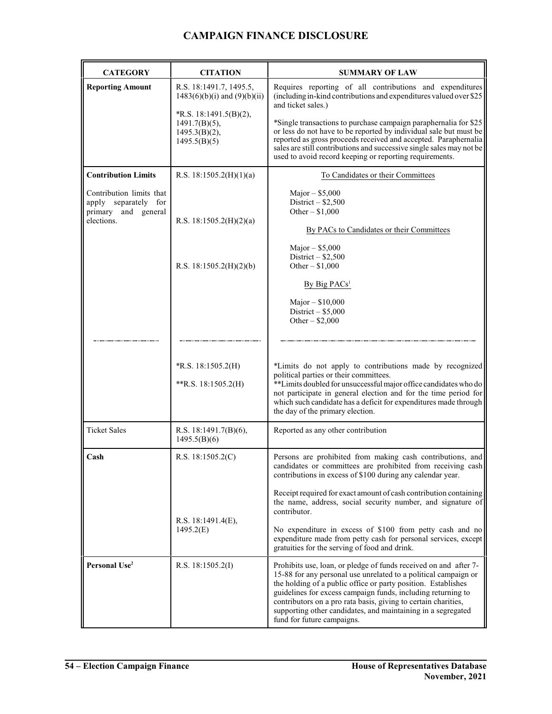## **CAMPAIGN FINANCE DISCLOSURE**

| <b>CATEGORY</b>                                                                       | <b>CITATION</b>                                                                | <b>SUMMARY OF LAW</b>                                                                                                                                                                                                                                                                                                                                                                                                                |
|---------------------------------------------------------------------------------------|--------------------------------------------------------------------------------|--------------------------------------------------------------------------------------------------------------------------------------------------------------------------------------------------------------------------------------------------------------------------------------------------------------------------------------------------------------------------------------------------------------------------------------|
| <b>Reporting Amount</b>                                                               | R.S. 18:1491.7, 1495.5,<br>$1483(6)(b)(i)$ and $(9)(b)(ii)$                    | Requires reporting of all contributions and expenditures<br>(including in-kind contributions and expenditures valued over \$25<br>and ticket sales.)                                                                                                                                                                                                                                                                                 |
|                                                                                       | *R.S. 18:1491.5(B)(2),<br>$1491.7(B)(5)$ ,<br>$1495.3(B)(2)$ ,<br>1495.5(B)(5) | *Single transactions to purchase campaign paraphernalia for \$25<br>or less do not have to be reported by individual sale but must be<br>reported as gross proceeds received and accepted. Paraphernalia<br>sales are still contributions and successive single sales may not be<br>used to avoid record keeping or reporting requirements.                                                                                          |
| <b>Contribution Limits</b>                                                            | R.S. 18:1505.2(H)(1)(a)                                                        | To Candidates or their Committees                                                                                                                                                                                                                                                                                                                                                                                                    |
| Contribution limits that<br>apply separately for<br>primary and general<br>elections. | R.S. 18:1505.2(H)(2)(a)                                                        | Major $-$ \$5,000<br>District $-$ \$2,500<br>Other $-$ \$1,000<br>By PACs to Candidates or their Committees<br>Major $-$ \$5,000                                                                                                                                                                                                                                                                                                     |
|                                                                                       | R.S. 18:1505.2(H)(2)(b)                                                        | District $-$ \$2,500<br>Other $- $1,000$                                                                                                                                                                                                                                                                                                                                                                                             |
|                                                                                       |                                                                                | By Big PACs <sup>1</sup>                                                                                                                                                                                                                                                                                                                                                                                                             |
|                                                                                       |                                                                                | Major $-$ \$10,000<br>District $-$ \$5,000<br>Other $-$ \$2,000                                                                                                                                                                                                                                                                                                                                                                      |
|                                                                                       |                                                                                |                                                                                                                                                                                                                                                                                                                                                                                                                                      |
|                                                                                       | R.S. 18:1505.2(H)<br>**R.S. 18:1505.2(H)                                       | *Limits do not apply to contributions made by recognized<br>political parties or their committees.<br>**Limits doubled for unsuccessful major office candidates who do<br>not participate in general election and for the time period for<br>which such candidate has a deficit for expenditures made through<br>the day of the primary election.                                                                                    |
| <b>Ticket Sales</b>                                                                   | R.S. 18:1491.7 $(B)(6)$ ,<br>1495.5(B)(6)                                      | Reported as any other contribution                                                                                                                                                                                                                                                                                                                                                                                                   |
| Cash                                                                                  | R.S. $18:1505.2(C)$                                                            | Persons are prohibited from making cash contributions, and<br>candidates or committees are prohibited from receiving cash<br>contributions in excess of \$100 during any calendar year.                                                                                                                                                                                                                                              |
|                                                                                       | R.S. 18:1491.4(E),<br>1495.2(E)                                                | Receipt required for exact amount of cash contribution containing<br>the name, address, social security number, and signature of<br>contributor.                                                                                                                                                                                                                                                                                     |
|                                                                                       |                                                                                | No expenditure in excess of \$100 from petty cash and no<br>expenditure made from petty cash for personal services, except<br>gratuities for the serving of food and drink.                                                                                                                                                                                                                                                          |
| Personal Use <sup>2</sup>                                                             | R.S. $18:1505.2(I)$                                                            | Prohibits use, loan, or pledge of funds received on and after 7-<br>15-88 for any personal use unrelated to a political campaign or<br>the holding of a public office or party position. Establishes<br>guidelines for excess campaign funds, including returning to<br>contributors on a pro rata basis, giving to certain charities,<br>supporting other candidates, and maintaining in a segregated<br>fund for future campaigns. |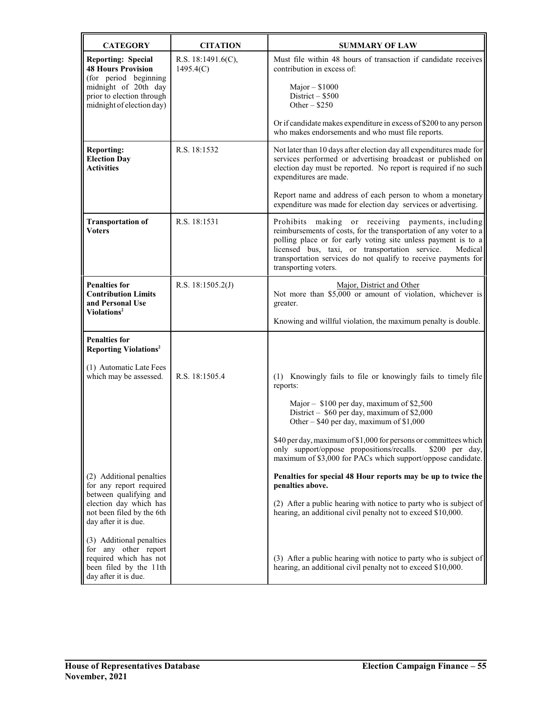| <b>CATEGORY</b>                                                                                                              | <b>CITATION</b>                    | <b>SUMMARY OF LAW</b>                                                                                                                                                                                                                                                                                                                          |
|------------------------------------------------------------------------------------------------------------------------------|------------------------------------|------------------------------------------------------------------------------------------------------------------------------------------------------------------------------------------------------------------------------------------------------------------------------------------------------------------------------------------------|
| <b>Reporting: Special</b><br><b>48 Hours Provision</b><br>(for period beginning                                              | R.S. $18:1491.6(C)$ ,<br>1495.4(C) | Must file within 48 hours of transaction if candidate receives<br>contribution in excess of:                                                                                                                                                                                                                                                   |
| midnight of 20th day<br>prior to election through<br>midnight of election day)                                               |                                    | Major $-$ \$1000<br>District $-$ \$500<br>Other $-$ \$250                                                                                                                                                                                                                                                                                      |
|                                                                                                                              |                                    | Or if candidate makes expenditure in excess of \$200 to any person<br>who makes endorsements and who must file reports.                                                                                                                                                                                                                        |
| <b>Reporting:</b><br><b>Election Day</b><br><b>Activities</b>                                                                | R.S. 18:1532                       | Not later than 10 days after election day all expenditures made for<br>services performed or advertising broadcast or published on<br>election day must be reported. No report is required if no such<br>expenditures are made.                                                                                                                |
|                                                                                                                              |                                    | Report name and address of each person to whom a monetary<br>expenditure was made for election day services or advertising.                                                                                                                                                                                                                    |
| <b>Transportation of</b><br><b>Voters</b>                                                                                    | R.S. 18:1531                       | Prohibits making or receiving payments, including<br>reimbursements of costs, for the transportation of any voter to a<br>polling place or for early voting site unless payment is to a<br>licensed bus, taxi, or transportation service.<br>Medical<br>transportation services do not qualify to receive payments for<br>transporting voters. |
| <b>Penalties for</b><br><b>Contribution Limits</b><br>and Personal Use<br>Violations <sup>2</sup>                            | R.S. $18:1505.2(J)$                | Major, District and Other<br>Not more than $$5,000$ or amount of violation, whichever is<br>greater.                                                                                                                                                                                                                                           |
|                                                                                                                              |                                    | Knowing and willful violation, the maximum penalty is double.                                                                                                                                                                                                                                                                                  |
| <b>Penalties for</b><br><b>Reporting Violations<sup>2</sup></b>                                                              |                                    |                                                                                                                                                                                                                                                                                                                                                |
| (1) Automatic Late Fees<br>which may be assessed.                                                                            | R.S. 18:1505.4                     | (1) Knowingly fails to file or knowingly fails to timely file<br>reports:                                                                                                                                                                                                                                                                      |
|                                                                                                                              |                                    | Major - \$100 per day, maximum of \$2,500<br>District - \$60 per day, maximum of \$2,000<br>Other - \$40 per day, maximum of \$1,000                                                                                                                                                                                                           |
|                                                                                                                              |                                    | \$40 per day, maximum of \$1,000 for persons or committees which<br>only support/oppose propositions/recalls.<br>\$200 per day,<br>maximum of \$3,000 for PACs which support/oppose candidate.                                                                                                                                                 |
| (2) Additional penalties<br>for any report required                                                                          |                                    | Penalties for special 48 Hour reports may be up to twice the<br>penalties above.                                                                                                                                                                                                                                                               |
| between qualifying and<br>election day which has<br>not been filed by the 6th<br>day after it is due.                        |                                    | (2) After a public hearing with notice to party who is subject of<br>hearing, an additional civil penalty not to exceed \$10,000.                                                                                                                                                                                                              |
| (3) Additional penalties<br>for any other report<br>required which has not<br>been filed by the 11th<br>day after it is due. |                                    | (3) After a public hearing with notice to party who is subject of<br>hearing, an additional civil penalty not to exceed \$10,000.                                                                                                                                                                                                              |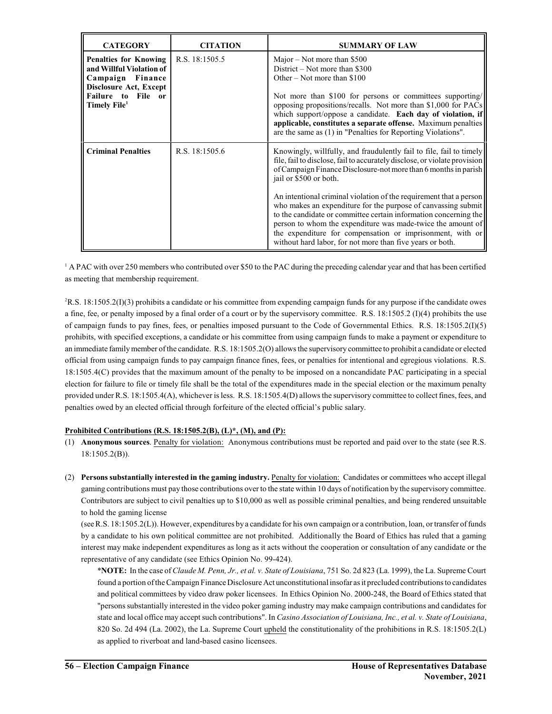| <b>CATEGORY</b>                                                                                                                                                    | <b>CITATION</b> | <b>SUMMARY OF LAW</b>                                                                                                                                                                                                                                                                                                                                                                                                                                                                                                                                                                                                                             |
|--------------------------------------------------------------------------------------------------------------------------------------------------------------------|-----------------|---------------------------------------------------------------------------------------------------------------------------------------------------------------------------------------------------------------------------------------------------------------------------------------------------------------------------------------------------------------------------------------------------------------------------------------------------------------------------------------------------------------------------------------------------------------------------------------------------------------------------------------------------|
| <b>Penalties for Knowing</b><br>and Willful Violation of<br>Finance<br>Campaign<br><b>Disclosure Act, Except</b><br>Failure to File or<br>Timely File <sup>1</sup> | R.S. 18:1505.5  | Major – Not more than $$500$<br>District – Not more than \$300<br>Other – Not more than $$100$<br>Not more than \$100 for persons or committees supporting/<br>opposing propositions/recalls. Not more than \$1,000 for PACs<br>which support/oppose a candidate. Each day of violation, if<br>applicable, constitutes a separate offense. Maximum penalties<br>are the same as (1) in "Penalties for Reporting Violations".                                                                                                                                                                                                                      |
| <b>Criminal Penalties</b>                                                                                                                                          | R.S. 18:1505.6  | Knowingly, willfully, and fraudulently fail to file, fail to timely<br>file, fail to disclose, fail to accurately disclose, or violate provision<br>of Campaign Finance Disclosure-not more than 6 months in parish<br>jail or \$500 or both.<br>An intentional criminal violation of the requirement that a person<br>who makes an expenditure for the purpose of canvassing submit<br>to the candidate or committee certain information concerning the<br>person to whom the expenditure was made-twice the amount of<br>the expenditure for compensation or imprisonment, with or<br>without hard labor, for not more than five years or both. |

<sup>1</sup> A PAC with over 250 members who contributed over \$50 to the PAC during the preceding calendar year and that has been certified as meeting that membership requirement.

 $2R.S. 18:1505.2(I)(3)$  prohibits a candidate or his committee from expending campaign funds for any purpose if the candidate owes a fine, fee, or penalty imposed by a final order of a court or by the supervisory committee. R.S. 18:1505.2 (I)(4) prohibits the use of campaign funds to pay fines, fees, or penalties imposed pursuant to the Code of Governmental Ethics. R.S. 18:1505.2(I)(5) prohibits, with specified exceptions, a candidate or his committee from using campaign funds to make a payment or expenditure to an immediate familymember ofthe candidate. R.S. 18:1505.2(O) allows the supervisory committee to prohibit a candidate or elected official from using campaign funds to pay campaign finance fines, fees, or penalties for intentional and egregious violations. R.S. 18:1505.4(C) provides that the maximum amount of the penalty to be imposed on a noncandidate PAC participating in a special election for failure to file or timely file shall be the total of the expenditures made in the special election or the maximum penalty provided under R.S. 18:1505.4(A), whichever is less. R.S. 18:1505.4(D) allows the supervisory committee to collect fines, fees, and penalties owed by an elected official through forfeiture of the elected official's public salary.

#### **Prohibited Contributions (R.S. 18:1505.2(B), (L)\*, (M), and (P):**

- (1) **Anonymous sources**. Penalty for violation: Anonymous contributions must be reported and paid over to the state (see R.S. 18:1505.2(B)).
- (2) **Persons substantially interested in the gaming industry.** Penalty for violation: Candidates or committees who accept illegal gaming contributions must pay those contributions over to the state within 10 days of notification by the supervisory committee. Contributors are subject to civil penalties up to \$10,000 as well as possible criminal penalties, and being rendered unsuitable to hold the gaming license

(see R.S. 18:1505.2(L)). However, expenditures by a candidate for his own campaign or a contribution, loan, or transfer offunds by a candidate to his own political committee are not prohibited. Additionally the Board of Ethics has ruled that a gaming interest may make independent expenditures as long as it acts without the cooperation or consultation of any candidate or the representative of any candidate (see Ethics Opinion No. 99-424).

\***NOTE:** In the case of*Claude M. Penn, Jr., et al. v. State of Louisiana*, 751 So. 2d 823 (La. 1999), the La. Supreme Court found a portion ofthe Campaign Finance Disclosure Act unconstitutional insofar as it precluded contributions to candidates and political committees by video draw poker licensees. In Ethics Opinion No. 2000-248, the Board of Ethics stated that "persons substantially interested in the video poker gaming industry may make campaign contributions and candidates for state and local office may accept such contributions". In *Casino Association of Louisiana, Inc., et al. v. State of Louisiana*, 820 So. 2d 494 (La. 2002), the La. Supreme Court upheld the constitutionality of the prohibitions in R.S. 18:1505.2(L) as applied to riverboat and land-based casino licensees.